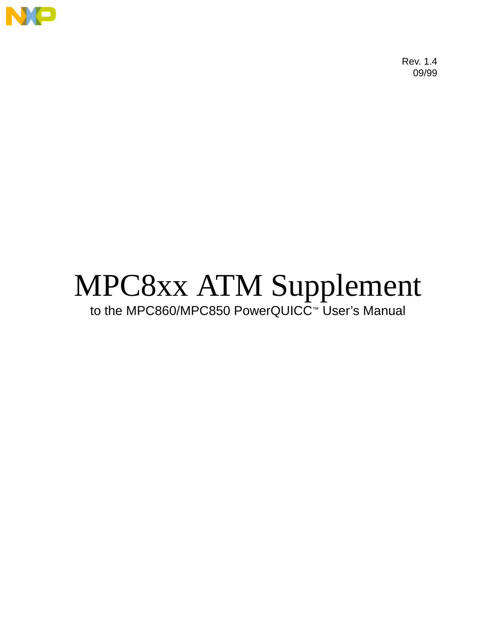

Rev. 1.4 09/99

# MPC8xx ATM Supplement to the MPC860/MPC850 PowerQUICC™ User's Manual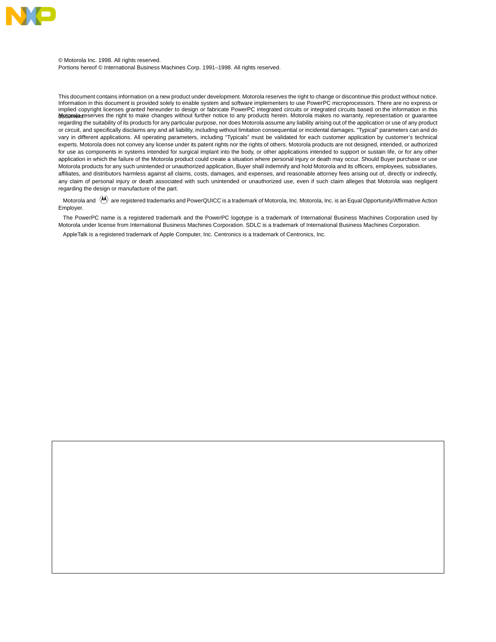

© Motorola Inc. 1998. All rights reserved. Portions hereof © International Business Machines Corp. 1991–1998. All rights reserved.

This document contains information on a new product under development. Motorola reserves the right to change or discontinue this product without notice. Information in this document is provided solely to enable system and software implementers to use PowerPC microprocessors. There are no express or implied copyright licenses granted hereunder to design or fabricate PowerPC integrated circuits or integrated circuits based on the information in this<br>**Notorola r**eserves the right to make changes without further notice t regarding the suitability of its products for any particular purpose, nor does Motorola assume any liability arising out of the application or use of any product or circuit, and specifically disclaims any and all liability, including without limitation consequential or incidental damages. "Typical" parameters can and do vary in different applications. All operating parameters, including "Typicals" must be validated for each customer application by customer's technical experts. Motorola does not convey any license under its patent rights nor the rights of others. Motorola products are not designed, intended, or authorized for use as components in systems intended for surgical implant into the body, or other applications intended to support or sustain life, or for any other application in which the failure of the Motorola product could create a situation where personal injury or death may occur. Should Buyer purchase or use Motorola products for any such unintended or unauthorized application, Buyer shall indemnify and hold Motorola and its officers, employees, subsidiaries, affiliates, and distributors harmless against all claims, costs, damages, and expenses, and reasonable attorney fees arising out of, directly or indirectly, any claim of personal injury or death associated with such unintended or unauthorized use, even if such claim alleges that Motorola was negligent regarding the design or manufacture of the part.

Motorola and  $\omega$  are registered trademarks and PowerQUICC is a trademark of Motorola, Inc. Motorola, Inc. is an Equal Opportunity/Affirmative Action Employer.

The PowerPC name is a registered trademark and the PowerPC logotype is a trademark of International Business Machines Corporation used by Motorola under license from International Business Machines Corporation. SDLC is a trademark of International Business Machines Corporation.

AppleTalk is a registered trademark of Apple Computer, Inc. Centronics is a trademark of Centronics, Inc.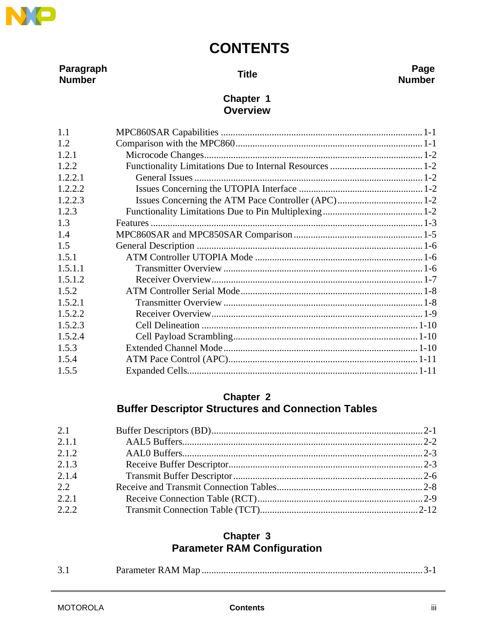

Paragraph Number

**Title** 

#### Page **Number**

#### Chapter 1 **Overview**

| 1.1        |  |
|------------|--|
| 1.2        |  |
| 1.2.1      |  |
| 1.2.2      |  |
| 1, 2, 2, 1 |  |
| 1.2.2.2    |  |
| 1.2.2.3    |  |
| 1.2.3      |  |
| 1.3        |  |
| 1.4        |  |
| 1.5        |  |
| 1.5.1      |  |
| 1.5.1.1    |  |
| 1.5.1.2    |  |
| 1.5.2      |  |
| 1.5.2.1    |  |
| 1.5.2.2    |  |
| 1.5.2.3    |  |
| 1.5.2.4    |  |
| 1.5.3      |  |
| 1.5.4      |  |
| 1.5.5      |  |

#### Chapter 2 **Buffer Descriptor Structures and Connection Tables**

| 2.1   |  |
|-------|--|
| 2.1.1 |  |
| 2.1.2 |  |
| 2.1.3 |  |
| 2.1.4 |  |
| 2.2   |  |
| 2.2.1 |  |
| 2.2.2 |  |

#### Chapter 3 **Parameter RAM Configuration**

|--|--|--|--|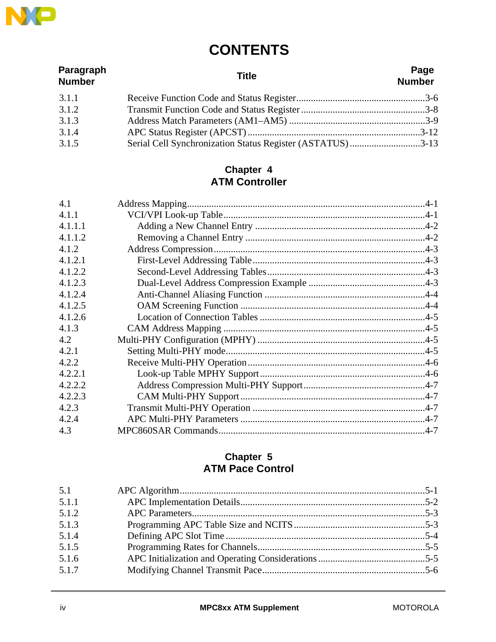

| Paragraph<br><b>Number</b> | <b>Title</b>                                              | Page<br><b>Number</b> |
|----------------------------|-----------------------------------------------------------|-----------------------|
| 3.1.1                      |                                                           |                       |
| 3.1.2                      |                                                           |                       |
| 3.1.3                      |                                                           |                       |
| 3.1.4                      |                                                           |                       |
| 3.1.5                      | Serial Cell Synchronization Status Register (ASTATUS)3-13 |                       |

#### **Chapter 4 ATM Controller**

#### **Chapter 5 ATM Pace Control**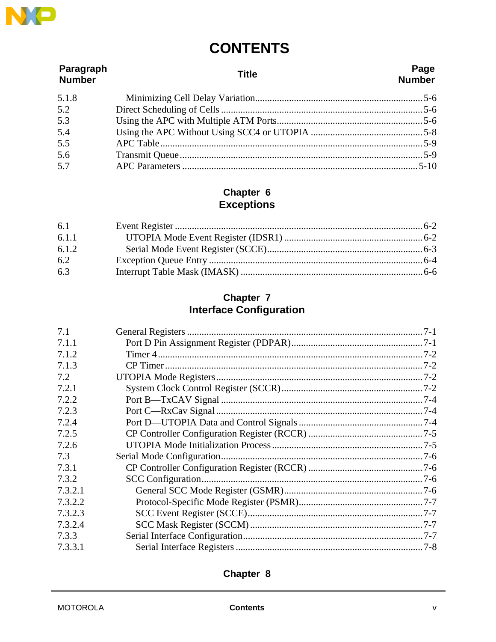

| Paragraph<br><b>Number</b> | Title | Page<br><b>Number</b> |
|----------------------------|-------|-----------------------|
| 5.1.8                      |       |                       |
| 5.2                        |       |                       |
| 5.3                        |       |                       |
| 5.4                        |       |                       |
| 5.5                        |       |                       |
| 5.6                        |       |                       |
| 5.7                        |       |                       |

# **Chapter 6**<br>Exceptions

| 6.1   |  |
|-------|--|
| 6.1.1 |  |
| 6.1.2 |  |
| 6.2   |  |
| 6.3   |  |

# Chapter 7<br>Interface Configuration

| 7.1     |  |
|---------|--|
| 7.1.1   |  |
| 7.1.2   |  |
| 7.1.3   |  |
| 7.2     |  |
| 7.2.1   |  |
| 7.2.2   |  |
| 7.2.3   |  |
| 7.2.4   |  |
| 7.2.5   |  |
| 7.2.6   |  |
| 7.3     |  |
| 7.3.1   |  |
| 7.3.2   |  |
| 7.3.2.1 |  |
| 7.3.2.2 |  |
| 7.3.2.3 |  |
| 7.3.2.4 |  |
| 7.3.3   |  |
| 7.3.3.1 |  |

#### Chapter 8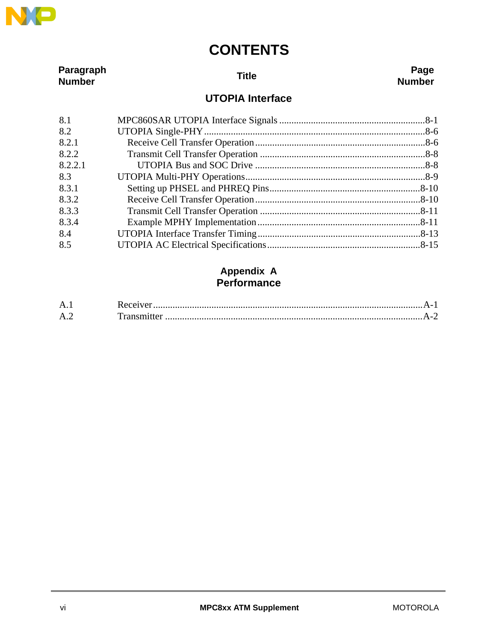

| Paragraph<br><b>Number</b> | <b>Title</b>            | Page<br><b>Number</b> |
|----------------------------|-------------------------|-----------------------|
|                            | <b>UTOPIA Interface</b> |                       |
| 8.1                        |                         |                       |
| 8.2                        |                         |                       |
| 8.2.1                      |                         |                       |
| 8.2.2                      |                         |                       |
| 8.2.2.1                    |                         |                       |
| 8.3                        |                         |                       |
| 8.3.1                      |                         |                       |
| 8.3.2                      |                         |                       |
| 8.3.3                      |                         |                       |
| 8.3.4                      |                         |                       |
| 8.4                        |                         |                       |
| 8.5                        |                         |                       |

#### **Appendix A Performance**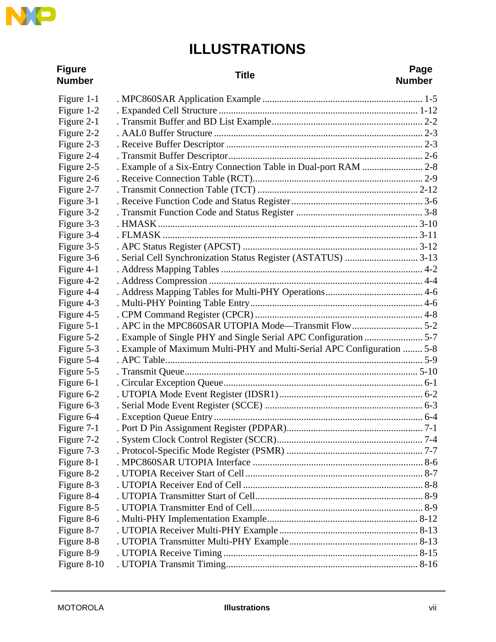

# **ILLUSTRATIONS**

| <b>Figure</b><br><b>Number</b> | <b>Title</b>                                                           | Page<br><b>Number</b> |
|--------------------------------|------------------------------------------------------------------------|-----------------------|
| Figure 1-1                     |                                                                        |                       |
| Figure 1-2                     |                                                                        |                       |
| Figure 2-1                     |                                                                        |                       |
| Figure 2-2                     |                                                                        |                       |
| Figure 2-3                     |                                                                        |                       |
| Figure 2-4                     |                                                                        |                       |
| Figure 2-5                     | . Example of a Six-Entry Connection Table in Dual-port RAM  2-8        |                       |
| Figure 2-6                     |                                                                        |                       |
| Figure 2-7                     |                                                                        |                       |
| Figure 3-1                     |                                                                        |                       |
| Figure 3-2                     |                                                                        |                       |
| Figure 3-3                     |                                                                        |                       |
| Figure 3-4                     |                                                                        |                       |
| Figure 3-5                     |                                                                        |                       |
| Figure 3-6                     |                                                                        |                       |
| Figure 4-1                     |                                                                        |                       |
| Figure 4-2                     |                                                                        |                       |
| Figure 4-4                     |                                                                        |                       |
| Figure 4-3                     |                                                                        |                       |
| Figure 4-5                     |                                                                        |                       |
| Figure 5-1                     |                                                                        |                       |
| Figure 5-2                     |                                                                        |                       |
| Figure 5-3                     | . Example of Maximum Multi-PHY and Multi-Serial APC Configuration  5-8 |                       |
| Figure 5-4                     |                                                                        |                       |
| Figure 5-5                     |                                                                        |                       |
| Figure 6-1                     |                                                                        |                       |
| Figure 6-2                     |                                                                        |                       |
| Figure 6-3                     |                                                                        |                       |
| Figure 6-4                     |                                                                        |                       |
| Figure 7-1                     |                                                                        |                       |
| Figure 7-2                     |                                                                        |                       |
| Figure 7-3                     |                                                                        |                       |
| Figure 8-1                     |                                                                        |                       |
| Figure 8-2                     |                                                                        |                       |
| Figure 8-3                     |                                                                        |                       |
| Figure 8-4                     |                                                                        |                       |
| Figure 8-5                     |                                                                        |                       |
| Figure 8-6                     |                                                                        |                       |
| Figure 8-7                     |                                                                        |                       |
| Figure 8-8                     |                                                                        |                       |
| Figure 8-9                     |                                                                        |                       |
| Figure 8-10                    |                                                                        |                       |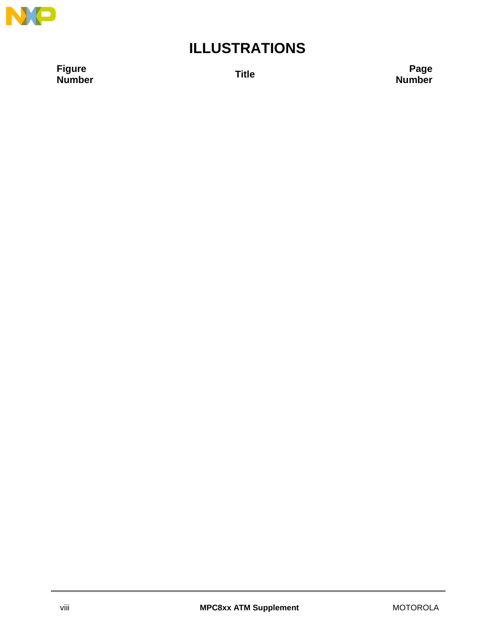

## **ILLUSTRATIONS**

**Figure**

**Number Title Page Number**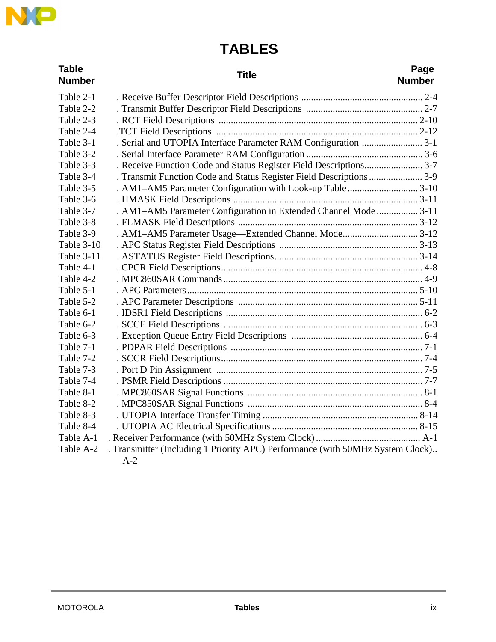

# **TABLES**

| <b>Table</b><br><b>Number</b> | <b>Title</b>                                                                   | Page<br><b>Number</b> |
|-------------------------------|--------------------------------------------------------------------------------|-----------------------|
| Table 2-1                     |                                                                                |                       |
| Table 2-2                     |                                                                                |                       |
| Table 2-3                     |                                                                                |                       |
| Table 2-4                     |                                                                                |                       |
| Table 3-1                     | . Serial and UTOPIA Interface Parameter RAM Configuration  3-1                 |                       |
| Table 3-2                     |                                                                                |                       |
| Table 3-3                     | . Receive Function Code and Status Register Field Descriptions 3-7             |                       |
| Table 3-4                     | . Transmit Function Code and Status Register Field Descriptions 3-9            |                       |
| Table 3-5                     | . AM1-AM5 Parameter Configuration with Look-up Table3-10                       |                       |
| Table 3-6                     |                                                                                |                       |
| Table 3-7                     | . AM1-AM5 Parameter Configuration in Extended Channel Mode  3-11               |                       |
| Table 3-8                     |                                                                                |                       |
| Table 3-9                     | . AM1-AM5 Parameter Usage-Extended Channel Mode 3-12                           |                       |
| Table 3-10                    |                                                                                |                       |
| Table 3-11                    |                                                                                |                       |
| Table 4-1                     |                                                                                |                       |
| Table 4-2                     |                                                                                |                       |
| Table 5-1                     |                                                                                |                       |
| Table 5-2                     |                                                                                |                       |
| Table 6-1                     |                                                                                |                       |
| Table 6-2                     |                                                                                |                       |
| Table 6-3                     |                                                                                |                       |
| Table 7-1                     |                                                                                |                       |
| Table 7-2                     |                                                                                |                       |
| Table 7-3                     |                                                                                |                       |
| Table 7-4                     |                                                                                |                       |
| Table 8-1                     |                                                                                |                       |
| Table 8-2                     |                                                                                |                       |
| Table 8-3                     |                                                                                |                       |
| Table 8-4                     |                                                                                |                       |
| Table A-1                     |                                                                                |                       |
| Table A-2                     | . Transmitter (Including 1 Priority APC) Performance (with 50MHz System Clock) |                       |
|                               | $A-2$                                                                          |                       |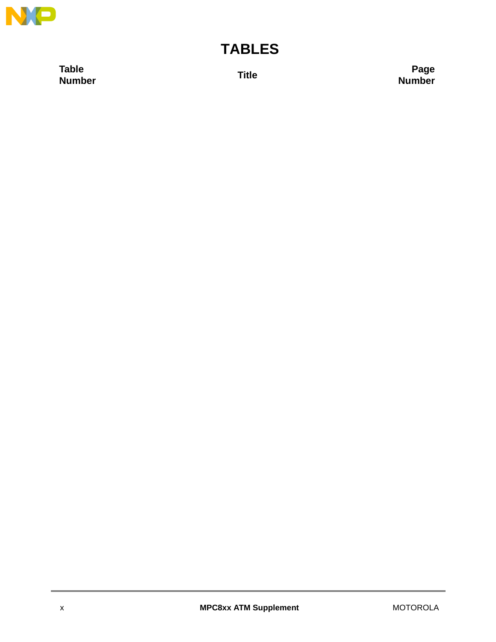

## **TABLES**

**Table**

**Number Title Page Number**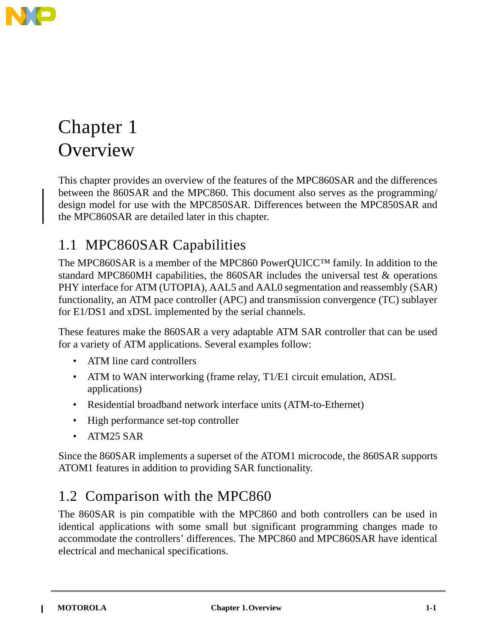

# Chapter 1 **Overview**

This chapter provides an overview of the features of the MPC860SAR and the differences between the 860SAR and the MPC860. This document also serves as the programming/ design model for use with the MPC850SAR. Differences between the MPC850SAR and the MPC860SAR are detailed later in this chapter.

### 1.1 MPC860SAR Capabilities

The MPC860SAR is a member of the MPC860 PowerQUICC™ family. In addition to the standard MPC860MH capabilities, the 860SAR includes the universal test & operations PHY interface for ATM (UTOPIA), AAL5 and AAL0 segmentation and reassembly (SAR) functionality, an ATM pace controller (APC) and transmission convergence (TC) sublayer for E1/DS1 and xDSL implemented by the serial channels.

These features make the 860SAR a very adaptable ATM SAR controller that can be used for a variety of ATM applications. Several examples follow:

- ATM line card controllers
- ATM to WAN interworking (frame relay, T1/E1 circuit emulation, ADSL applications)
- Residential broadband network interface units (ATM-to-Ethernet)
- High performance set-top controller
- ATM25 SAR

Since the 860SAR implements a superset of the ATOM1 microcode, the 860SAR supports ATOM1 features in addition to providing SAR functionality.

### 1.2 Comparison with the MPC860

The 860SAR is pin compatible with the MPC860 and both controllers can be used in identical applications with some small but significant programming changes made to accommodate the controllers' differences. The MPC860 and MPC860SAR have identical electrical and mechanical specifications.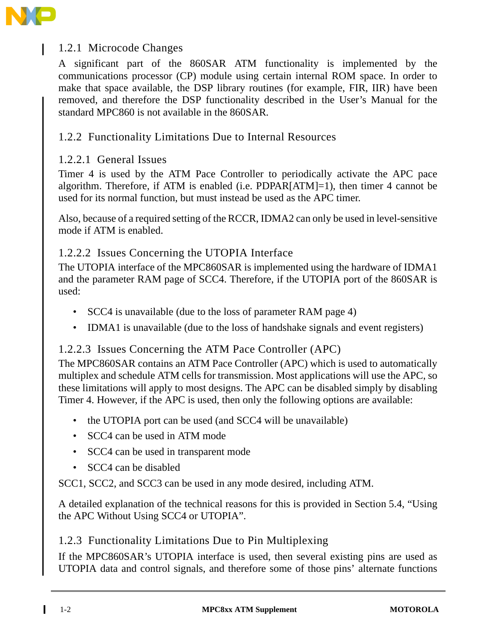

#### 1.2.1 Microcode Changes

A significant part of the 860SAR ATM functionality is implemented by the communications processor (CP) module using certain internal ROM space. In order to make that space available, the DSP library routines (for example, FIR, IIR) have been removed, and therefore the DSP functionality described in the User's Manual for the standard MPC860 is not available in the 860SAR.

#### 1.2.2 Functionality Limitations Due to Internal Resources

#### 1.2.2.1 General Issues

Timer 4 is used by the ATM Pace Controller to periodically activate the APC pace algorithm. Therefore, if ATM is enabled (i.e. PDPAR[ATM]=1), then timer 4 cannot be used for its normal function, but must instead be used as the APC timer.

Also, because of a required setting of the RCCR, IDMA2 can only be used in level-sensitive mode if ATM is enabled.

#### 1.2.2.2 Issues Concerning the UTOPIA Interface

The UTOPIA interface of the MPC860SAR is implemented using the hardware of IDMA1 and the parameter RAM page of SCC4. Therefore, if the UTOPIA port of the 860SAR is used:

- SCC4 is unavailable (due to the loss of parameter RAM page 4)
- IDMA1 is unavailable (due to the loss of handshake signals and event registers)

#### 1.2.2.3 Issues Concerning the ATM Pace Controller (APC)

The MPC860SAR contains an ATM Pace Controller (APC) which is used to automatically multiplex and schedule ATM cells for transmission. Most applications will use the APC, so these limitations will apply to most designs. The APC can be disabled simply by disabling Timer 4. However, if the APC is used, then only the following options are available:

- the UTOPIA port can be used (and SCC4 will be unavailable)
- SCC4 can be used in ATM mode
- SCC4 can be used in transparent mode
- SCC4 can be disabled

SCC1, SCC2, and SCC3 can be used in any mode desired, including ATM.

A detailed explanation of the technical reasons for this is provided in Section 5.4, "Using the APC Without Using SCC4 or UTOPIA".

#### 1.2.3 Functionality Limitations Due to Pin Multiplexing

If the MPC860SAR's UTOPIA interface is used, then several existing pins are used as UTOPIA data and control signals, and therefore some of those pins' alternate functions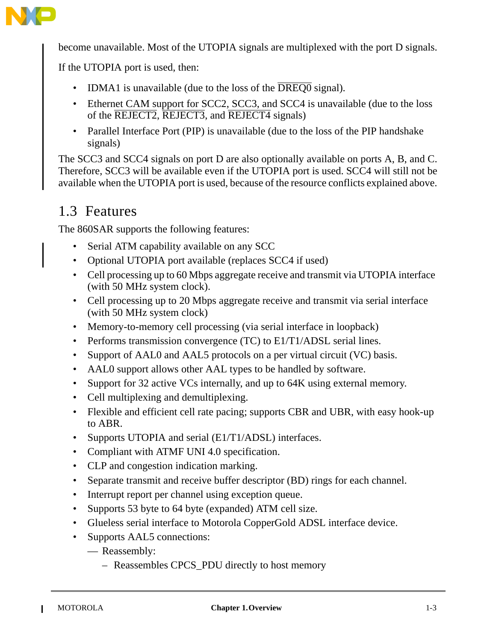

become unavailable. Most of the UTOPIA signals are multiplexed with the port D signals.

If the UTOPIA port is used, then:

- IDMA1 is unavailable (due to the loss of the  $\overline{DRED0}$  signal).
- Ethernet CAM support for SCC2, SCC3, and SCC4 is unavailable (due to the loss of the REJECT2, REJECT3, and REJECT4 signals)
- Parallel Interface Port (PIP) is unavailable (due to the loss of the PIP handshake signals)

The SCC3 and SCC4 signals on port D are also optionally available on ports A, B, and C. Therefore, SCC3 will be available even if the UTOPIA port is used. SCC4 will still not be available when the UTOPIA port is used, because of the resource conflicts explained above.

### 1.3 Features

The 860SAR supports the following features:

- Serial ATM capability available on any SCC
- Optional UTOPIA port available (replaces SCC4 if used)
- Cell processing up to 60 Mbps aggregate receive and transmit via UTOPIA interface (with 50 MHz system clock).
- Cell processing up to 20 Mbps aggregate receive and transmit via serial interface (with 50 MHz system clock)
- Memory-to-memory cell processing (via serial interface in loopback)
- Performs transmission convergence (TC) to E1/T1/ADSL serial lines.
- Support of AAL0 and AAL5 protocols on a per virtual circuit (VC) basis.
- AALO support allows other AAL types to be handled by software.
- Support for 32 active VCs internally, and up to 64K using external memory.
- Cell multiplexing and demultiplexing.
- Flexible and efficient cell rate pacing; supports CBR and UBR, with easy hook-up to ABR.
- Supports UTOPIA and serial (E1/T1/ADSL) interfaces.
- Compliant with ATMF UNI 4.0 specification.
- CLP and congestion indication marking.
- Separate transmit and receive buffer descriptor (BD) rings for each channel.
- Interrupt report per channel using exception queue.
- Supports 53 byte to 64 byte (expanded) ATM cell size.
- Glueless serial interface to Motorola CopperGold ADSL interface device.
- Supports AAL5 connections:
	- Reassembly:
		- Reassembles CPCS\_PDU directly to host memory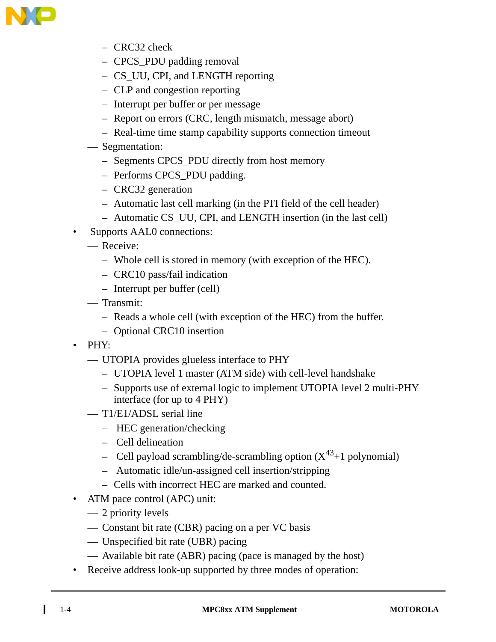

- CRC32 check
- CPCS\_PDU padding removal
- CS\_UU, CPI, and LENGTH reporting
- CLP and congestion reporting
- Interrupt per buffer or per message
- Report on errors (CRC, length mismatch, message abort)
- Real-time time stamp capability supports connection timeout
- Segmentation:
	- Segments CPCS\_PDU directly from host memory
	- Performs CPCS\_PDU padding.
	- CRC32 generation
	- Automatic last cell marking (in the PTI field of the cell header)
	- Automatic CS\_UU, CPI, and LENGTH insertion (in the last cell)
- Supports AAL0 connections:
	- Receive:
		- Whole cell is stored in memory (with exception of the HEC).
		- CRC10 pass/fail indication
		- Interrupt per buffer (cell)
	- Transmit:
		- Reads a whole cell (with exception of the HEC) from the buffer.
		- Optional CRC10 insertion
- PHY:
	- UTOPIA provides glueless interface to PHY
		- UTOPIA level 1 master (ATM side) with cell-level handshake
		- Supports use of external logic to implement UTOPIA level 2 multi-PHY interface (for up to 4 PHY)
	- T1/E1/ADSL serial line
		- HEC generation/checking
		- Cell delineation
		- Cell payload scrambling/de-scrambling option  $(X^{43}+1)$  polynomial)
		- Automatic idle/un-assigned cell insertion/stripping
		- Cells with incorrect HEC are marked and counted.
- ATM pace control (APC) unit:
	- 2 priority levels
	- Constant bit rate (CBR) pacing on a per VC basis
	- Unspecified bit rate (UBR) pacing
	- Available bit rate (ABR) pacing (pace is managed by the host)
- Receive address look-up supported by three modes of operation:

ι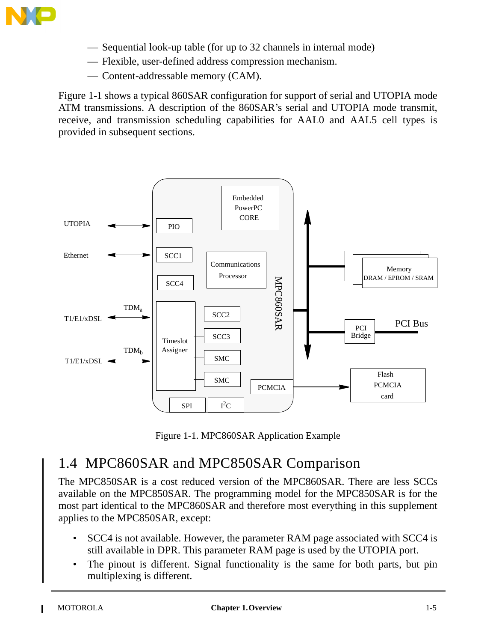

- Sequential look-up table (for up to 32 channels in internal mode)
- Flexible, user-defined address compression mechanism.
- Content-addressable memory (CAM).

Figure 1-1 shows a typical 860SAR configuration for support of serial and UTOPIA mode ATM transmissions. A description of the 860SAR's serial and UTOPIA mode transmit, receive, and transmission scheduling capabilities for AAL0 and AAL5 cell types is provided in subsequent sections.



Figure 1-1. MPC860SAR Application Example

### 1.4 MPC860SAR and MPC850SAR Comparison

The MPC850SAR is a cost reduced version of the MPC860SAR. There are less SCCs available on the MPC850SAR. The programming model for the MPC850SAR is for the most part identical to the MPC860SAR and therefore most everything in this supplement applies to the MPC850SAR, except:

- SCC4 is not available. However, the parameter RAM page associated with SCC4 is still available in DPR. This parameter RAM page is used by the UTOPIA port.
- The pinout is different. Signal functionality is the same for both parts, but pin multiplexing is different.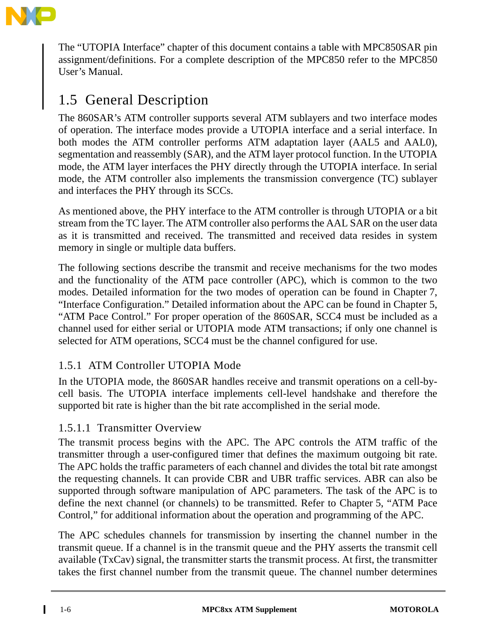

The "UTOPIA Interface" chapter of this document contains a table with MPC850SAR pin assignment/definitions. For a complete description of the MPC850 refer to the MPC850 User's Manual.

### 1.5 General Description

The 860SAR's ATM controller supports several ATM sublayers and two interface modes of operation. The interface modes provide a UTOPIA interface and a serial interface. In both modes the ATM controller performs ATM adaptation layer (AAL5 and AAL0), segmentation and reassembly (SAR), and the ATM layer protocol function. In the UTOPIA mode, the ATM layer interfaces the PHY directly through the UTOPIA interface. In serial mode, the ATM controller also implements the transmission convergence (TC) sublayer and interfaces the PHY through its SCCs.

As mentioned above, the PHY interface to the ATM controller is through UTOPIA or a bit stream from the TC layer. The ATM controller also performs the AAL SAR on the user data as it is transmitted and received. The transmitted and received data resides in system memory in single or multiple data buffers.

The following sections describe the transmit and receive mechanisms for the two modes and the functionality of the ATM pace controller (APC), which is common to the two modes. Detailed information for the two modes of operation can be found in Chapter 7, "Interface Configuration." Detailed information about the APC can be found in Chapter 5, "ATM Pace Control." For proper operation of the 860SAR, SCC4 must be included as a channel used for either serial or UTOPIA mode ATM transactions; if only one channel is selected for ATM operations, SCC4 must be the channel configured for use.

#### 1.5.1 ATM Controller UTOPIA Mode

In the UTOPIA mode, the 860SAR handles receive and transmit operations on a cell-bycell basis. The UTOPIA interface implements cell-level handshake and therefore the supported bit rate is higher than the bit rate accomplished in the serial mode.

#### 1.5.1.1 Transmitter Overview

The transmit process begins with the APC. The APC controls the ATM traffic of the transmitter through a user-configured timer that defines the maximum outgoing bit rate. The APC holds the traffic parameters of each channel and divides the total bit rate amongst the requesting channels. It can provide CBR and UBR traffic services. ABR can also be supported through software manipulation of APC parameters. The task of the APC is to define the next channel (or channels) to be transmitted. Refer to Chapter 5, "ATM Pace Control," for additional information about the operation and programming of the APC.

The APC schedules channels for transmission by inserting the channel number in the transmit queue. If a channel is in the transmit queue and the PHY asserts the transmit cell available (TxCav) signal, the transmitter starts the transmit process. At first, the transmitter takes the first channel number from the transmit queue. The channel number determines

ι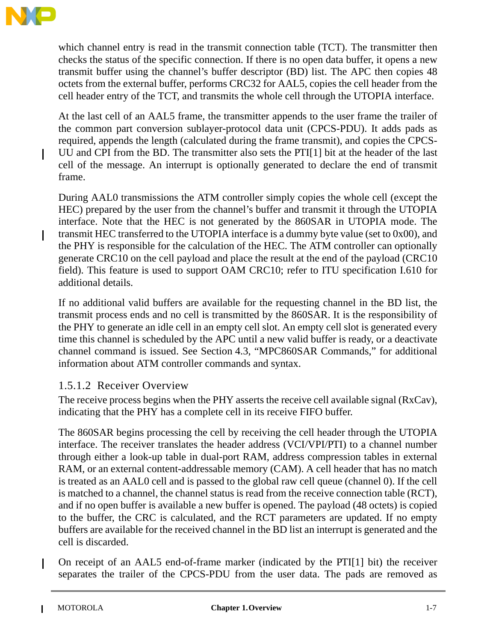

I

I

which channel entry is read in the transmit connection table (TCT). The transmitter then checks the status of the specific connection. If there is no open data buffer, it opens a new transmit buffer using the channel's buffer descriptor (BD) list. The APC then copies 48 octets from the external buffer, performs CRC32 for AAL5, copies the cell header from the cell header entry of the TCT, and transmits the whole cell through the UTOPIA interface.

At the last cell of an AAL5 frame, the transmitter appends to the user frame the trailer of the common part conversion sublayer-protocol data unit (CPCS-PDU). It adds pads as required, appends the length (calculated during the frame transmit), and copies the CPCS-UU and CPI from the BD. The transmitter also sets the PTI[1] bit at the header of the last cell of the message. An interrupt is optionally generated to declare the end of transmit frame.

During AAL0 transmissions the ATM controller simply copies the whole cell (except the HEC) prepared by the user from the channel's buffer and transmit it through the UTOPIA interface. Note that the HEC is not generated by the 860SAR in UTOPIA mode. The transmit HEC transferred to the UTOPIA interface is a dummy byte value (set to 0x00), and the PHY is responsible for the calculation of the HEC. The ATM controller can optionally generate CRC10 on the cell payload and place the result at the end of the payload (CRC10 field). This feature is used to support OAM CRC10; refer to ITU specification I.610 for additional details.

If no additional valid buffers are available for the requesting channel in the BD list, the transmit process ends and no cell is transmitted by the 860SAR. It is the responsibility of the PHY to generate an idle cell in an empty cell slot. An empty cell slot is generated every time this channel is scheduled by the APC until a new valid buffer is ready, or a deactivate channel command is issued. See Section 4.3, "MPC860SAR Commands," for additional information about ATM controller commands and syntax.

#### 1.5.1.2 Receiver Overview

The receive process begins when the PHY asserts the receive cell available signal (RxCav), indicating that the PHY has a complete cell in its receive FIFO buffer.

The 860SAR begins processing the cell by receiving the cell header through the UTOPIA interface. The receiver translates the header address (VCI/VPI/PTI) to a channel number through either a look-up table in dual-port RAM, address compression tables in external RAM, or an external content-addressable memory (CAM). A cell header that has no match is treated as an AAL0 cell and is passed to the global raw cell queue (channel 0). If the cell is matched to a channel, the channel status is read from the receive connection table (RCT), and if no open buffer is available a new buffer is opened. The payload (48 octets) is copied to the buffer, the CRC is calculated, and the RCT parameters are updated. If no empty buffers are available for the received channel in the BD list an interrupt is generated and the cell is discarded.

On receipt of an AAL5 end-of-frame marker (indicated by the PTI[1] bit) the receiver separates the trailer of the CPCS-PDU from the user data. The pads are removed as

I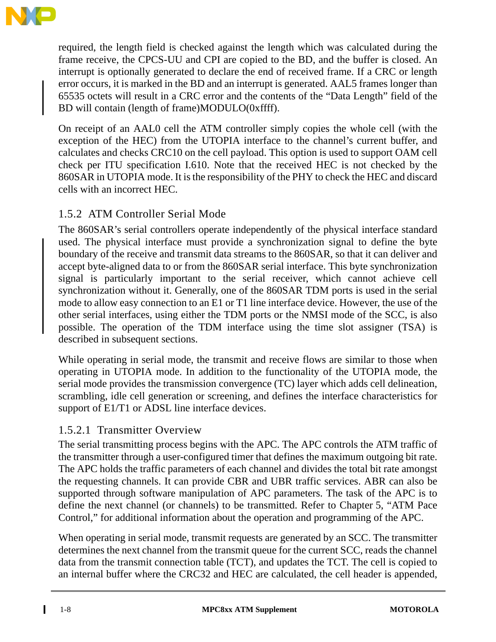

required, the length field is checked against the length which was calculated during the frame receive, the CPCS-UU and CPI are copied to the BD, and the buffer is closed. An interrupt is optionally generated to declare the end of received frame. If a CRC or length error occurs, it is marked in the BD and an interrupt is generated. AAL5 frames longer than 65535 octets will result in a CRC error and the contents of the "Data Length" field of the BD will contain (length of frame)MODULO(0xffff).

On receipt of an AAL0 cell the ATM controller simply copies the whole cell (with the exception of the HEC) from the UTOPIA interface to the channel's current buffer, and calculates and checks CRC10 on the cell payload. This option is used to support OAM cell check per ITU specification I.610. Note that the received HEC is not checked by the 860SAR in UTOPIA mode. It is the responsibility of the PHY to check the HEC and discard cells with an incorrect HEC.

#### 1.5.2 ATM Controller Serial Mode

The 860SAR's serial controllers operate independently of the physical interface standard used. The physical interface must provide a synchronization signal to define the byte boundary of the receive and transmit data streams to the 860SAR, so that it can deliver and accept byte-aligned data to or from the 860SAR serial interface. This byte synchronization signal is particularly important to the serial receiver, which cannot achieve cell synchronization without it. Generally, one of the 860SAR TDM ports is used in the serial mode to allow easy connection to an E1 or T1 line interface device. However, the use of the other serial interfaces, using either the TDM ports or the NMSI mode of the SCC, is also possible. The operation of the TDM interface using the time slot assigner (TSA) is described in subsequent sections.

While operating in serial mode, the transmit and receive flows are similar to those when operating in UTOPIA mode. In addition to the functionality of the UTOPIA mode, the serial mode provides the transmission convergence (TC) layer which adds cell delineation, scrambling, idle cell generation or screening, and defines the interface characteristics for support of E1/T1 or ADSL line interface devices.

#### 1.5.2.1 Transmitter Overview

The serial transmitting process begins with the APC. The APC controls the ATM traffic of the transmitter through a user-configured timer that defines the maximum outgoing bit rate. The APC holds the traffic parameters of each channel and divides the total bit rate amongst the requesting channels. It can provide CBR and UBR traffic services. ABR can also be supported through software manipulation of APC parameters. The task of the APC is to define the next channel (or channels) to be transmitted. Refer to Chapter 5, "ATM Pace Control," for additional information about the operation and programming of the APC.

When operating in serial mode, transmit requests are generated by an SCC. The transmitter determines the next channel from the transmit queue for the current SCC, reads the channel data from the transmit connection table (TCT), and updates the TCT. The cell is copied to an internal buffer where the CRC32 and HEC are calculated, the cell header is appended,

ι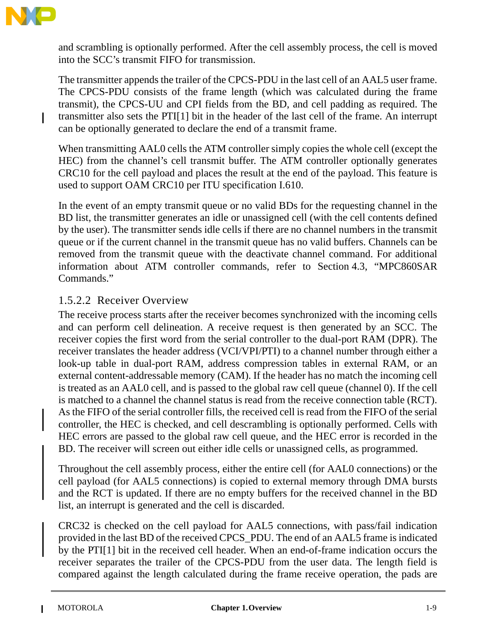

I

and scrambling is optionally performed. After the cell assembly process, the cell is moved into the SCC's transmit FIFO for transmission.

The transmitter appends the trailer of the CPCS-PDU in the last cell of an AAL5 user frame. The CPCS-PDU consists of the frame length (which was calculated during the frame transmit), the CPCS-UU and CPI fields from the BD, and cell padding as required. The transmitter also sets the PTI[1] bit in the header of the last cell of the frame. An interrupt can be optionally generated to declare the end of a transmit frame.

When transmitting AAL0 cells the ATM controller simply copies the whole cell (except the HEC) from the channel's cell transmit buffer. The ATM controller optionally generates CRC10 for the cell payload and places the result at the end of the payload. This feature is used to support OAM CRC10 per ITU specification I.610.

In the event of an empty transmit queue or no valid BDs for the requesting channel in the BD list, the transmitter generates an idle or unassigned cell (with the cell contents defined by the user). The transmitter sends idle cells if there are no channel numbers in the transmit queue or if the current channel in the transmit queue has no valid buffers. Channels can be removed from the transmit queue with the deactivate channel command. For additional information about ATM controller commands, refer to Section 4.3, "MPC860SAR Commands."

#### 1.5.2.2 Receiver Overview

The receive process starts after the receiver becomes synchronized with the incoming cells and can perform cell delineation. A receive request is then generated by an SCC. The receiver copies the first word from the serial controller to the dual-port RAM (DPR). The receiver translates the header address (VCI/VPI/PTI) to a channel number through either a look-up table in dual-port RAM, address compression tables in external RAM, or an external content-addressable memory (CAM). If the header has no match the incoming cell is treated as an AAL0 cell, and is passed to the global raw cell queue (channel 0). If the cell is matched to a channel the channel status is read from the receive connection table (RCT). As the FIFO of the serial controller fills, the received cell is read from the FIFO of the serial controller, the HEC is checked, and cell descrambling is optionally performed. Cells with HEC errors are passed to the global raw cell queue, and the HEC error is recorded in the BD. The receiver will screen out either idle cells or unassigned cells, as programmed.

Throughout the cell assembly process, either the entire cell (for AAL0 connections) or the cell payload (for AAL5 connections) is copied to external memory through DMA bursts and the RCT is updated. If there are no empty buffers for the received channel in the BD list, an interrupt is generated and the cell is discarded.

CRC32 is checked on the cell payload for AAL5 connections, with pass/fail indication provided in the last BD of the received CPCS\_PDU. The end of an AAL5 frame is indicated by the PTI[1] bit in the received cell header. When an end-of-frame indication occurs the receiver separates the trailer of the CPCS-PDU from the user data. The length field is compared against the length calculated during the frame receive operation, the pads are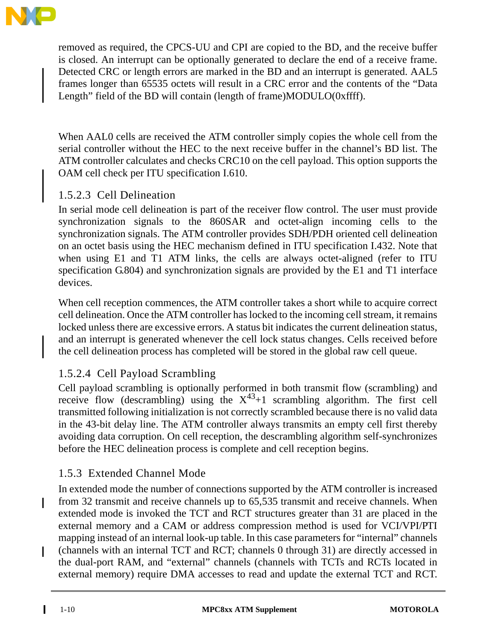

removed as required, the CPCS-UU and CPI are copied to the BD, and the receive buffer is closed. An interrupt can be optionally generated to declare the end of a receive frame. Detected CRC or length errors are marked in the BD and an interrupt is generated. AAL5 frames longer than 65535 octets will result in a CRC error and the contents of the "Data Length" field of the BD will contain (length of frame)MODULO(0xffff).

When AAL0 cells are received the ATM controller simply copies the whole cell from the serial controller without the HEC to the next receive buffer in the channel's BD list. The ATM controller calculates and checks CRC10 on the cell payload. This option supports the OAM cell check per ITU specification I.610.

#### 1.5.2.3 Cell Delineation

In serial mode cell delineation is part of the receiver flow control. The user must provide synchronization signals to the 860SAR and octet-align incoming cells to the synchronization signals. The ATM controller provides SDH/PDH oriented cell delineation on an octet basis using the HEC mechanism defined in ITU specification I.432. Note that when using E1 and T1 ATM links, the cells are always octet-aligned (refer to ITU specification G.804) and synchronization signals are provided by the E1 and T1 interface devices.

When cell reception commences, the ATM controller takes a short while to acquire correct cell delineation. Once the ATM controller has locked to the incoming cell stream, it remains locked unless there are excessive errors. A status bit indicates the current delineation status, and an interrupt is generated whenever the cell lock status changes. Cells received before the cell delineation process has completed will be stored in the global raw cell queue.

#### 1.5.2.4 Cell Payload Scrambling

Cell payload scrambling is optionally performed in both transmit flow (scrambling) and receive flow (descrambling) using the  $X^{43}+1$  scrambling algorithm. The first cell transmitted following initialization is not correctly scrambled because there is no valid data in the 43-bit delay line. The ATM controller always transmits an empty cell first thereby avoiding data corruption. On cell reception, the descrambling algorithm self-synchronizes before the HEC delineation process is complete and cell reception begins.

#### 1.5.3 Extended Channel Mode

In extended mode the number of connections supported by the ATM controller is increased from 32 transmit and receive channels up to 65,535 transmit and receive channels. When extended mode is invoked the TCT and RCT structures greater than 31 are placed in the external memory and a CAM or address compression method is used for VCI/VPI/PTI mapping instead of an internal look-up table. In this case parameters for "internal" channels (channels with an internal TCT and RCT; channels 0 through 31) are directly accessed in the dual-port RAM, and "external" channels (channels with TCTs and RCTs located in external memory) require DMA accesses to read and update the external TCT and RCT.

I

I

I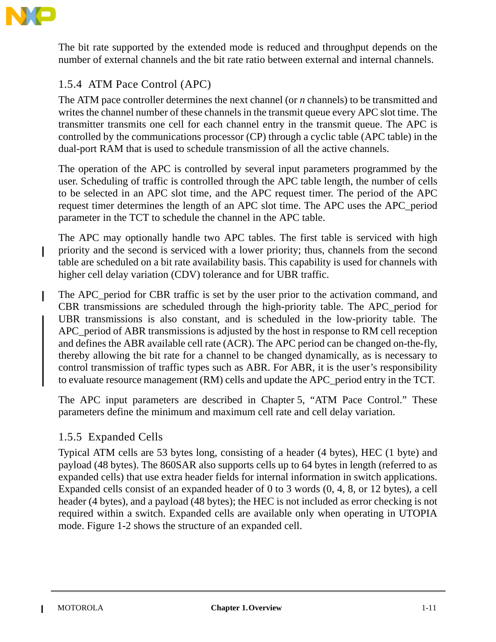

The bit rate supported by the extended mode is reduced and throughput depends on the number of external channels and the bit rate ratio between external and internal channels.

#### 1.5.4 ATM Pace Control (APC)

The ATM pace controller determines the next channel (or *n* channels) to be transmitted and writes the channel number of these channels in the transmit queue every APC slot time. The transmitter transmits one cell for each channel entry in the transmit queue. The APC is controlled by the communications processor (CP) through a cyclic table (APC table) in the dual-port RAM that is used to schedule transmission of all the active channels.

The operation of the APC is controlled by several input parameters programmed by the user. Scheduling of traffic is controlled through the APC table length, the number of cells to be selected in an APC slot time, and the APC request timer. The period of the APC request timer determines the length of an APC slot time. The APC uses the APC\_period parameter in the TCT to schedule the channel in the APC table.

The APC may optionally handle two APC tables. The first table is serviced with high priority and the second is serviced with a lower priority; thus, channels from the second table are scheduled on a bit rate availability basis. This capability is used for channels with higher cell delay variation (CDV) tolerance and for UBR traffic.

The APC period for CBR traffic is set by the user prior to the activation command, and CBR transmissions are scheduled through the high-priority table. The APC\_period for UBR transmissions is also constant, and is scheduled in the low-priority table. The APC period of ABR transmissions is adjusted by the host in response to RM cell reception and defines the ABR available cell rate (ACR). The APC period can be changed on-the-fly, thereby allowing the bit rate for a channel to be changed dynamically, as is necessary to control transmission of traffic types such as ABR. For ABR, it is the user's responsibility to evaluate resource management (RM) cells and update the APC\_period entry in the TCT.

The APC input parameters are described in Chapter 5, "ATM Pace Control." These parameters define the minimum and maximum cell rate and cell delay variation.

#### 1.5.5 Expanded Cells

Typical ATM cells are 53 bytes long, consisting of a header (4 bytes), HEC (1 byte) and payload (48 bytes). The 860SAR also supports cells up to 64 bytes in length (referred to as expanded cells) that use extra header fields for internal information in switch applications. Expanded cells consist of an expanded header of 0 to 3 words (0, 4, 8, or 12 bytes), a cell header (4 bytes), and a payload (48 bytes); the HEC is not included as error checking is not required within a switch. Expanded cells are available only when operating in UTOPIA mode. Figure 1-2 shows the structure of an expanded cell.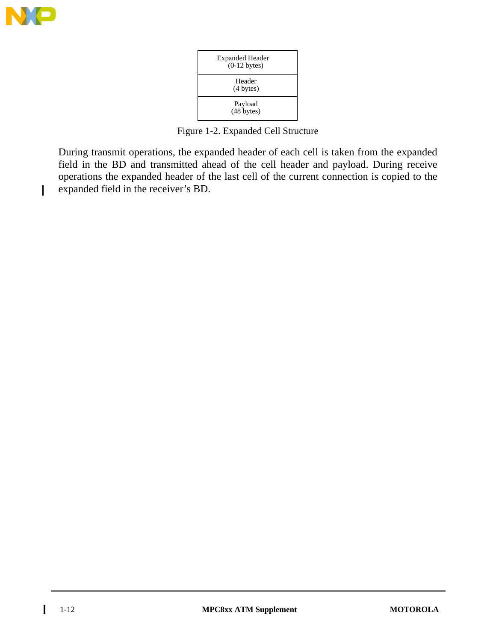

I

| <b>Expanded Header</b><br>$(0-12$ bytes) |
|------------------------------------------|
| Header<br>$(4 \text{ bytes})$            |
| Payload<br>$(48$ bytes)                  |

Figure 1-2. Expanded Cell Structure

During transmit operations, the expanded header of each cell is taken from the expanded field in the BD and transmitted ahead of the cell header and payload. During receive operations the expanded header of the last cell of the current connection is copied to the expanded field in the receiver's BD.

 $\mathbf{I}$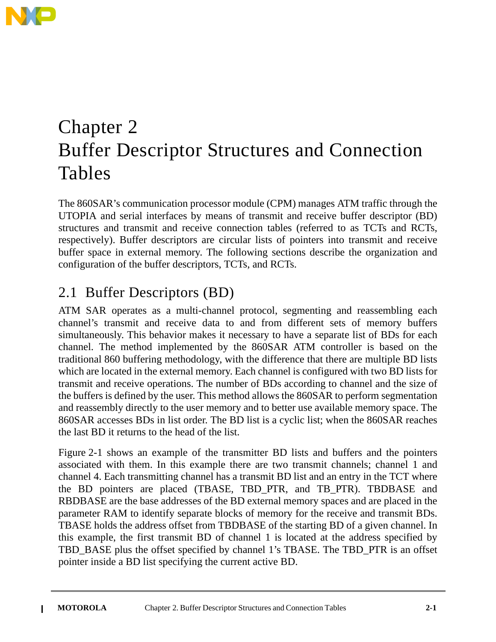

# Chapter 2 Buffer Descriptor Structures and Connection Tables

The 860SAR's communication processor module (CPM) manages ATM traffic through the UTOPIA and serial interfaces by means of transmit and receive buffer descriptor (BD) structures and transmit and receive connection tables (referred to as TCTs and RCTs, respectively). Buffer descriptors are circular lists of pointers into transmit and receive buffer space in external memory. The following sections describe the organization and configuration of the buffer descriptors, TCTs, and RCTs.

### 2.1 Buffer Descriptors (BD)

ATM SAR operates as a multi-channel protocol, segmenting and reassembling each channel's transmit and receive data to and from different sets of memory buffers simultaneously. This behavior makes it necessary to have a separate list of BDs for each channel. The method implemented by the 860SAR ATM controller is based on the traditional 860 buffering methodology, with the difference that there are multiple BD lists which are located in the external memory. Each channel is configured with two BD lists for transmit and receive operations. The number of BDs according to channel and the size of the buffers is defined by the user. This method allows the 860SAR to perform segmentation and reassembly directly to the user memory and to better use available memory space. The 860SAR accesses BDs in list order. The BD list is a cyclic list; when the 860SAR reaches the last BD it returns to the head of the list.

Figure 2-1 shows an example of the transmitter BD lists and buffers and the pointers associated with them. In this example there are two transmit channels; channel 1 and channel 4. Each transmitting channel has a transmit BD list and an entry in the TCT where the BD pointers are placed (TBASE, TBD\_PTR, and TB\_PTR). TBDBASE and RBDBASE are the base addresses of the BD external memory spaces and are placed in the parameter RAM to identify separate blocks of memory for the receive and transmit BDs. TBASE holds the address offset from TBDBASE of the starting BD of a given channel. In this example, the first transmit BD of channel 1 is located at the address specified by TBD\_BASE plus the offset specified by channel 1's TBASE. The TBD\_PTR is an offset pointer inside a BD list specifying the current active BD.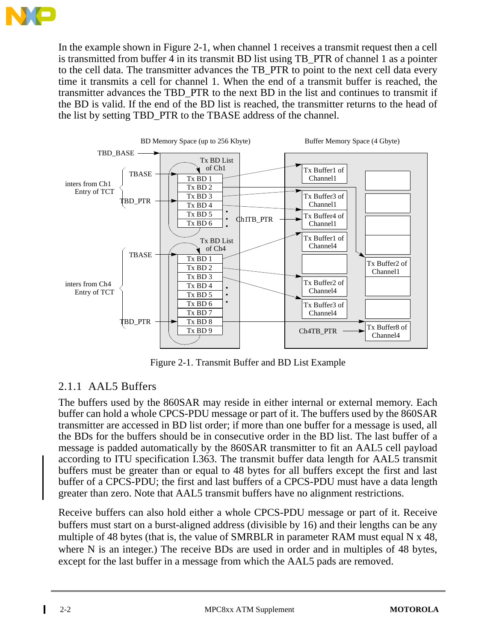

In the example shown in Figure 2-1, when channel 1 receives a transmit request then a cell is transmitted from buffer 4 in its transmit BD list using TB PTR of channel 1 as a pointer to the cell data. The transmitter advances the TB\_PTR to point to the next cell data every time it transmits a cell for channel 1. When the end of a transmit buffer is reached, the transmitter advances the TBD\_PTR to the next BD in the list and continues to transmit if the BD is valid. If the end of the BD list is reached, the transmitter returns to the head of the list by setting TBD\_PTR to the TBASE address of the channel.



Figure 2-1. Transmit Buffer and BD List Example

#### 2.1.1 AAL5 Buffers

The buffers used by the 860SAR may reside in either internal or external memory. Each buffer can hold a whole CPCS-PDU message or part of it. The buffers used by the 860SAR transmitter are accessed in BD list order; if more than one buffer for a message is used, all the BDs for the buffers should be in consecutive order in the BD list. The last buffer of a message is padded automatically by the 860SAR transmitter to fit an AAL5 cell payload according to ITU specification I.363. The transmit buffer data length for AAL5 transmit buffers must be greater than or equal to 48 bytes for all buffers except the first and last buffer of a CPCS-PDU; the first and last buffers of a CPCS-PDU must have a data length greater than zero. Note that AAL5 transmit buffers have no alignment restrictions.

Receive buffers can also hold either a whole CPCS-PDU message or part of it. Receive buffers must start on a burst-aligned address (divisible by 16) and their lengths can be any multiple of 48 bytes (that is, the value of SMRBLR in parameter RAM must equal N x 48, where N is an integer.) The receive BDs are used in order and in multiples of 48 bytes, except for the last buffer in a message from which the AAL5 pads are removed.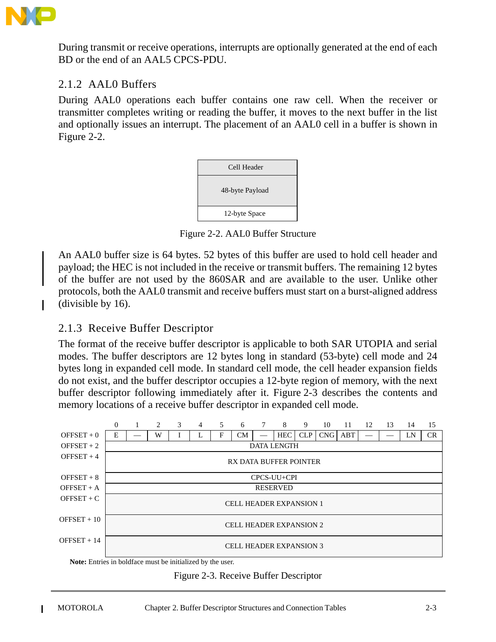

During transmit or receive operations, interrupts are optionally generated at the end of each BD or the end of an AAL5 CPCS-PDU.

#### 2.1.2 AAL0 Buffers

During AAL0 operations each buffer contains one raw cell. When the receiver or transmitter completes writing or reading the buffer, it moves to the next buffer in the list and optionally issues an interrupt. The placement of an AAL0 cell in a buffer is shown in Figure 2-2.



Figure 2-2. AAL0 Buffer Structure

An AAL0 buffer size is 64 bytes. 52 bytes of this buffer are used to hold cell header and payload; the HEC is not included in the receive or transmit buffers. The remaining 12 bytes of the buffer are not used by the 860SAR and are available to the user. Unlike other protocols, both the AAL0 transmit and receive buffers must start on a burst-aligned address (divisible by 16).

#### 2.1.3 Receive Buffer Descriptor

The format of the receive buffer descriptor is applicable to both SAR UTOPIA and serial modes. The buffer descriptors are 12 bytes long in standard (53-byte) cell mode and 24 bytes long in expanded cell mode. In standard cell mode, the cell header expansion fields do not exist, and the buffer descriptor occupies a 12-byte region of memory, with the next buffer descriptor following immediately after it. Figure 2-3 describes the contents and memory locations of a receive buffer descriptor in expanded cell mode.



**Note:** Entries in boldface must be initialized by the user.

#### Figure 2-3. Receive Buffer Descriptor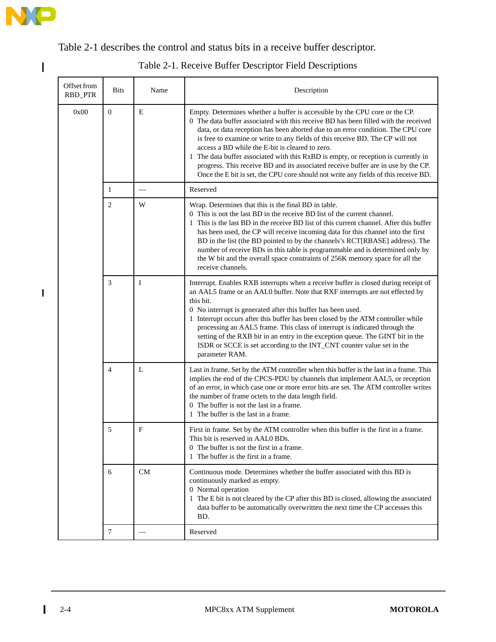

 $\mathbf I$ 

 $\begin{array}{c} \rule{0pt}{2.5ex} \rule{0pt}{2.5ex} \rule{0pt}{2.5ex} \rule{0pt}{2.5ex} \rule{0pt}{2.5ex} \rule{0pt}{2.5ex} \rule{0pt}{2.5ex} \rule{0pt}{2.5ex} \rule{0pt}{2.5ex} \rule{0pt}{2.5ex} \rule{0pt}{2.5ex} \rule{0pt}{2.5ex} \rule{0pt}{2.5ex} \rule{0pt}{2.5ex} \rule{0pt}{2.5ex} \rule{0pt}{2.5ex} \rule{0pt}{2.5ex} \rule{0pt}{2.5ex} \rule{0pt}{2.5ex} \rule{0$ 

Table 2-1 describes the control and status bits in a receive buffer descriptor.

| Offset from<br>RBD_PTR | <b>Bits</b>    | Name         | Description                                                                                                                                                                                                                                                                                                                                                                                                                                                                                                                                                                                                                                                  |
|------------------------|----------------|--------------|--------------------------------------------------------------------------------------------------------------------------------------------------------------------------------------------------------------------------------------------------------------------------------------------------------------------------------------------------------------------------------------------------------------------------------------------------------------------------------------------------------------------------------------------------------------------------------------------------------------------------------------------------------------|
| 0x00                   | $\mathbf{0}$   | E            | Empty. Determines whether a buffer is accessible by the CPU core or the CP.<br>0 The data buffer associated with this receive BD has been filled with the received<br>data, or data reception has been aborted due to an error condition. The CPU core<br>is free to examine or write to any fields of this receive BD. The CP will not<br>access a BD while the E-bit is cleared to zero.<br>1 The data buffer associated with this RxBD is empty, or reception is currently in<br>progress. This receive BD and its associated receive buffer are in use by the CP.<br>Once the E bit is set, the CPU core should not write any fields of this receive BD. |
|                        | 1              |              | Reserved                                                                                                                                                                                                                                                                                                                                                                                                                                                                                                                                                                                                                                                     |
|                        | 2              | W            | Wrap. Determines that this is the final BD in table.<br>0 This is not the last BD in the receive BD list of the current channel.<br>1 This is the last BD in the receive BD list of this current channel. After this buffer<br>has been used, the CP will receive incoming data for this channel into the first<br>BD in the list (the BD pointed to by the channels's RCT[RBASE] address). The<br>number of receive BDs in this table is programmable and is determined only by<br>the W bit and the overall space constraints of 256K memory space for all the<br>receive channels.                                                                        |
|                        | 3              | I            | Interrupt. Enables RXB interrupts when a receive buffer is closed during receipt of<br>an AAL5 frame or an AAL0 buffer. Note that RXF interrupts are not effected by<br>this bit.<br>0 No interrupt is generated after this buffer has been used.<br>1 Interrupt occurs after this buffer has been closed by the ATM controller while<br>processing an AAL5 frame. This class of interrupt is indicated through the<br>setting of the RXB bit in an entry in the exception queue. The GINT bit in the<br>ISDR or SCCE is set according to the INT_CNT counter value set in the<br>parameter RAM.                                                             |
|                        | $\overline{4}$ | L            | Last in frame. Set by the ATM controller when this buffer is the last in a frame. This<br>implies the end of the CPCS-PDU by channels that implement AAL5, or reception<br>of an error, in which case one or more error bits are set. The ATM controller writes<br>the number of frame octets to the data length field.<br>0 The buffer is not the last in a frame.<br>1 The buffer is the last in a frame.                                                                                                                                                                                                                                                  |
|                        | 5              | $\mathbf{F}$ | First in frame. Set by the ATM controller when this buffer is the first in a frame.<br>This bit is reserved in AAL0 BDs.<br>0 The buffer is not the first in a frame.<br>1 The buffer is the first in a frame.                                                                                                                                                                                                                                                                                                                                                                                                                                               |
|                        | 6              | CM           | Continuous mode. Determines whether the buffer associated with this BD is<br>continuously marked as empty.<br>0 Normal operation<br>1 The E bit is not cleared by the CP after this BD is closed, allowing the associated<br>data buffer to be automatically overwritten the next time the CP accesses this<br>BD.                                                                                                                                                                                                                                                                                                                                           |
|                        | $\tau$         |              | Reserved                                                                                                                                                                                                                                                                                                                                                                                                                                                                                                                                                                                                                                                     |

Table 2-1. Receive Buffer Descriptor Field Descriptions

 $\mathbf{I}$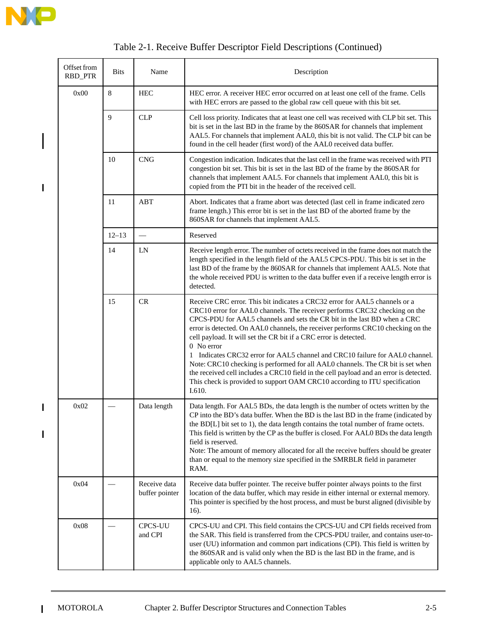

 $\overline{\phantom{a}}$ 

 $\mathbf{I}$ 

 $\begin{array}{c} \hline \end{array}$ 

 $\mathbf{I}$ 

 $\mathbf{I}$ 

| Offset from<br>RBD_PTR | <b>Bits</b> | Name                           | Description                                                                                                                                                                                                                                                                                                                                                                                                                                                                                                                                                                                                                                                                                                                                                       |
|------------------------|-------------|--------------------------------|-------------------------------------------------------------------------------------------------------------------------------------------------------------------------------------------------------------------------------------------------------------------------------------------------------------------------------------------------------------------------------------------------------------------------------------------------------------------------------------------------------------------------------------------------------------------------------------------------------------------------------------------------------------------------------------------------------------------------------------------------------------------|
| 0x00                   | 8           | <b>HEC</b>                     | HEC error. A receiver HEC error occurred on at least one cell of the frame. Cells<br>with HEC errors are passed to the global raw cell queue with this bit set.                                                                                                                                                                                                                                                                                                                                                                                                                                                                                                                                                                                                   |
|                        | 9           | <b>CLP</b>                     | Cell loss priority. Indicates that at least one cell was received with CLP bit set. This<br>bit is set in the last BD in the frame by the 860SAR for channels that implement<br>AAL5. For channels that implement AAL0, this bit is not valid. The CLP bit can be<br>found in the cell header (first word) of the AAL0 received data buffer.                                                                                                                                                                                                                                                                                                                                                                                                                      |
|                        | 10          | CNG                            | Congestion indication. Indicates that the last cell in the frame was received with PTI<br>congestion bit set. This bit is set in the last BD of the frame by the 860SAR for<br>channels that implement AAL5. For channels that implement AAL0, this bit is<br>copied from the PTI bit in the header of the received cell.                                                                                                                                                                                                                                                                                                                                                                                                                                         |
|                        | 11          | <b>ABT</b>                     | Abort. Indicates that a frame abort was detected (last cell in frame indicated zero<br>frame length.) This error bit is set in the last BD of the aborted frame by the<br>860SAR for channels that implement AAL5.                                                                                                                                                                                                                                                                                                                                                                                                                                                                                                                                                |
|                        | $12 - 13$   |                                | Reserved                                                                                                                                                                                                                                                                                                                                                                                                                                                                                                                                                                                                                                                                                                                                                          |
|                        | 14          | LN                             | Receive length error. The number of octets received in the frame does not match the<br>length specified in the length field of the AAL5 CPCS-PDU. This bit is set in the<br>last BD of the frame by the 860SAR for channels that implement AAL5. Note that<br>the whole received PDU is written to the data buffer even if a receive length error is<br>detected.                                                                                                                                                                                                                                                                                                                                                                                                 |
|                        | 15          | <b>CR</b>                      | Receive CRC error. This bit indicates a CRC32 error for AAL5 channels or a<br>CRC10 error for AAL0 channels. The receiver performs CRC32 checking on the<br>CPCS-PDU for AAL5 channels and sets the CR bit in the last BD when a CRC<br>error is detected. On AAL0 channels, the receiver performs CRC10 checking on the<br>cell payload. It will set the CR bit if a CRC error is detected.<br>$0$ No error<br>1 Indicates CRC32 error for AAL5 channel and CRC10 failure for AAL0 channel.<br>Note: CRC10 checking is performed for all AAL0 channels. The CR bit is set when<br>the received cell includes a CRC10 field in the cell payload and an error is detected.<br>This check is provided to support OAM CRC10 according to ITU specification<br>I.610. |
| 0x02                   |             | Data length                    | Data length. For AAL5 BDs, the data length is the number of octets written by the<br>CP into the BD's data buffer. When the BD is the last BD in the frame (indicated by<br>the BD[L] bit set to 1), the data length contains the total number of frame octets.<br>This field is written by the CP as the buffer is closed. For AALO BDs the data length<br>field is reserved.<br>Note: The amount of memory allocated for all the receive buffers should be greater<br>than or equal to the memory size specified in the SMRBLR field in parameter<br>RAM.                                                                                                                                                                                                       |
| 0x04                   |             | Receive data<br>buffer pointer | Receive data buffer pointer. The receive buffer pointer always points to the first<br>location of the data buffer, which may reside in either internal or external memory.<br>This pointer is specified by the host process, and must be burst aligned (divisible by<br>16).                                                                                                                                                                                                                                                                                                                                                                                                                                                                                      |
| 0x08                   |             | <b>CPCS-UU</b><br>and CPI      | CPCS-UU and CPI. This field contains the CPCS-UU and CPI fields received from<br>the SAR. This field is transferred from the CPCS-PDU trailer, and contains user-to-<br>user (UU) information and common part indications (CPI). This field is written by<br>the 860SAR and is valid only when the BD is the last BD in the frame, and is<br>applicable only to AAL5 channels.                                                                                                                                                                                                                                                                                                                                                                                    |

|  |  |  | Table 2-1. Receive Buffer Descriptor Field Descriptions (Continued) |  |
|--|--|--|---------------------------------------------------------------------|--|
|  |  |  |                                                                     |  |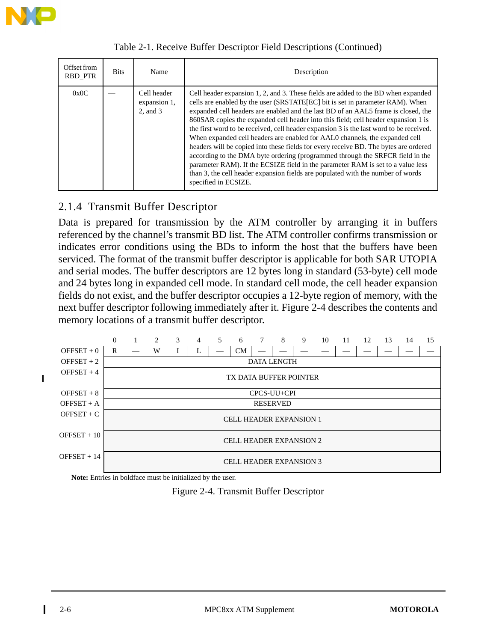

| Offset from<br>RBD PTR | <b>Bits</b> | Name                                         | Description                                                                                                                                                                                                                                                                                                                                                                                                                                                                                                                                                                                                                                                                                                                                                                                                                                                                                    |
|------------------------|-------------|----------------------------------------------|------------------------------------------------------------------------------------------------------------------------------------------------------------------------------------------------------------------------------------------------------------------------------------------------------------------------------------------------------------------------------------------------------------------------------------------------------------------------------------------------------------------------------------------------------------------------------------------------------------------------------------------------------------------------------------------------------------------------------------------------------------------------------------------------------------------------------------------------------------------------------------------------|
| 0x0C                   |             | Cell header<br>expansion 1,<br>$2$ , and $3$ | Cell header expansion 1, 2, and 3. These fields are added to the BD when expanded<br>cells are enabled by the user (SRSTATE[EC] bit is set in parameter RAM). When<br>expanded cell headers are enabled and the last BD of an AAL5 frame is closed, the<br>860SAR copies the expanded cell header into this field; cell header expansion 1 is<br>the first word to be received, cell header expansion 3 is the last word to be received.<br>When expanded cell headers are enabled for AAL0 channels, the expanded cell<br>headers will be copied into these fields for every receive BD. The bytes are ordered<br>according to the DMA byte ordering (programmed through the SRFCR field in the<br>parameter RAM). If the ECSIZE field in the parameter RAM is set to a value less<br>than 3, the cell header expansion fields are populated with the number of words<br>specified in ECSIZE. |

Table 2-1. Receive Buffer Descriptor Field Descriptions (Continued)

#### 2.1.4 Transmit Buffer Descriptor

Data is prepared for transmission by the ATM controller by arranging it in buffers referenced by the channel's transmit BD list. The ATM controller confirms transmission or indicates error conditions using the BDs to inform the host that the buffers have been serviced. The format of the transmit buffer descriptor is applicable for both SAR UTOPIA and serial modes. The buffer descriptors are 12 bytes long in standard (53-byte) cell mode and 24 bytes long in expanded cell mode. In standard cell mode, the cell header expansion fields do not exist, and the buffer descriptor occupies a 12-byte region of memory, with the next buffer descriptor following immediately after it. Figure 2-4 describes the contents and memory locations of a transmit buffer descriptor.



**Note:** Entries in boldface must be initialized by the user.

Figure 2-4. Transmit Buffer Descriptor

Ī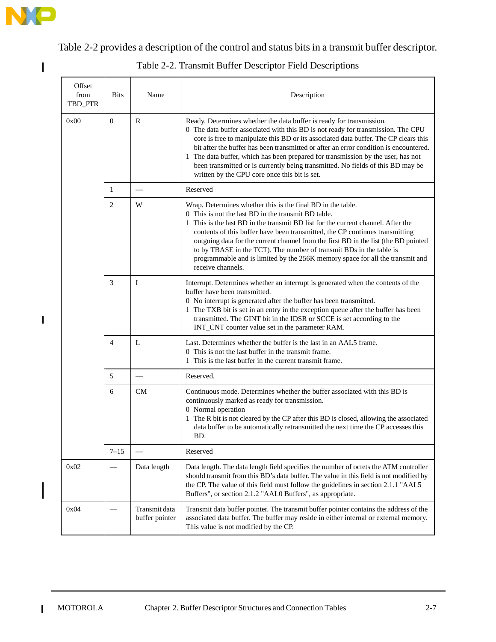

 $\mathbf{l}$ 

 $\mathbf{I}$ 

Ι

×

Table 2-2 provides a description of the control and status bits in a transmit buffer descriptor.

| Offset<br>from<br>TBD_PTR | <b>Bits</b>    | Name                            | Description                                                                                                                                                                                                                                                                                                                                                                                                                                                                                                                                                       |  |  |
|---------------------------|----------------|---------------------------------|-------------------------------------------------------------------------------------------------------------------------------------------------------------------------------------------------------------------------------------------------------------------------------------------------------------------------------------------------------------------------------------------------------------------------------------------------------------------------------------------------------------------------------------------------------------------|--|--|
| 0x00                      | $\mathbf{0}$   | R                               | Ready. Determines whether the data buffer is ready for transmission.<br>0 The data buffer associated with this BD is not ready for transmission. The CPU<br>core is free to manipulate this BD or its associated data buffer. The CP clears this<br>bit after the buffer has been transmitted or after an error condition is encountered.<br>1 The data buffer, which has been prepared for transmission by the user, has not<br>been transmitted or is currently being transmitted. No fields of this BD may be<br>written by the CPU core once this bit is set. |  |  |
|                           | $\mathbf{1}$   |                                 | Reserved                                                                                                                                                                                                                                                                                                                                                                                                                                                                                                                                                          |  |  |
|                           | $\overline{2}$ | W                               | Wrap. Determines whether this is the final BD in the table.<br>0 This is not the last BD in the transmit BD table.<br>1 This is the last BD in the transmit BD list for the current channel. After the<br>contents of this buffer have been transmitted, the CP continues transmitting<br>outgoing data for the current channel from the first BD in the list (the BD pointed<br>to by TBASE in the TCT). The number of transmit BDs in the table is<br>programmable and is limited by the 256K memory space for all the transmit and<br>receive channels.        |  |  |
|                           | 3              | Ι                               | Interrupt. Determines whether an interrupt is generated when the contents of the<br>buffer have been transmitted.<br>0 No interrupt is generated after the buffer has been transmitted.<br>1 The TXB bit is set in an entry in the exception queue after the buffer has been<br>transmitted. The GINT bit in the IDSR or SCCE is set according to the<br>INT_CNT counter value set in the parameter RAM.                                                                                                                                                          |  |  |
|                           | $\overline{4}$ | L                               | Last. Determines whether the buffer is the last in an AAL5 frame.<br>0 This is not the last buffer in the transmit frame.<br>1 This is the last buffer in the current transmit frame.                                                                                                                                                                                                                                                                                                                                                                             |  |  |
|                           | 5              |                                 | Reserved.                                                                                                                                                                                                                                                                                                                                                                                                                                                                                                                                                         |  |  |
|                           | 6              | CM                              | Continuous mode. Determines whether the buffer associated with this BD is<br>continuously marked as ready for transmission.<br>0 Normal operation<br>1 The R bit is not cleared by the CP after this BD is closed, allowing the associated<br>data buffer to be automatically retransmitted the next time the CP accesses this<br>BD.                                                                                                                                                                                                                             |  |  |
|                           | $7 - 15$       |                                 | Reserved                                                                                                                                                                                                                                                                                                                                                                                                                                                                                                                                                          |  |  |
| 0x02                      |                | Data length                     | Data length. The data length field specifies the number of octets the ATM controller<br>should transmit from this BD's data buffer. The value in this field is not modified by<br>the CP. The value of this field must follow the guidelines in section 2.1.1 "AAL5<br>Buffers", or section 2.1.2 "AAL0 Buffers", as appropriate.                                                                                                                                                                                                                                 |  |  |
| 0x04                      |                | Transmit data<br>buffer pointer | Transmit data buffer pointer. The transmit buffer pointer contains the address of the<br>associated data buffer. The buffer may reside in either internal or external memory.<br>This value is not modified by the CP.                                                                                                                                                                                                                                                                                                                                            |  |  |

Table 2-2. Transmit Buffer Descriptor Field Descriptions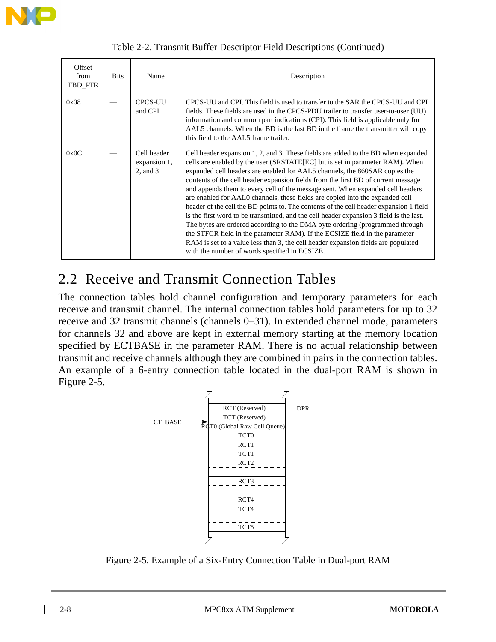

| Offset<br>from<br>TBD PTR | <b>Bits</b> | Name                                         | Description                                                                                                                                                                                                                                                                                                                                                                                                                                                                                                                                                                                                                                                                                                                                                                                                                                                                                                                                                                                        |  |  |  |
|---------------------------|-------------|----------------------------------------------|----------------------------------------------------------------------------------------------------------------------------------------------------------------------------------------------------------------------------------------------------------------------------------------------------------------------------------------------------------------------------------------------------------------------------------------------------------------------------------------------------------------------------------------------------------------------------------------------------------------------------------------------------------------------------------------------------------------------------------------------------------------------------------------------------------------------------------------------------------------------------------------------------------------------------------------------------------------------------------------------------|--|--|--|
| 0x08                      |             | <b>CPCS-UU</b><br>and CPI                    | CPCS-UU and CPI. This field is used to transfer to the SAR the CPCS-UU and CPI<br>fields. These fields are used in the CPCS-PDU trailer to transfer user-to-user (UU)<br>information and common part indications (CPI). This field is applicable only for<br>AAL5 channels. When the BD is the last BD in the frame the transmitter will copy<br>this field to the AAL5 frame trailer.                                                                                                                                                                                                                                                                                                                                                                                                                                                                                                                                                                                                             |  |  |  |
| 0x0C                      |             | Cell header<br>expansion 1,<br>$2$ , and $3$ | Cell header expansion 1, 2, and 3. These fields are added to the BD when expanded<br>cells are enabled by the user (SRSTATE[EC] bit is set in parameter RAM). When<br>expanded cell headers are enabled for AAL5 channels, the 860SAR copies the<br>contents of the cell header expansion fields from the first BD of current message<br>and appends them to every cell of the message sent. When expanded cell headers<br>are enabled for AALO channels, these fields are copied into the expanded cell<br>header of the cell the BD points to. The contents of the cell header expansion 1 field<br>is the first word to be transmitted, and the cell header expansion 3 field is the last.<br>The bytes are ordered according to the DMA byte ordering (programmed through<br>the STFCR field in the parameter RAM). If the ECSIZE field in the parameter<br>RAM is set to a value less than 3, the cell header expansion fields are populated<br>with the number of words specified in ECSIZE. |  |  |  |

|  |  |  | Table 2-2. Transmit Buffer Descriptor Field Descriptions (Continued) |
|--|--|--|----------------------------------------------------------------------|
|  |  |  |                                                                      |
|  |  |  |                                                                      |

### 2.2 Receive and Transmit Connection Tables

The connection tables hold channel configuration and temporary parameters for each receive and transmit channel. The internal connection tables hold parameters for up to 32 receive and 32 transmit channels (channels 0–31). In extended channel mode, parameters for channels 32 and above are kept in external memory starting at the memory location specified by ECTBASE in the parameter RAM. There is no actual relationship between transmit and receive channels although they are combined in pairs in the connection tables. An example of a 6-entry connection table located in the dual-port RAM is shown in Figure 2-5.



Figure 2-5. Example of a Six-Entry Connection Table in Dual-port RAM

Π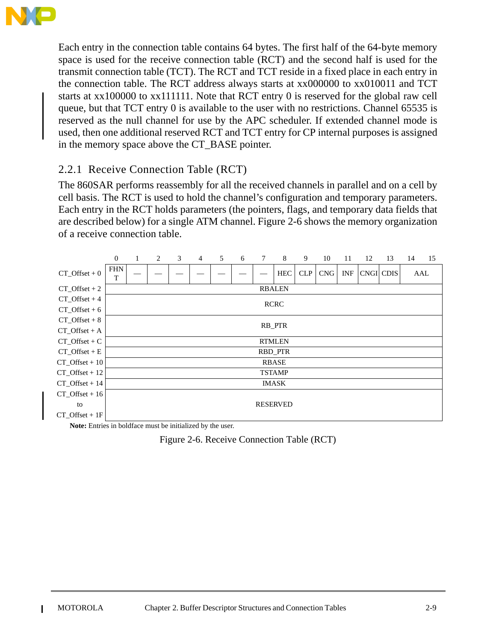

Each entry in the connection table contains 64 bytes. The first half of the 64-byte memory space is used for the receive connection table (RCT) and the second half is used for the transmit connection table (TCT). The RCT and TCT reside in a fixed place in each entry in the connection table. The RCT address always starts at xx000000 to xx010011 and TCT starts at xx100000 to xx111111. Note that RCT entry 0 is reserved for the global raw cell queue, but that TCT entry 0 is available to the user with no restrictions. Channel 65535 is reserved as the null channel for use by the APC scheduler. If extended channel mode is used, then one additional reserved RCT and TCT entry for CP internal purposes is assigned in the memory space above the CT\_BASE pointer.

#### 2.2.1 Receive Connection Table (RCT)

The 860SAR performs reassembly for all the received channels in parallel and on a cell by cell basis. The RCT is used to hold the channel's configuration and temporary parameters. Each entry in the RCT holds parameters (the pointers, flags, and temporary data fields that are described below) for a single ATM channel. Figure 2-6 shows the memory organization of a receive connection table.



**Note:** Entries in boldface must be initialized by the user.

Figure 2-6. Receive Connection Table (RCT)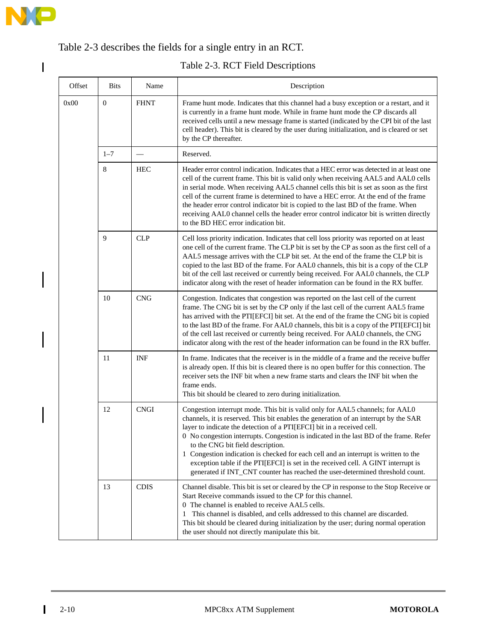

 $\begin{array}{c} \hline \end{array}$ 

#### Table 2-3 describes the fields for a single entry in an RCT.

#### Table 2-3. RCT Field Descriptions

| Offset | <b>Bits</b>  | Name        | Description                                                                                                                                                                                                                                                                                                                                                                                                                                                                                                                                                                                                                                 |  |  |  |
|--------|--------------|-------------|---------------------------------------------------------------------------------------------------------------------------------------------------------------------------------------------------------------------------------------------------------------------------------------------------------------------------------------------------------------------------------------------------------------------------------------------------------------------------------------------------------------------------------------------------------------------------------------------------------------------------------------------|--|--|--|
| 0x00   | $\mathbf{0}$ | <b>FHNT</b> | Frame hunt mode. Indicates that this channel had a busy exception or a restart, and it<br>is currently in a frame hunt mode. While in frame hunt mode the CP discards all<br>received cells until a new message frame is started (indicated by the CPI bit of the last<br>cell header). This bit is cleared by the user during initialization, and is cleared or set<br>by the CP thereafter.                                                                                                                                                                                                                                               |  |  |  |
|        | $1 - 7$      |             | Reserved.                                                                                                                                                                                                                                                                                                                                                                                                                                                                                                                                                                                                                                   |  |  |  |
|        | $\,8\,$      | <b>HEC</b>  | Header error control indication. Indicates that a HEC error was detected in at least one<br>cell of the current frame. This bit is valid only when receiving AAL5 and AAL0 cells<br>in serial mode. When receiving AAL5 channel cells this bit is set as soon as the first<br>cell of the current frame is determined to have a HEC error. At the end of the frame<br>the header error control indicator bit is copied to the last BD of the frame. When<br>receiving AAL0 channel cells the header error control indicator bit is written directly<br>to the BD HEC error indication bit.                                                  |  |  |  |
|        | 9            | <b>CLP</b>  | Cell loss priority indication. Indicates that cell loss priority was reported on at least<br>one cell of the current frame. The CLP bit is set by the CP as soon as the first cell of a<br>AAL5 message arrives with the CLP bit set. At the end of the frame the CLP bit is<br>copied to the last BD of the frame. For AAL0 channels, this bit is a copy of the CLP<br>bit of the cell last received or currently being received. For AAL0 channels, the CLP<br>indicator along with the reset of header information can be found in the RX buffer.                                                                                        |  |  |  |
|        | 10           | <b>CNG</b>  | Congestion. Indicates that congestion was reported on the last cell of the current<br>frame. The CNG bit is set by the CP only if the last cell of the current AAL5 frame<br>has arrived with the PTI[EFCI] bit set. At the end of the frame the CNG bit is copied<br>to the last BD of the frame. For AAL0 channels, this bit is a copy of the PTI[EFCI] bit<br>of the cell last received or currently being received. For AAL0 channels, the CNG<br>indicator along with the rest of the header information can be found in the RX buffer.                                                                                                |  |  |  |
|        | 11           | <b>INF</b>  | In frame. Indicates that the receiver is in the middle of a frame and the receive buffer<br>is already open. If this bit is cleared there is no open buffer for this connection. The<br>receiver sets the INF bit when a new frame starts and clears the INF bit when the<br>frame ends.<br>This bit should be cleared to zero during initialization.                                                                                                                                                                                                                                                                                       |  |  |  |
|        | 12           | <b>CNGI</b> | Congestion interrupt mode. This bit is valid only for AAL5 channels; for AAL0<br>channels, it is reserved. This bit enables the generation of an interrupt by the SAR<br>layer to indicate the detection of a PTI[EFCI] bit in a received cell.<br>0 No congestion interrupts. Congestion is indicated in the last BD of the frame. Refer<br>to the CNG bit field description.<br>1 Congestion indication is checked for each cell and an interrupt is written to the<br>exception table if the PTI[EFCI] is set in the received cell. A GINT interrupt is<br>generated if INT_CNT counter has reached the user-determined threshold count. |  |  |  |
|        | 13           | <b>CDIS</b> | Channel disable. This bit is set or cleared by the CP in response to the Stop Receive or<br>Start Receive commands issued to the CP for this channel.<br>0 The channel is enabled to receive AAL5 cells.<br>This channel is disabled, and cells addressed to this channel are discarded.<br>$\mathbf{1}$<br>This bit should be cleared during initialization by the user; during normal operation<br>the user should not directly manipulate this bit.                                                                                                                                                                                      |  |  |  |

 $\mathbf{I}$ 

I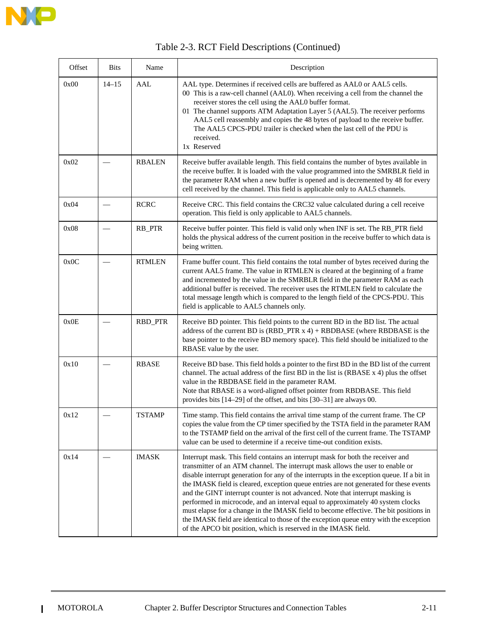

| Offset | <b>Bits</b>              | Name          | Description                                                                                                                                                                                                                                                                                                                                                                                                                                                                                                                                                                                                                                                                                                                                                                          |  |  |
|--------|--------------------------|---------------|--------------------------------------------------------------------------------------------------------------------------------------------------------------------------------------------------------------------------------------------------------------------------------------------------------------------------------------------------------------------------------------------------------------------------------------------------------------------------------------------------------------------------------------------------------------------------------------------------------------------------------------------------------------------------------------------------------------------------------------------------------------------------------------|--|--|
| 0x00   | $14 - 15$                | <b>AAL</b>    | AAL type. Determines if received cells are buffered as AAL0 or AAL5 cells.<br>00 This is a raw-cell channel (AAL0). When receiving a cell from the channel the<br>receiver stores the cell using the AAL0 buffer format.<br>01 The channel supports ATM Adaptation Layer 5 (AAL5). The receiver performs<br>AAL5 cell reassembly and copies the 48 bytes of payload to the receive buffer.<br>The AAL5 CPCS-PDU trailer is checked when the last cell of the PDU is<br>received.<br>1x Reserved                                                                                                                                                                                                                                                                                      |  |  |
| 0x02   |                          | <b>RBALEN</b> | Receive buffer available length. This field contains the number of bytes available in<br>the receive buffer. It is loaded with the value programmed into the SMRBLR field in<br>the parameter RAM when a new buffer is opened and is decremented by 48 for every<br>cell received by the channel. This field is applicable only to AAL5 channels.                                                                                                                                                                                                                                                                                                                                                                                                                                    |  |  |
| 0x04   | $\overline{\phantom{0}}$ | <b>RCRC</b>   | Receive CRC. This field contains the CRC32 value calculated during a cell receive<br>operation. This field is only applicable to AAL5 channels.                                                                                                                                                                                                                                                                                                                                                                                                                                                                                                                                                                                                                                      |  |  |
| 0x08   |                          | RB_PTR        | Receive buffer pointer. This field is valid only when INF is set. The RB_PTR field<br>holds the physical address of the current position in the receive buffer to which data is<br>being written.                                                                                                                                                                                                                                                                                                                                                                                                                                                                                                                                                                                    |  |  |
| 0x0C   |                          | <b>RTMLEN</b> | Frame buffer count. This field contains the total number of bytes received during the<br>current AAL5 frame. The value in RTMLEN is cleared at the beginning of a frame<br>and incremented by the value in the SMRBLR field in the parameter RAM as each<br>additional buffer is received. The receiver uses the RTMLEN field to calculate the<br>total message length which is compared to the length field of the CPCS-PDU. This<br>field is applicable to AAL5 channels only.                                                                                                                                                                                                                                                                                                     |  |  |
| 0x0E   |                          | RBD_PTR       | Receive BD pointer. This field points to the current BD in the BD list. The actual<br>address of the current BD is $(RBD_PTR x 4) + RBDBASE$ (where RBDBASE is the<br>base pointer to the receive BD memory space). This field should be initialized to the<br>RBASE value by the user.                                                                                                                                                                                                                                                                                                                                                                                                                                                                                              |  |  |
| 0x10   |                          | <b>RBASE</b>  | Receive BD base. This field holds a pointer to the first BD in the BD list of the current<br>channel. The actual address of the first BD in the list is (RBASE x 4) plus the offset<br>value in the RBDBASE field in the parameter RAM.<br>Note that RBASE is a word-aligned offset pointer from RBDBASE. This field<br>provides bits [14–29] of the offset, and bits [30–31] are always 00.                                                                                                                                                                                                                                                                                                                                                                                         |  |  |
| 0x12   |                          | <b>TSTAMP</b> | Time stamp. This field contains the arrival time stamp of the current frame. The CP<br>copies the value from the CP timer specified by the TSTA field in the parameter RAM<br>to the TSTAMP field on the arrival of the first cell of the current frame. The TSTAMP<br>value can be used to determine if a receive time-out condition exists.                                                                                                                                                                                                                                                                                                                                                                                                                                        |  |  |
| 0x14   |                          | <b>IMASK</b>  | Interrupt mask. This field contains an interrupt mask for both the receiver and<br>transmitter of an ATM channel. The interrupt mask allows the user to enable or<br>disable interrupt generation for any of the interrupts in the exception queue. If a bit in<br>the IMASK field is cleared, exception queue entries are not generated for these events<br>and the GINT interrupt counter is not advanced. Note that interrupt masking is<br>performed in microcode, and an interval equal to approximately 40 system clocks<br>must elapse for a change in the IMASK field to become effective. The bit positions in<br>the IMASK field are identical to those of the exception queue entry with the exception<br>of the APCO bit position, which is reserved in the IMASK field. |  |  |

#### Table 2-3. RCT Field Descriptions (Continued)

 $\blacksquare$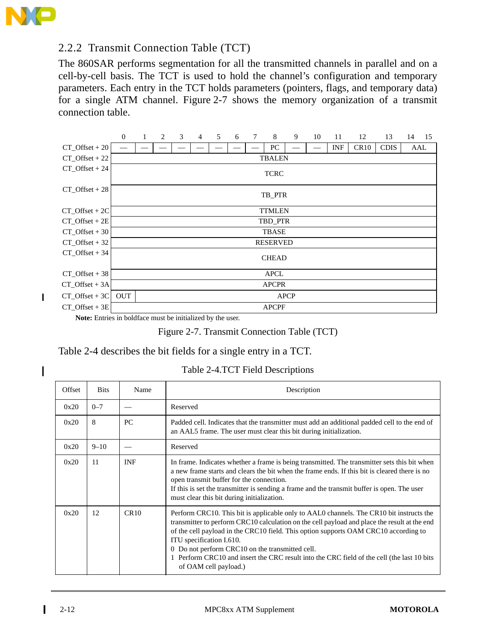

 $\mathbf I$ 

I

#### 2.2.2 Transmit Connection Table (TCT)

The 860SAR performs segmentation for all the transmitted channels in parallel and on a cell-by-cell basis. The TCT is used to hold the channel's configuration and temporary parameters. Each entry in the TCT holds parameters (pointers, flags, and temporary data) for a single ATM channel. Figure 2-7 shows the memory organization of a transmit connection table.



**Note:** Entries in boldface must be initialized by the user.

Figure 2-7. Transmit Connection Table (TCT)

#### Table 2-4 describes the bit fields for a single entry in a TCT.

| Table 2-4.TCT Field Descriptions |  |  |
|----------------------------------|--|--|
|                                  |  |  |

| Offset | <b>Bits</b> | Name       | Description                                                                                                                                                                                                                                                                                                                                                                                                                                                                          |
|--------|-------------|------------|--------------------------------------------------------------------------------------------------------------------------------------------------------------------------------------------------------------------------------------------------------------------------------------------------------------------------------------------------------------------------------------------------------------------------------------------------------------------------------------|
| 0x20   | $0 - 7$     |            | Reserved                                                                                                                                                                                                                                                                                                                                                                                                                                                                             |
| 0x20   | 8           | PC         | Padded cell. Indicates that the transmitter must add an additional padded cell to the end of<br>an AAL5 frame. The user must clear this bit during initialization.                                                                                                                                                                                                                                                                                                                   |
| 0x20   | $9 - 10$    |            | Reserved                                                                                                                                                                                                                                                                                                                                                                                                                                                                             |
| 0x20   | 11          | <b>INF</b> | In frame. Indicates whether a frame is being transmitted. The transmitter sets this bit when<br>a new frame starts and clears the bit when the frame ends. If this bit is cleared there is no<br>open transmit buffer for the connection.<br>If this is set the transmitter is sending a frame and the transmit buffer is open. The user<br>must clear this bit during initialization.                                                                                               |
| 0x20   | 12          | CR10       | Perform CRC10. This bit is applicable only to AALO channels. The CR10 bit instructs the<br>transmitter to perform CRC10 calculation on the cell payload and place the result at the end<br>of the cell payload in the CRC10 field. This option supports OAM CRC10 according to<br>ITU specification I.610.<br>0 Do not perform CRC10 on the transmitted cell.<br>1 Perform CRC10 and insert the CRC result into the CRC field of the cell (the last 10 bits<br>of OAM cell payload.) |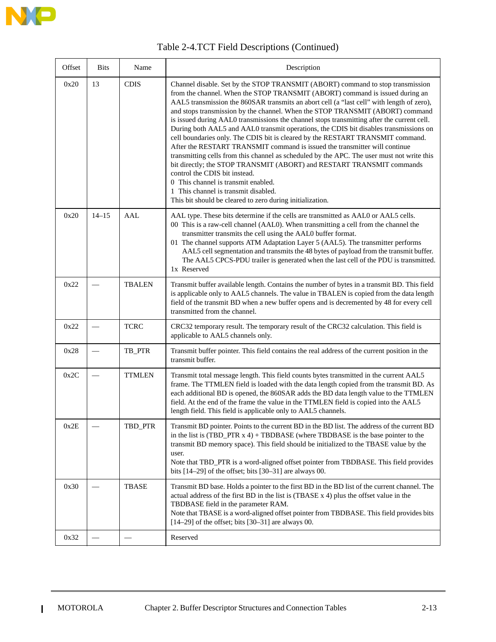

| Offset | <b>Bits</b> | Name          | Description                                                                                                                                                                                                                                                                                                                                                                                                                                                                                                                                                                                                                                                                                                                                                                                                                                                                                                                                                                                                                                             |
|--------|-------------|---------------|---------------------------------------------------------------------------------------------------------------------------------------------------------------------------------------------------------------------------------------------------------------------------------------------------------------------------------------------------------------------------------------------------------------------------------------------------------------------------------------------------------------------------------------------------------------------------------------------------------------------------------------------------------------------------------------------------------------------------------------------------------------------------------------------------------------------------------------------------------------------------------------------------------------------------------------------------------------------------------------------------------------------------------------------------------|
| 0x20   | 13          | <b>CDIS</b>   | Channel disable. Set by the STOP TRANSMIT (ABORT) command to stop transmission<br>from the channel. When the STOP TRANSMIT (ABORT) command is issued during an<br>AAL5 transmission the 860SAR transmits an abort cell (a "last cell" with length of zero),<br>and stops transmission by the channel. When the STOP TRANSMIT (ABORT) command<br>is issued during AAL0 transmissions the channel stops transmitting after the current cell.<br>During both AAL5 and AAL0 transmit operations, the CDIS bit disables transmissions on<br>cell boundaries only. The CDIS bit is cleared by the RESTART TRANSMIT command.<br>After the RESTART TRANSMIT command is issued the transmitter will continue<br>transmitting cells from this channel as scheduled by the APC. The user must not write this<br>bit directly; the STOP TRANSMIT (ABORT) and RESTART TRANSMIT commands<br>control the CDIS bit instead.<br>0 This channel is transmit enabled.<br>1 This channel is transmit disabled.<br>This bit should be cleared to zero during initialization. |
| 0x20   | $14 - 15$   | AAL           | AAL type. These bits determine if the cells are transmitted as AAL0 or AAL5 cells.<br>00 This is a raw-cell channel (AAL0). When transmitting a cell from the channel the<br>transmitter transmits the cell using the AAL0 buffer format.<br>01 The channel supports ATM Adaptation Layer 5 (AAL5). The transmitter performs<br>AAL5 cell segmentation and transmits the 48 bytes of payload from the transmit buffer.<br>The AAL5 CPCS-PDU trailer is generated when the last cell of the PDU is transmitted.<br>1x Reserved                                                                                                                                                                                                                                                                                                                                                                                                                                                                                                                           |
| 0x22   |             | <b>TBALEN</b> | Transmit buffer available length. Contains the number of bytes in a transmit BD. This field<br>is applicable only to AAL5 channels. The value in TBALEN is copied from the data length<br>field of the transmit BD when a new buffer opens and is decremented by 48 for every cell<br>transmitted from the channel.                                                                                                                                                                                                                                                                                                                                                                                                                                                                                                                                                                                                                                                                                                                                     |
| 0x22   |             | <b>TCRC</b>   | CRC32 temporary result. The temporary result of the CRC32 calculation. This field is<br>applicable to AAL5 channels only.                                                                                                                                                                                                                                                                                                                                                                                                                                                                                                                                                                                                                                                                                                                                                                                                                                                                                                                               |
| 0x28   |             | TB_PTR        | Transmit buffer pointer. This field contains the real address of the current position in the<br>transmit buffer.                                                                                                                                                                                                                                                                                                                                                                                                                                                                                                                                                                                                                                                                                                                                                                                                                                                                                                                                        |
| 0x2C   |             | <b>TTMLEN</b> | Transmit total message length. This field counts bytes transmitted in the current AAL5<br>frame. The TTMLEN field is loaded with the data length copied from the transmit BD. As<br>each additional BD is opened, the 860SAR adds the BD data length value to the TTMLEN<br>field. At the end of the frame the value in the TTMLEN field is copied into the AAL5<br>length field. This field is applicable only to AAL5 channels.                                                                                                                                                                                                                                                                                                                                                                                                                                                                                                                                                                                                                       |
| 0x2E   |             | TBD_PTR       | Transmit BD pointer. Points to the current BD in the BD list. The address of the current BD<br>in the list is $(TBD_PTR x 4) + TBDBASE$ (where TBDBASE is the base pointer to the<br>transmit BD memory space). This field should be initialized to the TBASE value by the<br>user.<br>Note that TBD_PTR is a word-aligned offset pointer from TBDBASE. This field provides<br>bits $[14-29]$ of the offset; bits $[30-31]$ are always 00.                                                                                                                                                                                                                                                                                                                                                                                                                                                                                                                                                                                                              |
| 0x30   |             | TBASE         | Transmit BD base. Holds a pointer to the first BD in the BD list of the current channel. The<br>actual address of the first BD in the list is (TBASE x 4) plus the offset value in the<br>TBDBASE field in the parameter RAM.<br>Note that TBASE is a word-aligned offset pointer from TBDBASE. This field provides bits<br>$[14-29]$ of the offset; bits $[30-31]$ are always 00.                                                                                                                                                                                                                                                                                                                                                                                                                                                                                                                                                                                                                                                                      |
| 0x32   |             |               | Reserved                                                                                                                                                                                                                                                                                                                                                                                                                                                                                                                                                                                                                                                                                                                                                                                                                                                                                                                                                                                                                                                |

 $\blacksquare$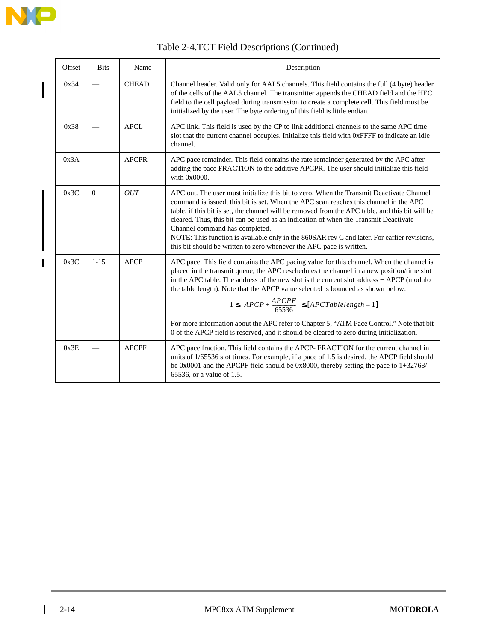

 $\overline{\phantom{a}}$ 

 $\blacksquare$ 

| Offset | <b>Bits</b> | Name         | Description                                                                                                                                                                                                                                                                                                                                                                                                                                                                                                                                                                                                                                   |
|--------|-------------|--------------|-----------------------------------------------------------------------------------------------------------------------------------------------------------------------------------------------------------------------------------------------------------------------------------------------------------------------------------------------------------------------------------------------------------------------------------------------------------------------------------------------------------------------------------------------------------------------------------------------------------------------------------------------|
| 0x34   |             | <b>CHEAD</b> | Channel header. Valid only for AAL5 channels. This field contains the full (4 byte) header<br>of the cells of the AAL5 channel. The transmitter appends the CHEAD field and the HEC<br>field to the cell payload during transmission to create a complete cell. This field must be<br>initialized by the user. The byte ordering of this field is little endian.                                                                                                                                                                                                                                                                              |
| 0x38   |             | <b>APCL</b>  | APC link. This field is used by the CP to link additional channels to the same APC time<br>slot that the current channel occupies. Initialize this field with 0xFFFF to indicate an idle<br>channel.                                                                                                                                                                                                                                                                                                                                                                                                                                          |
| 0x3A   |             | <b>APCPR</b> | APC pace remainder. This field contains the rate remainder generated by the APC after<br>adding the pace FRACTION to the additive APCPR. The user should initialize this field<br>with $0x0000$ .                                                                                                                                                                                                                                                                                                                                                                                                                                             |
| 0x3C   | $\Omega$    | <b>OUT</b>   | APC out. The user must initialize this bit to zero. When the Transmit Deactivate Channel<br>command is issued, this bit is set. When the APC scan reaches this channel in the APC<br>table, if this bit is set, the channel will be removed from the APC table, and this bit will be<br>cleared. Thus, this bit can be used as an indication of when the Transmit Deactivate<br>Channel command has completed.<br>NOTE: This function is available only in the 860SAR rev C and later. For earlier revisions,<br>this bit should be written to zero whenever the APC pace is written.                                                         |
| 0x3C   | $1 - 15$    | <b>APCP</b>  | APC pace. This field contains the APC pacing value for this channel. When the channel is<br>placed in the transmit queue, the APC reschedules the channel in a new position/time slot<br>in the APC table. The address of the new slot is the current slot address + APCP (modulo<br>the table length). Note that the APCP value selected is bounded as shown below:<br>$1 \leq \left( APCP + \frac{APCPF}{65536} \right) \leq [APCTable length - 1]$<br>For more information about the APC refer to Chapter 5, "ATM Pace Control." Note that bit<br>0 of the APCP field is reserved, and it should be cleared to zero during initialization. |
| 0x3E   |             | <b>APCPF</b> | APC pace fraction. This field contains the APCP-FRACTION for the current channel in<br>units of 1/65536 slot times. For example, if a pace of 1.5 is desired, the APCP field should<br>be 0x0001 and the APCPF field should be 0x8000, thereby setting the pace to 1+32768/<br>65536, or a value of 1.5.                                                                                                                                                                                                                                                                                                                                      |

### Table 2-4.TCT Field Descriptions (Continued)

 $\mathbf{I}$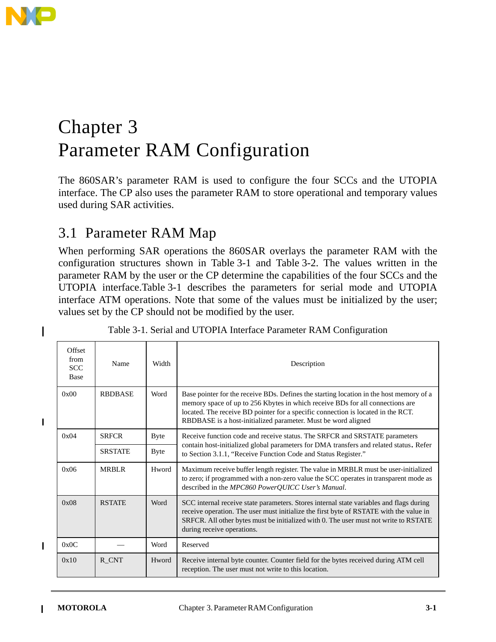

I

 $\mathbf I$ 

 $\blacksquare$ 

# Chapter 3 Parameter RAM Configuration

The 860SAR's parameter RAM is used to configure the four SCCs and the UTOPIA interface. The CP also uses the parameter RAM to store operational and temporary values used during SAR activities.

# 3.1 Parameter RAM Map

When performing SAR operations the 860SAR overlays the parameter RAM with the configuration structures shown in Table 3-1 and Table 3-2. The values written in the parameter RAM by the user or the CP determine the capabilities of the four SCCs and the UTOPIA interface.Table 3-1 describes the parameters for serial mode and UTOPIA interface ATM operations. Note that some of the values must be initialized by the user; values set by the CP should not be modified by the user.

| Offset<br>from<br><b>SCC</b><br>Base | Name           | Width       | Description                                                                                                                                                                                                                                                                                                                   |  |  |  |  |  |  |
|--------------------------------------|----------------|-------------|-------------------------------------------------------------------------------------------------------------------------------------------------------------------------------------------------------------------------------------------------------------------------------------------------------------------------------|--|--|--|--|--|--|
| 0x00                                 | <b>RBDBASE</b> | Word        | Base pointer for the receive BDs. Defines the starting location in the host memory of a<br>memory space of up to 256 Kbytes in which receive BDs for all connections are<br>located. The receive BD pointer for a specific connection is located in the RCT.<br>RBDBASE is a host-initialized parameter. Must be word aligned |  |  |  |  |  |  |
| 0x04                                 | <b>SRFCR</b>   | <b>Byte</b> | Receive function code and receive status. The SRFCR and SRSTATE parameters                                                                                                                                                                                                                                                    |  |  |  |  |  |  |
|                                      | <b>SRSTATE</b> | <b>Byte</b> | contain host-initialized global parameters for DMA transfers and related status. Refer<br>to Section 3.1.1, "Receive Function Code and Status Register."                                                                                                                                                                      |  |  |  |  |  |  |
| 0x06                                 | <b>MRBLR</b>   | Hword       | Maximum receive buffer length register. The value in MRBLR must be user-initialized<br>to zero; if programmed with a non-zero value the SCC operates in transparent mode as<br>described in the MPC860 PowerQUICC User's Manual.                                                                                              |  |  |  |  |  |  |
| 0x08                                 | <b>RSTATE</b>  | Word        | SCC internal receive state parameters. Stores internal state variables and flags during<br>receive operation. The user must initialize the first byte of RSTATE with the value in<br>SRFCR. All other bytes must be initialized with 0. The user must not write to RSTATE<br>during receive operations.                       |  |  |  |  |  |  |
| 0x0C                                 |                | Word        | Reserved                                                                                                                                                                                                                                                                                                                      |  |  |  |  |  |  |
| 0x10                                 | R CNT          | Hword       | Receive internal byte counter. Counter field for the bytes received during ATM cell<br>reception. The user must not write to this location.                                                                                                                                                                                   |  |  |  |  |  |  |

|  |  |  | Table 3-1. Serial and UTOPIA Interface Parameter RAM Configuration |
|--|--|--|--------------------------------------------------------------------|
|  |  |  |                                                                    |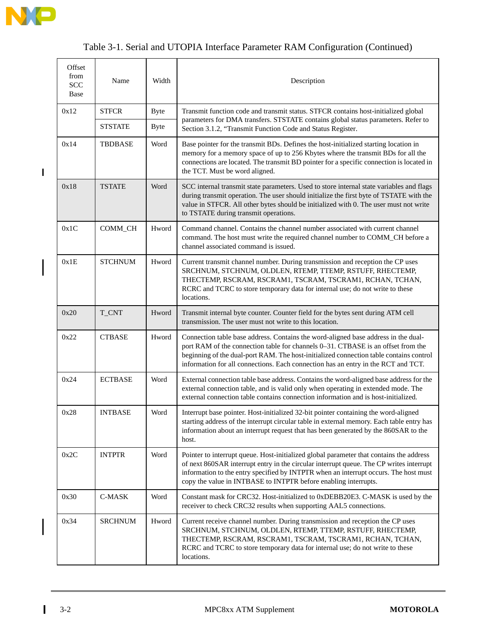

 $\mathbf{I}$ 

 $\overline{\phantom{a}}$ 

# Table 3-1. Serial and UTOPIA Interface Parameter RAM Configuration (Continued)

| Offset<br>from<br><b>SCC</b><br>Base | Name           | Width       | Description                                                                                                                                                                                                                                                                                                                                           |
|--------------------------------------|----------------|-------------|-------------------------------------------------------------------------------------------------------------------------------------------------------------------------------------------------------------------------------------------------------------------------------------------------------------------------------------------------------|
| 0x12                                 | <b>STFCR</b>   | <b>Byte</b> | Transmit function code and transmit status. STFCR contains host-initialized global                                                                                                                                                                                                                                                                    |
|                                      | <b>STSTATE</b> | <b>Byte</b> | parameters for DMA transfers. STSTATE contains global status parameters. Refer to<br>Section 3.1.2, "Transmit Function Code and Status Register.                                                                                                                                                                                                      |
| 0x14                                 | <b>TBDBASE</b> | Word        | Base pointer for the transmit BDs. Defines the host-initialized starting location in<br>memory for a memory space of up to 256 Kbytes where the transmit BDs for all the<br>connections are located. The transmit BD pointer for a specific connection is located in<br>the TCT. Must be word aligned.                                                |
| 0x18                                 | TSTATE         | Word        | SCC internal transmit state parameters. Used to store internal state variables and flags<br>during transmit operation. The user should initialize the first byte of TSTATE with the<br>value in STFCR. All other bytes should be initialized with 0. The user must not write<br>to TSTATE during transmit operations.                                 |
| 0x1C                                 | COMM_CH        | Hword       | Command channel. Contains the channel number associated with current channel<br>command. The host must write the required channel number to COMM_CH before a<br>channel associated command is issued.                                                                                                                                                 |
| 0x1E                                 | <b>STCHNUM</b> | Hword       | Current transmit channel number. During transmission and reception the CP uses<br>SRCHNUM, STCHNUM, OLDLEN, RTEMP, TTEMP, RSTUFF, RHECTEMP,<br>THECTEMP, RSCRAM, RSCRAM1, TSCRAM, TSCRAM1, RCHAN, TCHAN,<br>RCRC and TCRC to store temporary data for internal use; do not write to these<br>locations.                                               |
| 0x20                                 | T_CNT          | Hword       | Transmit internal byte counter. Counter field for the bytes sent during ATM cell<br>transmission. The user must not write to this location.                                                                                                                                                                                                           |
| 0x22                                 | <b>CTBASE</b>  | Hword       | Connection table base address. Contains the word-aligned base address in the dual-<br>port RAM of the connection table for channels 0-31. CTBASE is an offset from the<br>beginning of the dual-port RAM. The host-initialized connection table contains control<br>information for all connections. Each connection has an entry in the RCT and TCT. |
| 0x24                                 | <b>ECTBASE</b> | Word        | External connection table base address. Contains the word-aligned base address for the<br>external connection table, and is valid only when operating in extended mode. The<br>external connection table contains connection information and is host-initialized.                                                                                     |
| 0x28                                 | <b>INTBASE</b> | Word        | Interrupt base pointer. Host-initialized 32-bit pointer containing the word-aligned<br>starting address of the interrupt circular table in external memory. Each table entry has<br>information about an interrupt request that has been generated by the 860SAR to the<br>host.                                                                      |
| 0x2C                                 | <b>INTPTR</b>  | Word        | Pointer to interrupt queue. Host-initialized global parameter that contains the address<br>of next 860SAR interrupt entry in the circular interrupt queue. The CP writes interrupt<br>information to the entry specified by INTPTR when an interrupt occurs. The host must<br>copy the value in INTBASE to INTPTR before enabling interrupts.         |
| 0x30                                 | C-MASK         | Word        | Constant mask for CRC32. Host-initialized to 0xDEBB20E3. C-MASK is used by the<br>receiver to check CRC32 results when supporting AAL5 connections.                                                                                                                                                                                                   |
| 0x34                                 | <b>SRCHNUM</b> | Hword       | Current receive channel number. During transmission and reception the CP uses<br>SRCHNUM, STCHNUM, OLDLEN, RTEMP, TTEMP, RSTUFF, RHECTEMP,<br>THECTEMP, RSCRAM, RSCRAM1, TSCRAM, TSCRAM1, RCHAN, TCHAN,<br>RCRC and TCRC to store temporary data for internal use; do not write to these<br>locations.                                                |

 $\mathsf{l}$ 

 $\overline{1}$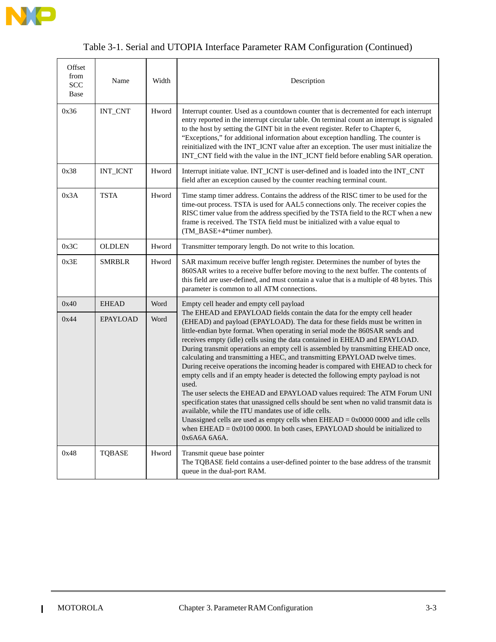

# Table 3-1. Serial and UTOPIA Interface Parameter RAM Configuration (Continued)

| Offset<br>from<br><b>SCC</b><br>Base | Name                           | Width | Description                                                                                                                                                                                                                                                                                                                                                                                                                                                                                                                                                                                                                                                                                                                                                                                                                                                                                                                                                                                                                                                                                               |
|--------------------------------------|--------------------------------|-------|-----------------------------------------------------------------------------------------------------------------------------------------------------------------------------------------------------------------------------------------------------------------------------------------------------------------------------------------------------------------------------------------------------------------------------------------------------------------------------------------------------------------------------------------------------------------------------------------------------------------------------------------------------------------------------------------------------------------------------------------------------------------------------------------------------------------------------------------------------------------------------------------------------------------------------------------------------------------------------------------------------------------------------------------------------------------------------------------------------------|
| 0x36                                 | $\ensuremath{\text{INT\_CNT}}$ | Hword | Interrupt counter. Used as a countdown counter that is decremented for each interrupt<br>entry reported in the interrupt circular table. On terminal count an interrupt is signaled<br>to the host by setting the GINT bit in the event register. Refer to Chapter 6,<br>"Exceptions," for additional information about exception handling. The counter is<br>reinitialized with the INT_ICNT value after an exception. The user must initialize the<br>INT_CNT field with the value in the INT_ICNT field before enabling SAR operation.                                                                                                                                                                                                                                                                                                                                                                                                                                                                                                                                                                 |
| 0x38                                 | <b>INT_ICNT</b>                | Hword | Interrupt initiate value. INT_ICNT is user-defined and is loaded into the INT_CNT<br>field after an exception caused by the counter reaching terminal count.                                                                                                                                                                                                                                                                                                                                                                                                                                                                                                                                                                                                                                                                                                                                                                                                                                                                                                                                              |
| 0x3A                                 | <b>TSTA</b>                    | Hword | Time stamp timer address. Contains the address of the RISC timer to be used for the<br>time-out process. TSTA is used for AAL5 connections only. The receiver copies the<br>RISC timer value from the address specified by the TSTA field to the RCT when a new<br>frame is received. The TSTA field must be initialized with a value equal to<br>(TM_BASE+4*timer number).                                                                                                                                                                                                                                                                                                                                                                                                                                                                                                                                                                                                                                                                                                                               |
| 0x3C                                 | <b>OLDLEN</b>                  | Hword | Transmitter temporary length. Do not write to this location.                                                                                                                                                                                                                                                                                                                                                                                                                                                                                                                                                                                                                                                                                                                                                                                                                                                                                                                                                                                                                                              |
| 0x3E                                 | <b>SMRBLR</b>                  | Hword | SAR maximum receive buffer length register. Determines the number of bytes the<br>860SAR writes to a receive buffer before moving to the next buffer. The contents of<br>this field are user-defined, and must contain a value that is a multiple of 48 bytes. This<br>parameter is common to all ATM connections.                                                                                                                                                                                                                                                                                                                                                                                                                                                                                                                                                                                                                                                                                                                                                                                        |
| 0x40                                 | <b>EHEAD</b>                   | Word  | Empty cell header and empty cell payload                                                                                                                                                                                                                                                                                                                                                                                                                                                                                                                                                                                                                                                                                                                                                                                                                                                                                                                                                                                                                                                                  |
| 0x44                                 | <b>EPAYLOAD</b>                | Word  | The EHEAD and EPAYLOAD fields contain the data for the empty cell header<br>(EHEAD) and payload (EPAYLOAD). The data for these fields must be written in<br>little-endian byte format. When operating in serial mode the 860SAR sends and<br>receives empty (idle) cells using the data contained in EHEAD and EPAYLOAD.<br>During transmit operations an empty cell is assembled by transmitting EHEAD once,<br>calculating and transmitting a HEC, and transmitting EPAYLOAD twelve times.<br>During receive operations the incoming header is compared with EHEAD to check for<br>empty cells and if an empty header is detected the following empty payload is not<br>used.<br>The user selects the EHEAD and EPAYLOAD values required: The ATM Forum UNI<br>specification states that unassigned cells should be sent when no valid transmit data is<br>available, while the ITU mandates use of idle cells.<br>Unassigned cells are used as empty cells when $EHEAD = 0x000000000$ and idle cells<br>when $EHEAD = 0x01000000$ . In both cases, $EPAYLOAD$ should be initialized to<br>0x6A6A 6A6A. |
| 0x48                                 | <b>TQBASE</b>                  | Hword | Transmit queue base pointer<br>The TQBASE field contains a user-defined pointer to the base address of the transmit<br>queue in the dual-port RAM.                                                                                                                                                                                                                                                                                                                                                                                                                                                                                                                                                                                                                                                                                                                                                                                                                                                                                                                                                        |

 $\mathbf{I}$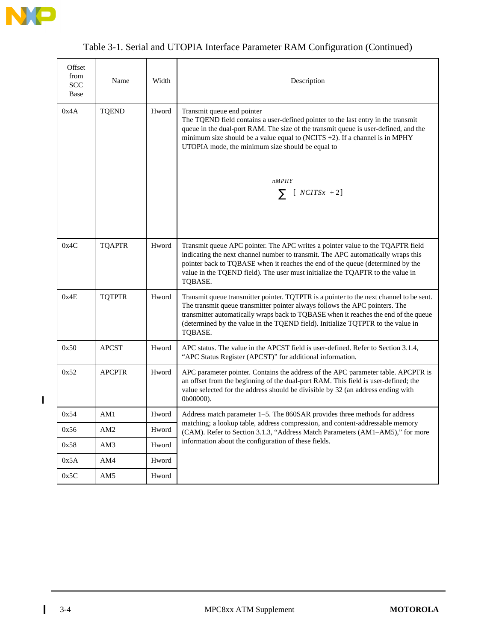

|  |  | Table 3-1. Serial and UTOPIA Interface Parameter RAM Configuration (Continued) |  |  |
|--|--|--------------------------------------------------------------------------------|--|--|
|  |  |                                                                                |  |  |

| Offset<br>from<br><b>SCC</b><br>Base | Name            | Width | Description                                                                                                                                                                                                                                                                                                                                                 |
|--------------------------------------|-----------------|-------|-------------------------------------------------------------------------------------------------------------------------------------------------------------------------------------------------------------------------------------------------------------------------------------------------------------------------------------------------------------|
| 0x4A                                 | <b>TQEND</b>    | Hword | Transmit queue end pointer<br>The TQEND field contains a user-defined pointer to the last entry in the transmit<br>queue in the dual-port RAM. The size of the transmit queue is user-defined, and the<br>minimum size should be a value equal to (NCITS $+2$ ). If a channel is in MPHY<br>UTOPIA mode, the minimum size should be equal to                |
|                                      |                 |       | nMPHY<br>$\sum$ [ $\langle NCITSx \rangle + 2$ ]                                                                                                                                                                                                                                                                                                            |
| 0x4C                                 | <b>TQAPTR</b>   | Hword | Transmit queue APC pointer. The APC writes a pointer value to the TQAPTR field<br>indicating the next channel number to transmit. The APC automatically wraps this<br>pointer back to TQBASE when it reaches the end of the queue (determined by the<br>value in the TQEND field). The user must initialize the TQAPTR to the value in<br>TQBASE.           |
| 0x4E                                 | <b>TQTPTR</b>   | Hword | Transmit queue transmitter pointer. TQTPTR is a pointer to the next channel to be sent.<br>The transmit queue transmitter pointer always follows the APC pointers. The<br>transmitter automatically wraps back to TQBASE when it reaches the end of the queue<br>(determined by the value in the TQEND field). Initialize TQTPTR to the value in<br>TQBASE. |
| 0x50                                 | <b>APCST</b>    | Hword | APC status. The value in the APCST field is user-defined. Refer to Section 3.1.4,<br>"APC Status Register (APCST)" for additional information.                                                                                                                                                                                                              |
| 0x52                                 | <b>APCPTR</b>   | Hword | APC parameter pointer. Contains the address of the APC parameter table. APCPTR is<br>an offset from the beginning of the dual-port RAM. This field is user-defined; the<br>value selected for the address should be divisible by 32 (an address ending with<br>0b00000).                                                                                    |
| 0x54                                 | AM1             | Hword | Address match parameter 1–5. The 860SAR provides three methods for address                                                                                                                                                                                                                                                                                  |
| 0x56                                 | AM <sub>2</sub> | Hword | matching; a lookup table, address compression, and content-addressable memory<br>(CAM). Refer to Section 3.1.3, "Address Match Parameters (AM1-AM5)," for more                                                                                                                                                                                              |
| 0x58                                 | AM3             | Hword | information about the configuration of these fields.                                                                                                                                                                                                                                                                                                        |
| 0x5A                                 | AM4             | Hword |                                                                                                                                                                                                                                                                                                                                                             |
| 0x5C                                 | AM5             | Hword |                                                                                                                                                                                                                                                                                                                                                             |

 $\mathbf{I}$ 

 $\mathbf{I}$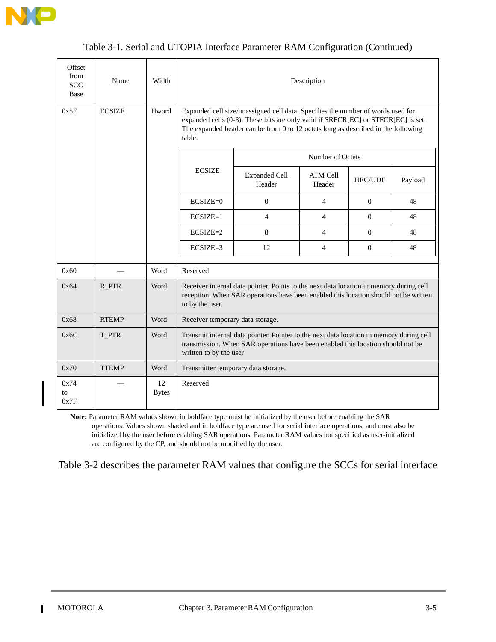

| Table 3-1. Serial and UTOPIA Interface Parameter RAM Configuration (Continued) |  |
|--------------------------------------------------------------------------------|--|
|--------------------------------------------------------------------------------|--|

| Offset<br>from<br><b>SCC</b><br>Base | Name          | Width              | Description                         |                                                                                                                                                                                                                                                           |                           |                |         |  |  |  |  |  |  |
|--------------------------------------|---------------|--------------------|-------------------------------------|-----------------------------------------------------------------------------------------------------------------------------------------------------------------------------------------------------------------------------------------------------------|---------------------------|----------------|---------|--|--|--|--|--|--|
| 0x5E                                 | <b>ECSIZE</b> | Hword              | table:                              | Expanded cell size/unassigned cell data. Specifies the number of words used for<br>expanded cells (0-3). These bits are only valid if SRFCR[EC] or STFCR[EC] is set.<br>The expanded header can be from 0 to 12 octets long as described in the following |                           |                |         |  |  |  |  |  |  |
|                                      |               |                    |                                     |                                                                                                                                                                                                                                                           | Number of Octets          |                |         |  |  |  |  |  |  |
|                                      |               |                    | <b>ECSIZE</b>                       | <b>Expanded Cell</b><br>Header                                                                                                                                                                                                                            | <b>ATM Cell</b><br>Header | <b>HEC/UDF</b> | Payload |  |  |  |  |  |  |
|                                      |               |                    | $ECSIZE=0$<br>$\overline{0}$        |                                                                                                                                                                                                                                                           | $\overline{4}$            | $\overline{0}$ | 48      |  |  |  |  |  |  |
|                                      |               |                    | $ECSIZE=1$                          | $\overline{4}$<br>4                                                                                                                                                                                                                                       |                           | $\Omega$       | 48      |  |  |  |  |  |  |
|                                      |               |                    | $ECSIZE=2$                          | 8                                                                                                                                                                                                                                                         | 4                         | $\Omega$       | 48      |  |  |  |  |  |  |
|                                      |               |                    | $ECSIZE=3$                          | 12                                                                                                                                                                                                                                                        | $\overline{4}$            | $\overline{0}$ | 48      |  |  |  |  |  |  |
| 0x60                                 |               | Word               | Reserved                            |                                                                                                                                                                                                                                                           |                           |                |         |  |  |  |  |  |  |
| 0x64                                 | R_PTR         | Word               | to by the user.                     | Receiver internal data pointer. Points to the next data location in memory during cell<br>reception. When SAR operations have been enabled this location should not be written                                                                            |                           |                |         |  |  |  |  |  |  |
| 0x68                                 | <b>RTEMP</b>  | Word               | Receiver temporary data storage.    |                                                                                                                                                                                                                                                           |                           |                |         |  |  |  |  |  |  |
| 0x6C                                 | T PTR         | Word               | written to by the user              | Transmit internal data pointer. Pointer to the next data location in memory during cell<br>transmission. When SAR operations have been enabled this location should not be                                                                                |                           |                |         |  |  |  |  |  |  |
| 0x70                                 | <b>TTEMP</b>  | Word               | Transmitter temporary data storage. |                                                                                                                                                                                                                                                           |                           |                |         |  |  |  |  |  |  |
| 0x74<br>to<br>0x7F                   |               | 12<br><b>Bytes</b> | Reserved                            |                                                                                                                                                                                                                                                           |                           |                |         |  |  |  |  |  |  |

**Note:** Parameter RAM values shown in boldface type must be initialized by the user before enabling the SAR operations. Values shown shaded and in boldface type are used for serial interface operations, and must also be initialized by the user before enabling SAR operations. Parameter RAM values not specified as user-initialized are configured by the CP, and should not be modified by the user.

Table 3-2 describes the parameter RAM values that configure the SCCs for serial interface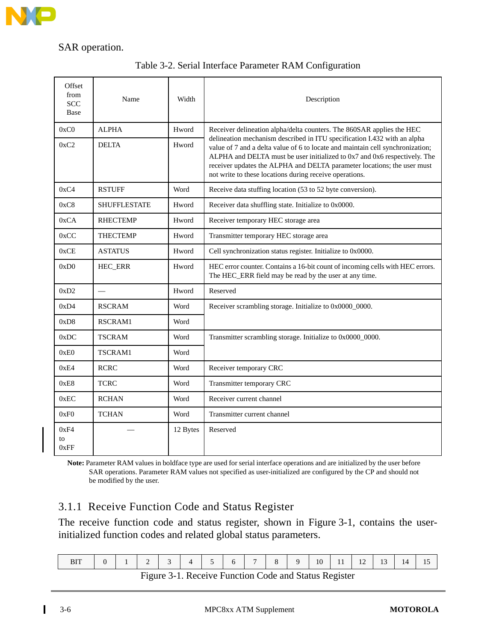

#### SAR operation.

|  |  |  |  | Table 3-2. Serial Interface Parameter RAM Configuration |
|--|--|--|--|---------------------------------------------------------|
|--|--|--|--|---------------------------------------------------------|

| Offset<br>from<br><b>SCC</b><br>Base | Name                | Width    | Description                                                                                                                                                                                                                                                                                                                                                                   |
|--------------------------------------|---------------------|----------|-------------------------------------------------------------------------------------------------------------------------------------------------------------------------------------------------------------------------------------------------------------------------------------------------------------------------------------------------------------------------------|
| 0xC0                                 | <b>ALPHA</b>        | Hword    | Receiver delineation alpha/delta counters. The 860SAR applies the HEC                                                                                                                                                                                                                                                                                                         |
| 0xC2                                 | <b>DELTA</b>        | Hword    | delineation mechanism described in ITU specification I.432 with an alpha<br>value of 7 and a delta value of 6 to locate and maintain cell synchronization;<br>ALPHA and DELTA must be user initialized to 0x7 and 0x6 respectively. The<br>receiver updates the ALPHA and DELTA parameter locations; the user must<br>not write to these locations during receive operations. |
| 0xC4                                 | <b>RSTUFF</b>       | Word     | Receive data stuffing location (53 to 52 byte conversion).                                                                                                                                                                                                                                                                                                                    |
| 0xC8                                 | <b>SHUFFLESTATE</b> | Hword    | Receiver data shuffling state. Initialize to 0x0000.                                                                                                                                                                                                                                                                                                                          |
| 0xCA                                 | <b>RHECTEMP</b>     | Hword    | Receiver temporary HEC storage area                                                                                                                                                                                                                                                                                                                                           |
| 0xCC                                 | <b>THECTEMP</b>     | Hword    | Transmitter temporary HEC storage area                                                                                                                                                                                                                                                                                                                                        |
| 0xCE                                 | <b>ASTATUS</b>      | Hword    | Cell synchronization status register. Initialize to 0x0000.                                                                                                                                                                                                                                                                                                                   |
| 0xD0                                 | HEC_ERR             | Hword    | HEC error counter. Contains a 16-bit count of incoming cells with HEC errors.<br>The HEC_ERR field may be read by the user at any time.                                                                                                                                                                                                                                       |
| 0xD2                                 |                     | Hword    | Reserved                                                                                                                                                                                                                                                                                                                                                                      |
| 0xD4                                 | <b>RSCRAM</b>       | Word     | Receiver scrambling storage. Initialize to 0x0000_0000.                                                                                                                                                                                                                                                                                                                       |
| 0xD8                                 | RSCRAM1             | Word     |                                                                                                                                                                                                                                                                                                                                                                               |
| 0xDC                                 | <b>TSCRAM</b>       | Word     | Transmitter scrambling storage. Initialize to 0x0000_0000.                                                                                                                                                                                                                                                                                                                    |
| 0xE0                                 | <b>TSCRAM1</b>      | Word     |                                                                                                                                                                                                                                                                                                                                                                               |
| 0xE4                                 | <b>RCRC</b>         | Word     | Receiver temporary CRC                                                                                                                                                                                                                                                                                                                                                        |
| 0xE8                                 | <b>TCRC</b>         | Word     | Transmitter temporary CRC                                                                                                                                                                                                                                                                                                                                                     |
| 0xEC                                 | <b>RCHAN</b>        | Word     | Receiver current channel                                                                                                                                                                                                                                                                                                                                                      |
| 0xF0                                 | <b>TCHAN</b>        | Word     | Transmitter current channel                                                                                                                                                                                                                                                                                                                                                   |
| 0xF4<br>to<br>0xFF                   |                     | 12 Bytes | Reserved                                                                                                                                                                                                                                                                                                                                                                      |

**Note:** Parameter RAM values in boldface type are used for serial interface operations and are initialized by the user before SAR operations. Parameter RAM values not specified as user-initialized are configured by the CP and should not be modified by the user.

#### 3.1.1 Receive Function Code and Status Register

The receive function code and status register, shown in Figure 3-1, contains the userinitialized function codes and related global status parameters.

| $\Omega$ | $1 \quad 2 \quad 3 \quad 4$ |  | $\begin{array}{ccc} & & 5 \\ \end{array}$ | $\sqrt{6}$ |  | $-1$ 7 8 9 | $10 \mid 11 \mid 12 \mid 13 \mid$ |  | 14 | 15 |
|----------|-----------------------------|--|-------------------------------------------|------------|--|------------|-----------------------------------|--|----|----|
|          | $\overline{\phantom{a}}$    |  |                                           |            |  | $\sim$     |                                   |  |    |    |

Figure 3-1. Receive Function Code and Status Register

ι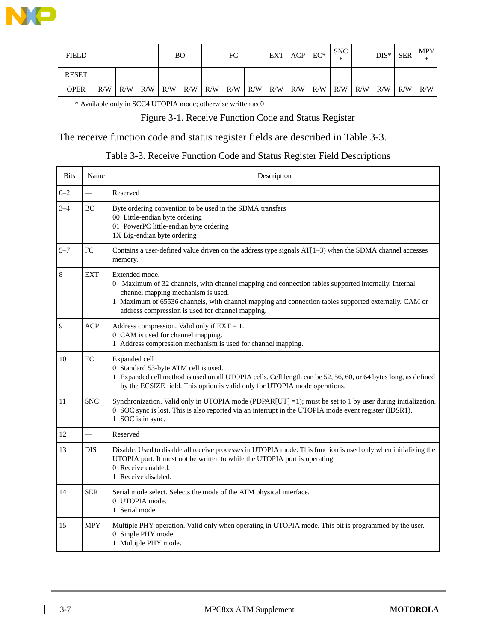

| <b>FIELD</b> |     |     |     | ВO  |     |     | FC  |     | EXT | ACP                     | $EC^*$ | <b>SNC</b><br>* |     | $DIS^*$ | <b>SER</b> | <b>MPY</b><br>∗ |
|--------------|-----|-----|-----|-----|-----|-----|-----|-----|-----|-------------------------|--------|-----------------|-----|---------|------------|-----------------|
| <b>RESET</b> |     |     |     |     |     |     |     |     |     |                         |        |                 |     |         |            |                 |
| <b>OPER</b>  | R/W | R/W | R/W | R/W | R/W | R/W | R/W | R/W |     | $R/W$ $R/W$ $R/W$ $R/W$ |        |                 | R/W | R/W     | R/W        | R/W             |

\* Available only in SCC4 UTOPIA mode; otherwise written as 0

#### Figure 3-1. Receive Function Code and Status Register

#### The receive function code and status register fields are described in Table 3-3.

#### Table 3-3. Receive Function Code and Status Register Field Descriptions

| <b>Bits</b> | Name                     | Description                                                                                                                                                                                                                                                                                                             |
|-------------|--------------------------|-------------------------------------------------------------------------------------------------------------------------------------------------------------------------------------------------------------------------------------------------------------------------------------------------------------------------|
| $0 - 2$     | $\overline{\phantom{0}}$ | Reserved                                                                                                                                                                                                                                                                                                                |
| $3 - 4$     | <b>BO</b>                | Byte ordering convention to be used in the SDMA transfers<br>00 Little-endian byte ordering<br>01 PowerPC little-endian byte ordering<br>1X Big-endian byte ordering                                                                                                                                                    |
| $5 - 7$     | FC                       | Contains a user-defined value driven on the address type signals AT[1-3) when the SDMA channel accesses<br>memory.                                                                                                                                                                                                      |
| $\,8\,$     | <b>EXT</b>               | Extended mode.<br>0 Maximum of 32 channels, with channel mapping and connection tables supported internally. Internal<br>channel mapping mechanism is used.<br>1 Maximum of 65536 channels, with channel mapping and connection tables supported externally. CAM or<br>address compression is used for channel mapping. |
| 9           | <b>ACP</b>               | Address compression. Valid only if $EXT = 1$ .<br>0 CAM is used for channel mapping.<br>1 Address compression mechanism is used for channel mapping.                                                                                                                                                                    |
| 10          | EC                       | Expanded cell<br>0 Standard 53-byte ATM cell is used.<br>1 Expanded cell method is used on all UTOPIA cells. Cell length can be 52, 56, 60, or 64 bytes long, as defined<br>by the ECSIZE field. This option is valid only for UTOPIA mode operations.                                                                  |
| 11          | <b>SNC</b>               | Synchronization. Valid only in UTOPIA mode (PDPAR $[UT] = 1$ ); must be set to 1 by user during initialization.<br>0 SOC sync is lost. This is also reported via an interrupt in the UTOPIA mode event register (IDSR1).<br>1 SOC is in sync.                                                                           |
| 12          | $\overline{\phantom{0}}$ | Reserved                                                                                                                                                                                                                                                                                                                |
| 13          | <b>DIS</b>               | Disable. Used to disable all receive processes in UTOPIA mode. This function is used only when initializing the<br>UTOPIA port. It must not be written to while the UTOPIA port is operating.<br>0 Receive enabled.<br>1 Receive disabled.                                                                              |
| 14          | <b>SER</b>               | Serial mode select. Selects the mode of the ATM physical interface.<br>0 UTOPIA mode.<br>1 Serial mode.                                                                                                                                                                                                                 |
| 15          | <b>MPY</b>               | Multiple PHY operation. Valid only when operating in UTOPIA mode. This bit is programmed by the user.<br>0 Single PHY mode.<br>1 Multiple PHY mode.                                                                                                                                                                     |

 $\mathbf I$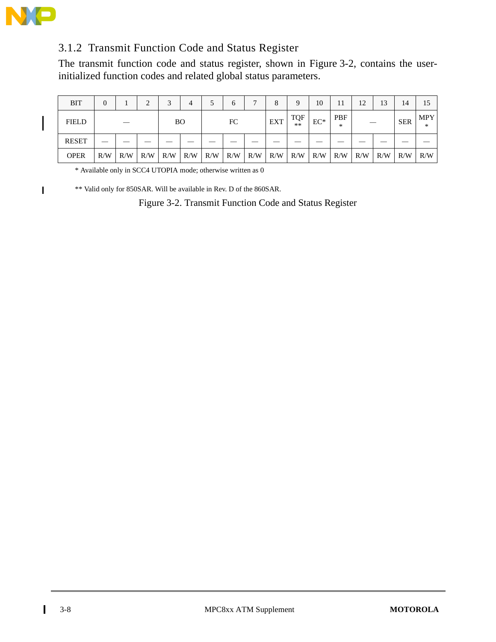

I

 $\blacksquare$ 

## 3.1.2 Transmit Function Code and Status Register

The transmit function code and status register, shown in Figure 3-2, contains the userinitialized function codes and related global status parameters.

| <b>BIT</b>   | 0   |     | $\overline{2}$ | 2<br>ت    | 4   |     | h   |     |            | Q                  | 10     |                 | 12  | 13  | 14         | 15                   |
|--------------|-----|-----|----------------|-----------|-----|-----|-----|-----|------------|--------------------|--------|-----------------|-----|-----|------------|----------------------|
| <b>FIELD</b> |     |     |                | <b>BO</b> |     |     | FC  |     | <b>EXT</b> | <b>TQF</b><br>$**$ | $EC^*$ | <b>PBF</b><br>∗ |     |     | <b>SER</b> | <b>MPY</b><br>$\ast$ |
| <b>RESET</b> |     |     |                |           |     |     |     |     |            |                    |        |                 |     |     |            |                      |
| <b>OPER</b>  | R/W | R/W | R/W            | R/W       | R/W | R/W | R/W | R/W | R/W        | R/W                | R/W    | R/W             | R/W | R/W | R/W        | R/W                  |

\* Available only in SCC4 UTOPIA mode; otherwise written as 0

\*\* Valid only for 850SAR. Will be available in Rev. D of the 860SAR.

Figure 3-2. Transmit Function Code and Status Register

 $\mathbf I$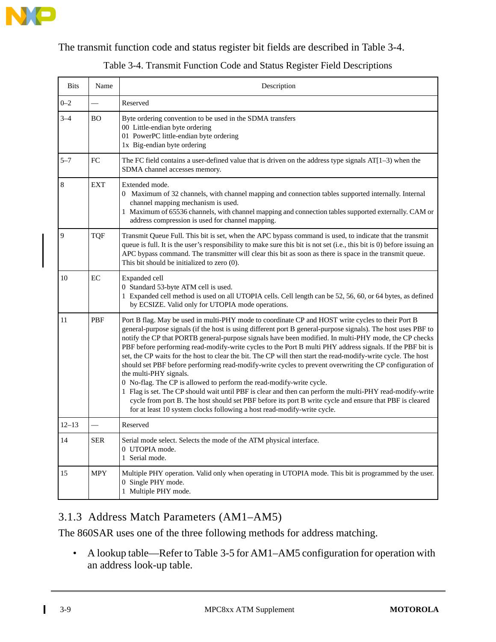

The transmit function code and status register bit fields are described in Table 3-4.

|  |  |  | Table 3-4. Transmit Function Code and Status Register Field Descriptions |
|--|--|--|--------------------------------------------------------------------------|
|  |  |  |                                                                          |

| <b>Bits</b> | Name       | Description                                                                                                                                                                                                                                                                                                                                                                                                                                                                                                                                                                                                                                                                                                                                                                                                                                                                                                                                                                                                                                                                |
|-------------|------------|----------------------------------------------------------------------------------------------------------------------------------------------------------------------------------------------------------------------------------------------------------------------------------------------------------------------------------------------------------------------------------------------------------------------------------------------------------------------------------------------------------------------------------------------------------------------------------------------------------------------------------------------------------------------------------------------------------------------------------------------------------------------------------------------------------------------------------------------------------------------------------------------------------------------------------------------------------------------------------------------------------------------------------------------------------------------------|
| $0 - 2$     |            | Reserved                                                                                                                                                                                                                                                                                                                                                                                                                                                                                                                                                                                                                                                                                                                                                                                                                                                                                                                                                                                                                                                                   |
| $3 - 4$     | <b>BO</b>  | Byte ordering convention to be used in the SDMA transfers<br>00 Little-endian byte ordering<br>01 PowerPC little-endian byte ordering<br>1x Big-endian byte ordering                                                                                                                                                                                                                                                                                                                                                                                                                                                                                                                                                                                                                                                                                                                                                                                                                                                                                                       |
| $5 - 7$     | FC         | The FC field contains a user-defined value that is driven on the address type signals $AT[1-3)$ when the<br>SDMA channel accesses memory.                                                                                                                                                                                                                                                                                                                                                                                                                                                                                                                                                                                                                                                                                                                                                                                                                                                                                                                                  |
| 8           | <b>EXT</b> | Extended mode.<br>0 Maximum of 32 channels, with channel mapping and connection tables supported internally. Internal<br>channel mapping mechanism is used.<br>1 Maximum of 65536 channels, with channel mapping and connection tables supported externally. CAM or<br>address compression is used for channel mapping.                                                                                                                                                                                                                                                                                                                                                                                                                                                                                                                                                                                                                                                                                                                                                    |
| 9           | <b>TQF</b> | Transmit Queue Full. This bit is set, when the APC bypass command is used, to indicate that the transmit<br>queue is full. It is the user's responsibility to make sure this bit is not set (i.e., this bit is 0) before issuing an<br>APC bypass command. The transmitter will clear this bit as soon as there is space in the transmit queue.<br>This bit should be initialized to zero (0).                                                                                                                                                                                                                                                                                                                                                                                                                                                                                                                                                                                                                                                                             |
| 10          | EC         | Expanded cell<br>0 Standard 53-byte ATM cell is used.<br>1 Expanded cell method is used on all UTOPIA cells. Cell length can be 52, 56, 60, or 64 bytes, as defined<br>by ECSIZE. Valid only for UTOPIA mode operations.                                                                                                                                                                                                                                                                                                                                                                                                                                                                                                                                                                                                                                                                                                                                                                                                                                                   |
| 11          | <b>PBF</b> | Port B flag. May be used in multi-PHY mode to coordinate CP and HOST write cycles to their Port B<br>general-purpose signals (if the host is using different port B general-purpose signals). The host uses PBF to<br>notify the CP that PORTB general-purpose signals have been modified. In multi-PHY mode, the CP checks<br>PBF before performing read-modify-write cycles to the Port B multi PHY address signals. If the PBF bit is<br>set, the CP waits for the host to clear the bit. The CP will then start the read-modify-write cycle. The host<br>should set PBF before performing read-modify-write cycles to prevent overwriting the CP configuration of<br>the multi-PHY signals.<br>0 No-flag. The CP is allowed to perform the read-modify-write cycle.<br>1 Flag is set. The CP should wait until PBF is clear and then can perform the multi-PHY read-modify-write<br>cycle from port B. The host should set PBF before its port B write cycle and ensure that PBF is cleared<br>for at least 10 system clocks following a host read-modify-write cycle. |
| $12 - 13$   |            | Reserved                                                                                                                                                                                                                                                                                                                                                                                                                                                                                                                                                                                                                                                                                                                                                                                                                                                                                                                                                                                                                                                                   |
| 14          | SER.       | Serial mode select. Selects the mode of the ATM physical interface.<br>0 UTOPIA mode.<br>1 Serial mode.                                                                                                                                                                                                                                                                                                                                                                                                                                                                                                                                                                                                                                                                                                                                                                                                                                                                                                                                                                    |
| 15          | <b>MPY</b> | Multiple PHY operation. Valid only when operating in UTOPIA mode. This bit is programmed by the user.<br>0 Single PHY mode.<br>1 Multiple PHY mode.                                                                                                                                                                                                                                                                                                                                                                                                                                                                                                                                                                                                                                                                                                                                                                                                                                                                                                                        |

#### 3.1.3 Address Match Parameters (AM1–AM5)

The 860SAR uses one of the three following methods for address matching.

• A lookup table—Refer to Table 3-5 for AM1–AM5 configuration for operation with an address look-up table.

 $\mathbf{I}$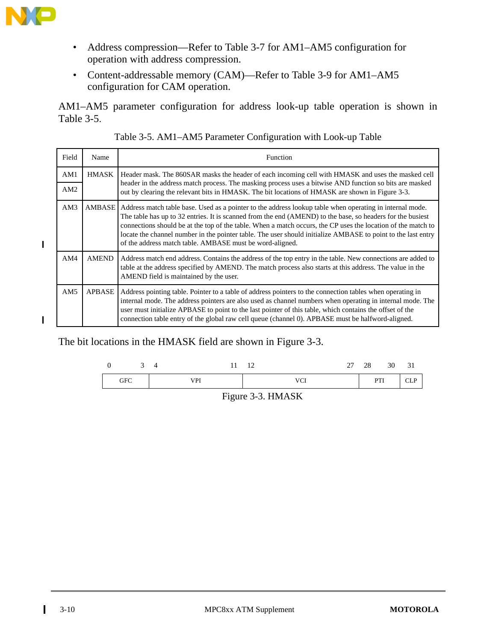

 $\blacksquare$ 

 $\blacksquare$ 

- Address compression—Refer to Table 3-7 for AM1–AM5 configuration for operation with address compression.
- Content-addressable memory (CAM)—Refer to Table 3-9 for AM1–AM5 configuration for CAM operation.

AM1–AM5 parameter configuration for address look-up table operation is shown in Table 3-5.

| Field | Name          | Function                                                                                                                                                                                                                                                                                                                                                                                                                                                                                                           |
|-------|---------------|--------------------------------------------------------------------------------------------------------------------------------------------------------------------------------------------------------------------------------------------------------------------------------------------------------------------------------------------------------------------------------------------------------------------------------------------------------------------------------------------------------------------|
| AM1   | <b>HMASK</b>  | Header mask. The 860SAR masks the header of each incoming cell with HMASK and uses the masked cell<br>header in the address match process. The masking process uses a bitwise AND function so bits are masked                                                                                                                                                                                                                                                                                                      |
| AM2   |               | out by clearing the relevant bits in HMASK. The bit locations of HMASK are shown in Figure 3-3.                                                                                                                                                                                                                                                                                                                                                                                                                    |
| AM3   | AMBASE        | Address match table base. Used as a pointer to the address lookup table when operating in internal mode.<br>The table has up to 32 entries. It is scanned from the end (AMEND) to the base, so headers for the busiest<br>connections should be at the top of the table. When a match occurs, the CP uses the location of the match to<br>locate the channel number in the pointer table. The user should initialize AMBASE to point to the last entry<br>of the address match table. AMBASE must be word-aligned. |
| AM4   | <b>AMEND</b>  | Address match end address. Contains the address of the top entry in the table. New connections are added to<br>table at the address specified by AMEND. The match process also starts at this address. The value in the<br>AMEND field is maintained by the user.                                                                                                                                                                                                                                                  |
| AM5   | <b>APBASE</b> | Address pointing table. Pointer to a table of address pointers to the connection tables when operating in<br>internal mode. The address pointers are also used as channel numbers when operating in internal mode. The<br>user must initialize APBASE to point to the last pointer of this table, which contains the offset of the<br>connection table entry of the global raw cell queue (channel 0). APBASE must be halfword-aligned.                                                                            |

The bit locations in the HMASK field are shown in Figure 3-3.



Figure 3-3. HMASK

 $\mathbf I$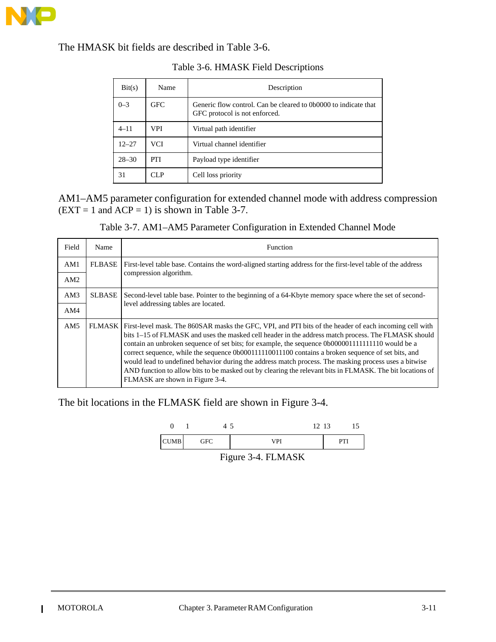

The HMASK bit fields are described in Table 3-6.

| Bit(s)    | Name       | Description                                                                                      |
|-----------|------------|--------------------------------------------------------------------------------------------------|
| $0 - 3$   | <b>GFC</b> | Generic flow control. Can be cleared to 0b0000 to indicate that<br>GFC protocol is not enforced. |
| $4 - 11$  | VPI.       | Virtual path identifier                                                                          |
| $12 - 27$ | <b>VCI</b> | Virtual channel identifier                                                                       |
| $28 - 30$ | PTI.       | Payload type identifier                                                                          |
| 31        | CLP        | Cell loss priority                                                                               |

#### Table 3-6. HMASK Field Descriptions

#### AM1–AM5 parameter configuration for extended channel mode with address compression  $(EXT = 1$  and  $ACP = 1)$  is shown in Table 3-7.

|  | Table 3-7. AM1-AM5 Parameter Configuration in Extended Channel Mode |
|--|---------------------------------------------------------------------|
|--|---------------------------------------------------------------------|

| Field | Name          | <b>Function</b>                                                                                                                                                                                                                                                                                                                                                                                                                                                                                                                                                                                                                                                                          |
|-------|---------------|------------------------------------------------------------------------------------------------------------------------------------------------------------------------------------------------------------------------------------------------------------------------------------------------------------------------------------------------------------------------------------------------------------------------------------------------------------------------------------------------------------------------------------------------------------------------------------------------------------------------------------------------------------------------------------------|
| AM1   | <b>FLBASE</b> | First-level table base. Contains the word-aligned starting address for the first-level table of the address                                                                                                                                                                                                                                                                                                                                                                                                                                                                                                                                                                              |
| AM2   |               | compression algorithm.                                                                                                                                                                                                                                                                                                                                                                                                                                                                                                                                                                                                                                                                   |
| AM3   | <b>SLBASE</b> | Second-level table base. Pointer to the beginning of a 64-Kbyte memory space where the set of second-                                                                                                                                                                                                                                                                                                                                                                                                                                                                                                                                                                                    |
| AM4   |               | level addressing tables are located.                                                                                                                                                                                                                                                                                                                                                                                                                                                                                                                                                                                                                                                     |
| AM5   |               | FLMASK First-level mask. The 860SAR masks the GFC, VPI, and PTI bits of the header of each incoming cell with<br>bits 1–15 of FLMASK and uses the masked cell header in the address match process. The FLMASK should<br>contain an unbroken sequence of set bits; for example, the sequence 0b0000011111111110 would be a<br>correct sequence, while the sequence 0b000111110011100 contains a broken sequence of set bits, and<br>would lead to undefined behavior during the address match process. The masking process uses a bitwise<br>AND function to allow bits to be masked out by clearing the relevant bits in FLMASK. The bit locations of<br>FLMASK are shown in Figure 3-4. |

The bit locations in the FLMASK field are shown in Figure 3-4.



Figure 3-4. FLMASK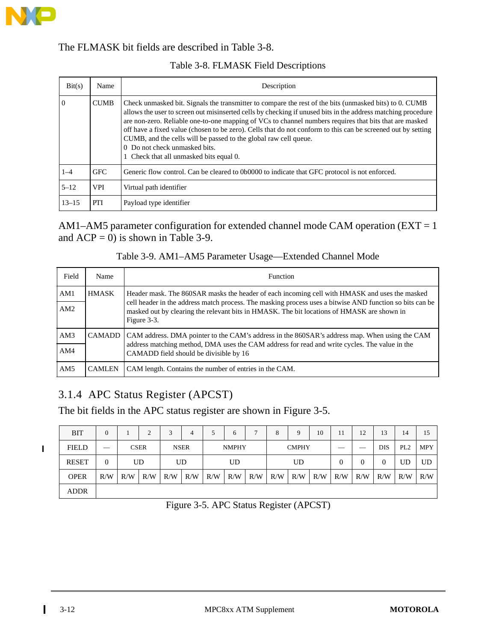

#### The FLMASK bit fields are described in Table 3-8.

#### Table 3-8. FLMASK Field Descriptions

| Bit(s)         | Name        | Description                                                                                                                                                                                                                                                                                                                                                                                                                                                                                                                                                                                      |
|----------------|-------------|--------------------------------------------------------------------------------------------------------------------------------------------------------------------------------------------------------------------------------------------------------------------------------------------------------------------------------------------------------------------------------------------------------------------------------------------------------------------------------------------------------------------------------------------------------------------------------------------------|
| $\overline{0}$ | <b>CUMB</b> | Check unmasked bit. Signals the transmitter to compare the rest of the bits (unmasked bits) to 0. CUMB<br>allows the user to screen out misinserted cells by checking if unused bits in the address matching procedure<br>are non-zero. Reliable one-to-one mapping of VCs to channel numbers requires that bits that are masked<br>off have a fixed value (chosen to be zero). Cells that do not conform to this can be screened out by setting<br>CUMB, and the cells will be passed to the global raw cell queue.<br>0 Do not check unmasked bits.<br>1 Check that all unmasked bits equal 0. |
| $1 - 4$        | <b>GFC</b>  | Generic flow control. Can be cleared to 0b0000 to indicate that GFC protocol is not enforced.                                                                                                                                                                                                                                                                                                                                                                                                                                                                                                    |
| $5 - 12$       | <b>VPI</b>  | Virtual path identifier                                                                                                                                                                                                                                                                                                                                                                                                                                                                                                                                                                          |
| $13 - 15$      | PTI         | Payload type identifier                                                                                                                                                                                                                                                                                                                                                                                                                                                                                                                                                                          |

AM1–AM5 parameter configuration for extended channel mode CAM operation (EXT = 1 and  $ACP = 0$ ) is shown in Table 3-9.

| Table 3-9. AM1–AM5 Parameter Usage—Extended Channel Mode |  |
|----------------------------------------------------------|--|
|----------------------------------------------------------|--|

| Field | <b>Name</b>   | <b>Function</b>                                                                                                                                                                                                       |
|-------|---------------|-----------------------------------------------------------------------------------------------------------------------------------------------------------------------------------------------------------------------|
| AM1   | <b>HMASK</b>  | Header mask. The 860SAR masks the header of each incoming cell with HMASK and uses the masked                                                                                                                         |
| AM2   |               | cell header in the address match process. The masking process uses a bitwise AND function so bits can be<br>masked out by clearing the relevant bits in HMASK. The bit locations of HMASK are shown in<br>Figure 3-3. |
| AM3   | <b>CAMADD</b> | CAM address. DMA pointer to the CAM's address in the 860SAR's address map. When using the CAM                                                                                                                         |
| AM4   |               | address matching method, DMA uses the CAM address for read and write cycles. The value in the<br>CAMADD field should be divisible by 16                                                                               |
| AM5   | <b>CAMLEN</b> | CAM length. Contains the number of entries in the CAM.                                                                                                                                                                |

# 3.1.4 APC Status Register (APCST)

The bit fields in the APC status register are shown in Figure 3-5.

 $\blacksquare$ 

| <b>BIT</b>   | $\theta$ |     |             | $\overline{\mathbf{c}}$ | 4           |     | 6            |     | o            | Q   | 10  |          | 12  | 13              | 14         | 15  |
|--------------|----------|-----|-------------|-------------------------|-------------|-----|--------------|-----|--------------|-----|-----|----------|-----|-----------------|------------|-----|
| <b>FIELD</b> |          |     | <b>CSER</b> |                         | <b>NSER</b> |     | <b>NMPHY</b> |     | <b>CMPHY</b> |     |     | ___      | DIS | PL <sub>2</sub> | <b>MPY</b> |     |
| <b>RESET</b> | $\theta$ |     | UD          | UD                      |             |     | UD           |     | UD           |     |     | $\theta$ |     |                 | UD         | UD  |
| <b>OPER</b>  | R/W      | R/W | R/W         | R/W                     | R/W         | R/W | R/W          | R/W | R/W          | R/W | R/W | R/W      | R/W | R/W             | R/W        | R/W |
| ADDR         |          |     |             |                         |             |     |              |     |              |     |     |          |     |                 |            |     |

Figure 3-5. APC Status Register (APCST)

 $\mathbf I$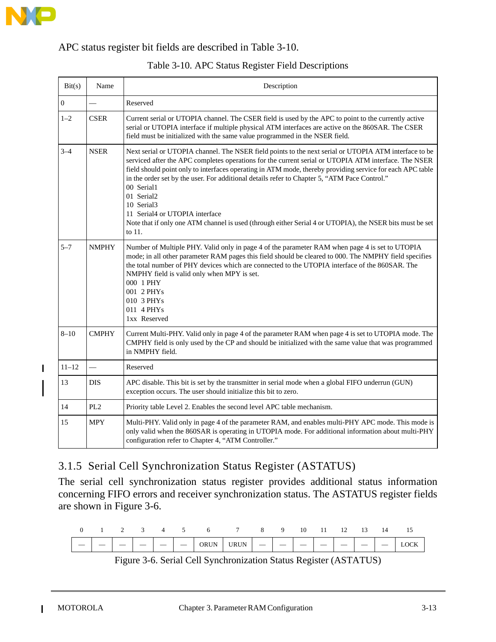

 $\mathbf I$ 

#### APC status register bit fields are described in Table 3-10.

| Bit(s)           | Name            | Description                                                                                                                                                                                                                                                                                                                                                                                                                                                                                                                                                                                                                     |
|------------------|-----------------|---------------------------------------------------------------------------------------------------------------------------------------------------------------------------------------------------------------------------------------------------------------------------------------------------------------------------------------------------------------------------------------------------------------------------------------------------------------------------------------------------------------------------------------------------------------------------------------------------------------------------------|
| $\boldsymbol{0}$ |                 | Reserved                                                                                                                                                                                                                                                                                                                                                                                                                                                                                                                                                                                                                        |
| $1 - 2$          | <b>CSER</b>     | Current serial or UTOPIA channel. The CSER field is used by the APC to point to the currently active<br>serial or UTOPIA interface if multiple physical ATM interfaces are active on the 860SAR. The CSER<br>field must be initialized with the same value programmed in the NSER field.                                                                                                                                                                                                                                                                                                                                        |
| $3 - 4$          | <b>NSER</b>     | Next serial or UTOPIA channel. The NSER field points to the next serial or UTOPIA ATM interface to be<br>serviced after the APC completes operations for the current serial or UTOPIA ATM interface. The NSER<br>field should point only to interfaces operating in ATM mode, thereby providing service for each APC table<br>in the order set by the user. For additional details refer to Chapter 5, "ATM Pace Control."<br>00 Serial1<br>01 Serial2<br>10 Serial3<br>11 Serial4 or UTOPIA interface<br>Note that if only one ATM channel is used (through either Serial 4 or UTOPIA), the NSER bits must be set<br>to $11$ . |
| $5 - 7$          | <b>NMPHY</b>    | Number of Multiple PHY. Valid only in page 4 of the parameter RAM when page 4 is set to UTOPIA<br>mode; in all other parameter RAM pages this field should be cleared to 000. The NMPHY field specifies<br>the total number of PHY devices which are connected to the UTOPIA interface of the 860SAR. The<br>NMPHY field is valid only when MPY is set.<br>000 1 PHY<br>001 2 PHYs<br>010 3 PHYs<br>011 4 PHYs<br>1xx Reserved                                                                                                                                                                                                  |
| $8 - 10$         | <b>CMPHY</b>    | Current Multi-PHY. Valid only in page 4 of the parameter RAM when page 4 is set to UTOPIA mode. The<br>CMPHY field is only used by the CP and should be initialized with the same value that was programmed<br>in NMPHY field.                                                                                                                                                                                                                                                                                                                                                                                                  |
| $11 - 12$        | ÷,              | Reserved                                                                                                                                                                                                                                                                                                                                                                                                                                                                                                                                                                                                                        |
| 13               | <b>DIS</b>      | APC disable. This bit is set by the transmitter in serial mode when a global FIFO underrun (GUN)<br>exception occurs. The user should initialize this bit to zero.                                                                                                                                                                                                                                                                                                                                                                                                                                                              |
| 14               | PL <sub>2</sub> | Priority table Level 2. Enables the second level APC table mechanism.                                                                                                                                                                                                                                                                                                                                                                                                                                                                                                                                                           |
| 15               | <b>MPY</b>      | Multi-PHY. Valid only in page 4 of the parameter RAM, and enables multi-PHY APC mode. This mode is<br>only valid when the 860SAR is operating in UTOPIA mode. For additional information about multi-PHY<br>configuration refer to Chapter 4, "ATM Controller."                                                                                                                                                                                                                                                                                                                                                                 |

#### Table 3-10. APC Status Register Field Descriptions

## 3.1.5 Serial Cell Synchronization Status Register (ASTATUS)

The serial cell synchronization status register provides additional status information concerning FIFO errors and receiver synchronization status. The ASTATUS register fields are shown in Figure 3-6.

|  |  |  | 0 1 2 3 4 5 6 7 8 9 10 11 12 13 14 15 |  |  |  |                                                                                                                                                |
|--|--|--|---------------------------------------|--|--|--|------------------------------------------------------------------------------------------------------------------------------------------------|
|  |  |  |                                       |  |  |  | $\vert - \vert - \vert - \vert - \vert - \vert - \vert$ orun $\vert$ urun $\vert - \vert - \vert - \vert - \vert - \vert - \vert$ lock $\vert$ |

Figure 3-6. Serial Cell Synchronization Status Register (ASTATUS)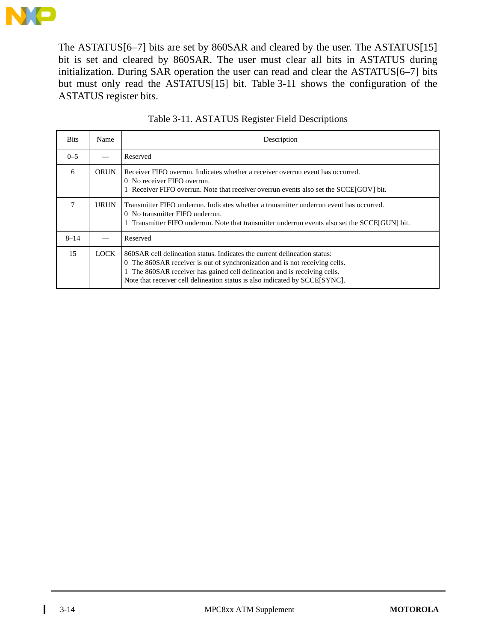

The ASTATUS[6–7] bits are set by 860SAR and cleared by the user. The ASTATUS[15] bit is set and cleared by 860SAR. The user must clear all bits in ASTATUS during initialization. During SAR operation the user can read and clear the ASTATUS[6–7] bits but must only read the ASTATUS[15] bit. Table 3-11 shows the configuration of the ASTATUS register bits.

| <b>Bits</b> | Name | Description                                                                                                                                                                                                                                                                                                        |  |  |  |  |  |
|-------------|------|--------------------------------------------------------------------------------------------------------------------------------------------------------------------------------------------------------------------------------------------------------------------------------------------------------------------|--|--|--|--|--|
| $0 - 5$     |      | Reserved                                                                                                                                                                                                                                                                                                           |  |  |  |  |  |
| 6           | ORUN | Receiver FIFO overrun. Indicates whether a receiver overrun event has occurred.<br>0 No receiver FIFO overrun.<br>Receiver FIFO overrun. Note that receiver overrun events also set the SCCE[GOV] bit.                                                                                                             |  |  |  |  |  |
| 7           | URUN | Transmitter FIFO underrun. Indicates whether a transmitter underrun event has occurred.<br>0 No transmitter FIFO underrun.<br>Transmitter FIFO underrun. Note that transmitter underrun events also set the SCCE[GUN] bit.                                                                                         |  |  |  |  |  |
| $8 - 14$    |      | Reserved                                                                                                                                                                                                                                                                                                           |  |  |  |  |  |
| 15          | LOCK | 860SAR cell delineation status. Indicates the current delineation status:<br>0 The 860SAR receiver is out of synchronization and is not receiving cells.<br>The 860SAR receiver has gained cell delineation and is receiving cells.<br>Note that receiver cell delineation status is also indicated by SCCE[SYNC]. |  |  |  |  |  |

| Table 3-11. ASTATUS Register Field Descriptions |  |  |  |
|-------------------------------------------------|--|--|--|

 $\mathbf I$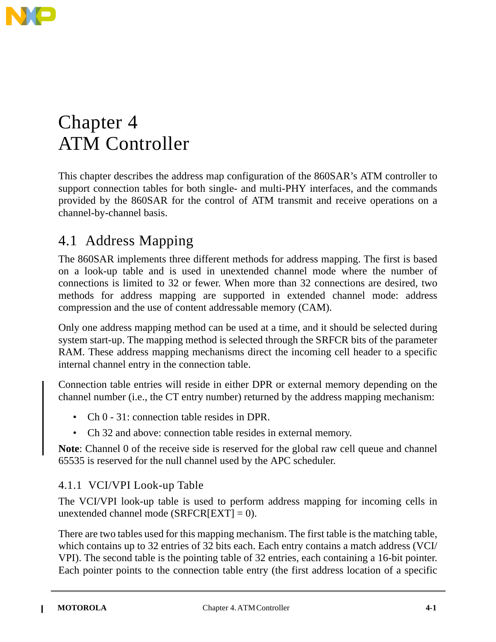

# Chapter 4 ATM Controller

This chapter describes the address map configuration of the 860SAR's ATM controller to support connection tables for both single- and multi-PHY interfaces, and the commands provided by the 860SAR for the control of ATM transmit and receive operations on a channel-by-channel basis.

# 4.1 Address Mapping

The 860SAR implements three different methods for address mapping. The first is based on a look-up table and is used in unextended channel mode where the number of connections is limited to 32 or fewer. When more than 32 connections are desired, two methods for address mapping are supported in extended channel mode: address compression and the use of content addressable memory (CAM).

Only one address mapping method can be used at a time, and it should be selected during system start-up. The mapping method is selected through the SRFCR bits of the parameter RAM. These address mapping mechanisms direct the incoming cell header to a specific internal channel entry in the connection table.

Connection table entries will reside in either DPR or external memory depending on the channel number (i.e., the CT entry number) returned by the address mapping mechanism:

- Ch 0 31: connection table resides in DPR.
- Ch 32 and above: connection table resides in external memory.

**Note**: Channel 0 of the receive side is reserved for the global raw cell queue and channel 65535 is reserved for the null channel used by the APC scheduler.

## 4.1.1 VCI/VPI Look-up Table

The VCI/VPI look-up table is used to perform address mapping for incoming cells in unextended channel mode ( $SRFCR[EXT] = 0$ ).

There are two tables used for this mapping mechanism. The first table is the matching table, which contains up to 32 entries of 32 bits each. Each entry contains a match address (VCI/ VPI). The second table is the pointing table of 32 entries, each containing a 16-bit pointer. Each pointer points to the connection table entry (the first address location of a specific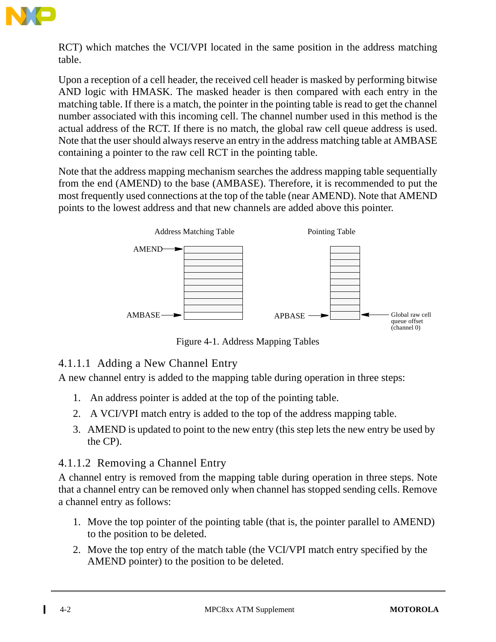

RCT) which matches the VCI/VPI located in the same position in the address matching table.

Upon a reception of a cell header, the received cell header is masked by performing bitwise AND logic with HMASK. The masked header is then compared with each entry in the matching table. If there is a match, the pointer in the pointing table is read to get the channel number associated with this incoming cell. The channel number used in this method is the actual address of the RCT. If there is no match, the global raw cell queue address is used. Note that the user should always reserve an entry in the address matching table at AMBASE containing a pointer to the raw cell RCT in the pointing table.

Note that the address mapping mechanism searches the address mapping table sequentially from the end (AMEND) to the base (AMBASE). Therefore, it is recommended to put the most frequently used connections at the top of the table (near AMEND). Note that AMEND points to the lowest address and that new channels are added above this pointer.



Figure 4-1. Address Mapping Tables

## 4.1.1.1 Adding a New Channel Entry

A new channel entry is added to the mapping table during operation in three steps:

- 1. An address pointer is added at the top of the pointing table.
- 2. A VCI/VPI match entry is added to the top of the address mapping table.
- 3. AMEND is updated to point to the new entry (this step lets the new entry be used by the CP).

#### 4.1.1.2 Removing a Channel Entry

A channel entry is removed from the mapping table during operation in three steps. Note that a channel entry can be removed only when channel has stopped sending cells. Remove a channel entry as follows:

- 1. Move the top pointer of the pointing table (that is, the pointer parallel to AMEND) to the position to be deleted.
- 2. Move the top entry of the match table (the VCI/VPI match entry specified by the AMEND pointer) to the position to be deleted.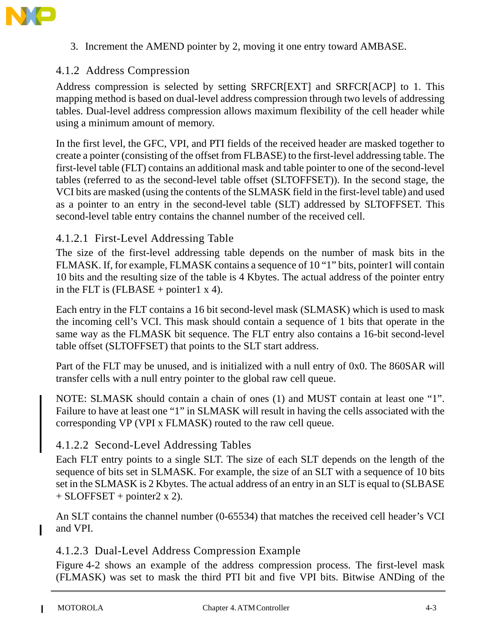

3. Increment the AMEND pointer by 2, moving it one entry toward AMBASE.

#### 4.1.2 Address Compression

Address compression is selected by setting SRFCR[EXT] and SRFCR[ACP] to 1. This mapping method is based on dual-level address compression through two levels of addressing tables. Dual-level address compression allows maximum flexibility of the cell header while using a minimum amount of memory.

In the first level, the GFC, VPI, and PTI fields of the received header are masked together to create a pointer (consisting of the offset from FLBASE) to the first-level addressing table. The first-level table (FLT) contains an additional mask and table pointer to one of the second-level tables (referred to as the second-level table offset (SLTOFFSET)). In the second stage, the VCI bits are masked (using the contents of the SLMASK field in the first-level table) and used as a pointer to an entry in the second-level table (SLT) addressed by SLTOFFSET. This second-level table entry contains the channel number of the received cell.

#### 4.1.2.1 First-Level Addressing Table

The size of the first-level addressing table depends on the number of mask bits in the FLMASK. If, for example, FLMASK contains a sequence of 10 "1" bits, pointer1 will contain 10 bits and the resulting size of the table is 4 Kbytes. The actual address of the pointer entry in the FLT is  $(FLBASE + pointer1 x 4)$ .

Each entry in the FLT contains a 16 bit second-level mask (SLMASK) which is used to mask the incoming cell's VCI. This mask should contain a sequence of 1 bits that operate in the same way as the FLMASK bit sequence. The FLT entry also contains a 16-bit second-level table offset (SLTOFFSET) that points to the SLT start address.

Part of the FLT may be unused, and is initialized with a null entry of 0x0. The 860SAR will transfer cells with a null entry pointer to the global raw cell queue.

NOTE: SLMASK should contain a chain of ones (1) and MUST contain at least one "1". Failure to have at least one "1" in SLMASK will result in having the cells associated with the corresponding VP (VPI x FLMASK) routed to the raw cell queue.

#### 4.1.2.2 Second-Level Addressing Tables

Each FLT entry points to a single SLT. The size of each SLT depends on the length of the sequence of bits set in SLMASK. For example, the size of an SLT with a sequence of 10 bits set in the SLMASK is 2 Kbytes. The actual address of an entry in an SLT is equal to (SLBASE  $+$  SLOFFSET + pointer2 x 2).

An SLT contains the channel number (0-65534) that matches the received cell header's VCI and VPI.

#### 4.1.2.3 Dual-Level Address Compression Example

Figure 4-2 shows an example of the address compression process. The first-level mask (FLMASK) was set to mask the third PTI bit and five VPI bits. Bitwise ANDing of the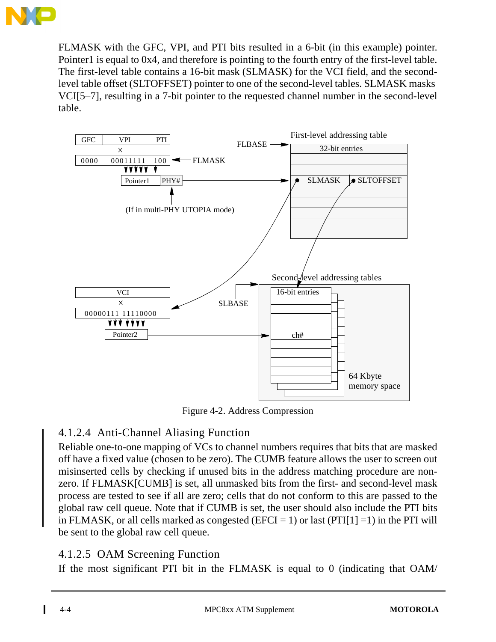

FLMASK with the GFC, VPI, and PTI bits resulted in a 6-bit (in this example) pointer. Pointer1 is equal to 0x4, and therefore is pointing to the fourth entry of the first-level table. The first-level table contains a 16-bit mask (SLMASK) for the VCI field, and the secondlevel table offset (SLTOFFSET) pointer to one of the second-level tables. SLMASK masks VCI[5–7], resulting in a 7-bit pointer to the requested channel number in the second-level table.



Figure 4-2. Address Compression

## 4.1.2.4 Anti-Channel Aliasing Function

Reliable one-to-one mapping of VCs to channel numbers requires that bits that are masked off have a fixed value (chosen to be zero). The CUMB feature allows the user to screen out misinserted cells by checking if unused bits in the address matching procedure are nonzero. If FLMASK[CUMB] is set, all unmasked bits from the first- and second-level mask process are tested to see if all are zero; cells that do not conform to this are passed to the global raw cell queue. Note that if CUMB is set, the user should also include the PTI bits in FLMASK, or all cells marked as congested (EFCI = 1) or last (PTI[1] =1) in the PTI will be sent to the global raw cell queue.

## 4.1.2.5 OAM Screening Function

If the most significant PTI bit in the FLMASK is equal to 0 (indicating that OAM/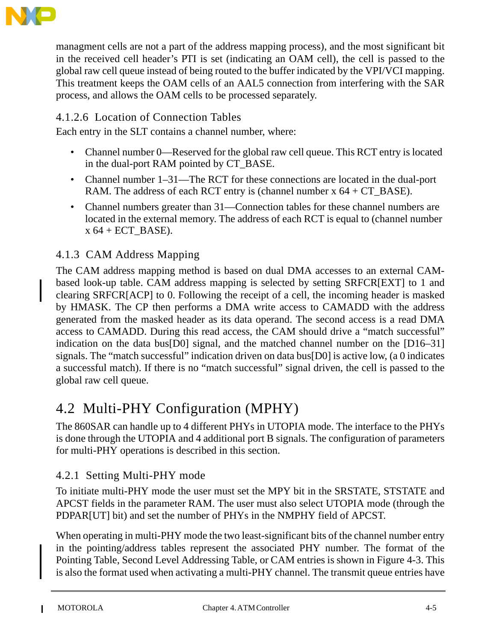

managment cells are not a part of the address mapping process), and the most significant bit in the received cell header's PTI is set (indicating an OAM cell), the cell is passed to the global raw cell queue instead of being routed to the buffer indicated by the VPI/VCI mapping. This treatment keeps the OAM cells of an AAL5 connection from interfering with the SAR process, and allows the OAM cells to be processed separately.

## 4.1.2.6 Location of Connection Tables

Each entry in the SLT contains a channel number, where:

- Channel number 0—Reserved for the global raw cell queue. This RCT entry is located in the dual-port RAM pointed by CT\_BASE.
- Channel number 1–31—The RCT for these connections are located in the dual-port RAM. The address of each RCT entry is (channel number  $x$  64 + CT\_BASE).
- Channel numbers greater than 31—Connection tables for these channel numbers are located in the external memory. The address of each RCT is equal to (channel number  $x 64 + ECT_BASE$ .

## 4.1.3 CAM Address Mapping

The CAM address mapping method is based on dual DMA accesses to an external CAMbased look-up table. CAM address mapping is selected by setting SRFCR[EXT] to 1 and clearing SRFCR[ACP] to 0. Following the receipt of a cell, the incoming header is masked by HMASK. The CP then performs a DMA write access to CAMADD with the address generated from the masked header as its data operand. The second access is a read DMA access to CAMADD. During this read access, the CAM should drive a "match successful" indication on the data bus[D0] signal, and the matched channel number on the [D16–31] signals. The "match successful" indication driven on data bus[D0] is active low, (a 0 indicates a successful match). If there is no "match successful" signal driven, the cell is passed to the global raw cell queue.

# 4.2 Multi-PHY Configuration (MPHY)

The 860SAR can handle up to 4 different PHYs in UTOPIA mode. The interface to the PHYs is done through the UTOPIA and 4 additional port B signals. The configuration of parameters for multi-PHY operations is described in this section.

## 4.2.1 Setting Multi-PHY mode

To initiate multi-PHY mode the user must set the MPY bit in the SRSTATE, STSTATE and APCST fields in the parameter RAM. The user must also select UTOPIA mode (through the PDPAR[UT] bit) and set the number of PHYs in the NMPHY field of APCST.

When operating in multi-PHY mode the two least-significant bits of the channel number entry in the pointing/address tables represent the associated PHY number. The format of the Pointing Table, Second Level Addressing Table, or CAM entries is shown in Figure 4-3. This is also the format used when activating a multi-PHY channel. The transmit queue entries have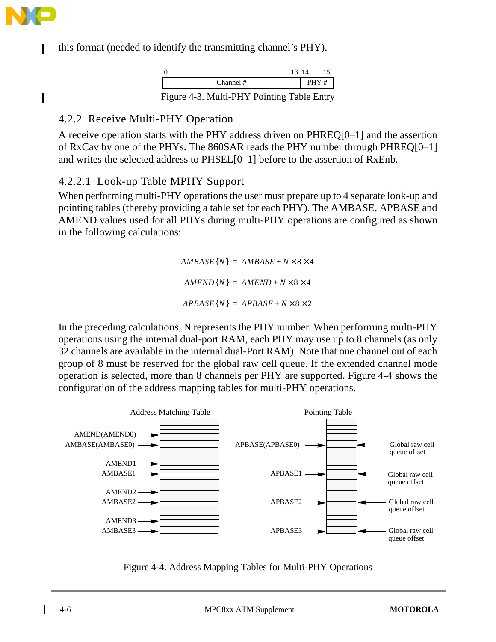

 $\mathbf I$ 

this format (needed to identify the transmitting channel's PHY).

|                                                            | 13 14 |  |
|------------------------------------------------------------|-------|--|
| Channel #                                                  | PHY#  |  |
| $\Gamma$ cume $\Lambda$ 2. Multi DHV Dointing Table Dutter |       |  |

Figure 4-3. Multi-PHY Pointing Table Entry

## 4.2.2 Receive Multi-PHY Operation

A receive operation starts with the PHY address driven on PHREQ[0–1] and the assertion of RxCav by one of the PHYs. The 860SAR reads the PHY number through PHREQ[0–1] and writes the selected address to PHSEL[0–1] before to the assertion of RxEnb.

## 4.2.2.1 Look-up Table MPHY Support

When performing multi-PHY operations the user must prepare up to 4 separate look-up and pointing tables (thereby providing a table set for each PHY). The AMBASE, APBASE and AMEND values used for all PHYs during multi-PHY operations are configured as shown in the following calculations:

> $AMBASE{N}$  =  $AMBASE + N \times 8 \times 4$  $AMEND{N}$  =  $AMEND + N \times 8 \times 4$  $APBASE{N} = APBASE + N \times 8 \times 2$

In the preceding calculations, N represents the PHY number. When performing multi-PHY operations using the internal dual-port RAM, each PHY may use up to 8 channels (as only 32 channels are available in the internal dual-Port RAM). Note that one channel out of each group of 8 must be reserved for the global raw cell queue. If the extended channel mode operation is selected, more than 8 channels per PHY are supported. Figure 4-4 shows the configuration of the address mapping tables for multi-PHY operations.



Figure 4-4. Address Mapping Tables for Multi-PHY Operations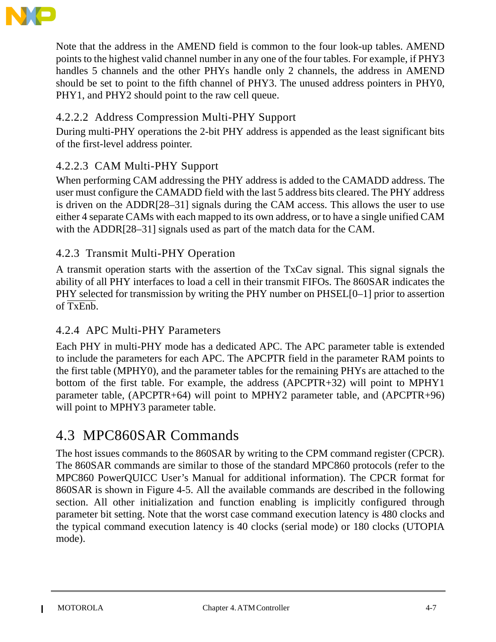

Note that the address in the AMEND field is common to the four look-up tables. AMEND points to the highest valid channel number in any one of the four tables. For example, if PHY3 handles 5 channels and the other PHYs handle only 2 channels, the address in AMEND should be set to point to the fifth channel of PHY3. The unused address pointers in PHY0, PHY1, and PHY2 should point to the raw cell queue.

# 4.2.2.2 Address Compression Multi-PHY Support

During multi-PHY operations the 2-bit PHY address is appended as the least significant bits of the first-level address pointer.

## 4.2.2.3 CAM Multi-PHY Support

When performing CAM addressing the PHY address is added to the CAMADD address. The user must configure the CAMADD field with the last 5 address bits cleared. The PHY address is driven on the ADDR[28–31] signals during the CAM access. This allows the user to use either 4 separate CAMs with each mapped to its own address, or to have a single unified CAM with the ADDR[28–31] signals used as part of the match data for the CAM.

## 4.2.3 Transmit Multi-PHY Operation

A transmit operation starts with the assertion of the TxCav signal. This signal signals the ability of all PHY interfaces to load a cell in their transmit FIFOs. The 860SAR indicates the PHY selected for transmission by writing the PHY number on PHSEL[0–1] prior to assertion of TxEnb.

## 4.2.4 APC Multi-PHY Parameters

Each PHY in multi-PHY mode has a dedicated APC. The APC parameter table is extended to include the parameters for each APC. The APCPTR field in the parameter RAM points to the first table (MPHY0), and the parameter tables for the remaining PHYs are attached to the bottom of the first table. For example, the address (APCPTR+32) will point to MPHY1 parameter table, (APCPTR+64) will point to MPHY2 parameter table, and (APCPTR+96) will point to MPHY3 parameter table.

# 4.3 MPC860SAR Commands

The host issues commands to the 860SAR by writing to the CPM command register (CPCR). The 860SAR commands are similar to those of the standard MPC860 protocols (refer to the MPC860 PowerQUICC User's Manual for additional information). The CPCR format for 860SAR is shown in Figure 4-5. All the available commands are described in the following section. All other initialization and function enabling is implicitly configured through parameter bit setting. Note that the worst case command execution latency is 480 clocks and the typical command execution latency is 40 clocks (serial mode) or 180 clocks (UTOPIA mode).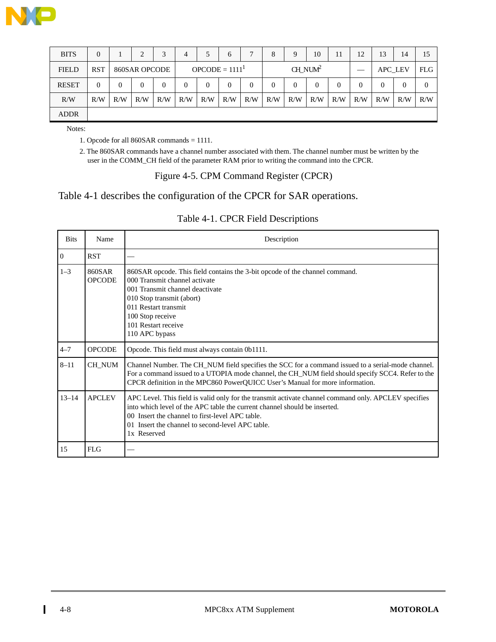

| <b>BITS</b>  | $\Omega$   |          |               |     | 4   | 5                | 6        | $\overline{ }$ | 8          | Q   | 10  |     | 12  | 13             | 14       | 15       |
|--------------|------------|----------|---------------|-----|-----|------------------|----------|----------------|------------|-----|-----|-----|-----|----------------|----------|----------|
| <b>FIELD</b> | <b>RST</b> |          | 860SAR OPCODE |     |     | $OPCODE = 11111$ |          |                | $CH_NUM^2$ |     |     |     |     | APC_LEV        |          | FLG      |
| <b>RESET</b> | 0          | $\Omega$ |               |     | 0   | 0                | $\Omega$ |                |            | 0   |     | 0   |     | $\overline{0}$ | $\theta$ | $\Omega$ |
| R/W          | R/W        | R/W      | R/W           | R/W | R/W | R/W              | R/W      | R/W            | R/W        | R/W | R/W | R/W | R/W | R/W            | R/W      | R/W      |
| <b>ADDR</b>  |            |          |               |     |     |                  |          |                |            |     |     |     |     |                |          |          |

Notes:

1. Opcode for all 860SAR commands = 1111.

2. The 860SAR commands have a channel number associated with them. The channel number must be written by the user in the COMM\_CH field of the parameter RAM prior to writing the command into the CPCR.

#### Figure 4-5. CPM Command Register (CPCR)

#### Table 4-1 describes the configuration of the CPCR for SAR operations.

#### Table 4-1. CPCR Field Descriptions

| <b>Bits</b>    | Name                    | Description                                                                                                                                                                                                                                                                                             |
|----------------|-------------------------|---------------------------------------------------------------------------------------------------------------------------------------------------------------------------------------------------------------------------------------------------------------------------------------------------------|
| $\overline{0}$ | <b>RST</b>              |                                                                                                                                                                                                                                                                                                         |
| $1 - 3$        | 860SAR<br><b>OPCODE</b> | 860SAR opcode. This field contains the 3-bit opcode of the channel command.<br>000 Transmit channel activate<br>001 Transmit channel deactivate<br>010 Stop transmit (abort)<br>011 Restart transmit<br>100 Stop receive<br>101 Restart receive<br>110 APC bypass                                       |
| $4 - 7$        | <b>OPCODE</b>           | Opcode. This field must always contain 0b1111.                                                                                                                                                                                                                                                          |
| $8 - 11$       | CH NUM                  | Channel Number. The CH_NUM field specifies the SCC for a command issued to a serial-mode channel.<br>For a command issued to a UTOPIA mode channel, the CH_NUM field should specify SCC4. Refer to the<br>CPCR definition in the MPC860 PowerQUICC User's Manual for more information.                  |
| $13 - 14$      | <b>APCLEV</b>           | APC Level. This field is valid only for the transmit activate channel command only. APCLEV specifies<br>into which level of the APC table the current channel should be inserted.<br>00 Insert the channel to first-level APC table.<br>01 Insert the channel to second-level APC table.<br>1x Reserved |
| 15             | FLG                     |                                                                                                                                                                                                                                                                                                         |

Π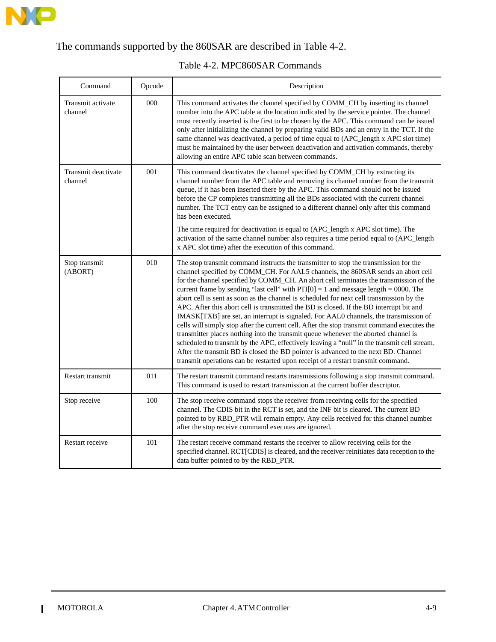

# The commands supported by the 860SAR are described in Table 4-2.

| Command                        | Opcode | Description                                                                                                                                                                                                                                                                                                                                                                                                                                                                                                                                                                                                                                                                                                                                                                                                                                                                                                                                                                                                                                                                                             |
|--------------------------------|--------|---------------------------------------------------------------------------------------------------------------------------------------------------------------------------------------------------------------------------------------------------------------------------------------------------------------------------------------------------------------------------------------------------------------------------------------------------------------------------------------------------------------------------------------------------------------------------------------------------------------------------------------------------------------------------------------------------------------------------------------------------------------------------------------------------------------------------------------------------------------------------------------------------------------------------------------------------------------------------------------------------------------------------------------------------------------------------------------------------------|
| Transmit activate<br>channel   | 000    | This command activates the channel specified by COMM_CH by inserting its channel<br>number into the APC table at the location indicated by the service pointer. The channel<br>most recently inserted is the first to be chosen by the APC. This command can be issued<br>only after initializing the channel by preparing valid BDs and an entry in the TCT. If the<br>same channel was deactivated, a period of time equal to (APC_length x APC slot time)<br>must be maintained by the user between deactivation and activation commands, thereby<br>allowing an entire APC table scan between commands.                                                                                                                                                                                                                                                                                                                                                                                                                                                                                             |
| Transmit deactivate<br>channel | 001    | This command deactivates the channel specified by COMM_CH by extracting its<br>channel number from the APC table and removing its channel number from the transmit<br>queue, if it has been inserted there by the APC. This command should not be issued<br>before the CP completes transmitting all the BDs associated with the current channel<br>number. The TCT entry can be assigned to a different channel only after this command<br>has been executed.<br>The time required for deactivation is equal to (APC_length x APC slot time). The<br>activation of the same channel number also requires a time period equal to (APC_length<br>x APC slot time) after the execution of this command.                                                                                                                                                                                                                                                                                                                                                                                                   |
| Stop transmit<br>(ABORT)       | 010    | The stop transmit command instructs the transmitter to stop the transmission for the<br>channel specified by COMM_CH. For AAL5 channels, the 860SAR sends an abort cell<br>for the channel specified by COMM_CH. An abort cell terminates the transmission of the<br>current frame by sending "last cell" with $PTI[0] = 1$ and message length = 0000. The<br>abort cell is sent as soon as the channel is scheduled for next cell transmission by the<br>APC. After this abort cell is transmitted the BD is closed. If the BD interrupt bit and<br>IMASK[TXB] are set, an interrupt is signaled. For AAL0 channels, the transmission of<br>cells will simply stop after the current cell. After the stop transmit command executes the<br>transmitter places nothing into the transmit queue whenever the aborted channel is<br>scheduled to transmit by the APC, effectively leaving a "null" in the transmit cell stream.<br>After the transmit BD is closed the BD pointer is advanced to the next BD. Channel<br>transmit operations can be restarted upon receipt of a restart transmit command. |
| Restart transmit               | 011    | The restart transmit command restarts transmissions following a stop transmit command.<br>This command is used to restart transmission at the current buffer descriptor.                                                                                                                                                                                                                                                                                                                                                                                                                                                                                                                                                                                                                                                                                                                                                                                                                                                                                                                                |
| Stop receive                   | 100    | The stop receive command stops the receiver from receiving cells for the specified<br>channel. The CDIS bit in the RCT is set, and the INF bit is cleared. The current BD<br>pointed to by RBD_PTR will remain empty. Any cells received for this channel number<br>after the stop receive command executes are ignored.                                                                                                                                                                                                                                                                                                                                                                                                                                                                                                                                                                                                                                                                                                                                                                                |
| Restart receive                | 101    | The restart receive command restarts the receiver to allow receiving cells for the<br>specified channel. RCT[CDIS] is cleared, and the receiver reinitiates data reception to the                                                                                                                                                                                                                                                                                                                                                                                                                                                                                                                                                                                                                                                                                                                                                                                                                                                                                                                       |

#### Table 4-2. MPC860SAR Commands

data buffer pointed to by the RBD\_PTR.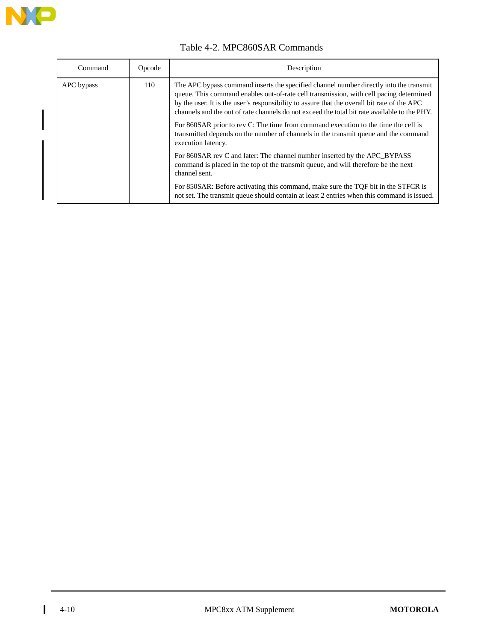

| Command    | Opcode | Description                                                                                                                                                                                                                                                                                                                                                                                                                                                                                                                                                                        |
|------------|--------|------------------------------------------------------------------------------------------------------------------------------------------------------------------------------------------------------------------------------------------------------------------------------------------------------------------------------------------------------------------------------------------------------------------------------------------------------------------------------------------------------------------------------------------------------------------------------------|
| APC bypass | 110    | The APC bypass command inserts the specified channel number directly into the transmit<br>queue. This command enables out-of-rate cell transmission, with cell pacing determined<br>by the user. It is the user's responsibility to assure that the overall bit rate of the APC<br>channels and the out of rate channels do not exceed the total bit rate available to the PHY.<br>For 860SAR prior to rev C: The time from command execution to the time the cell is<br>transmitted depends on the number of channels in the transmit queue and the command<br>execution latency. |
|            |        | For 860SAR rev C and later: The channel number inserted by the APC BYPASS<br>command is placed in the top of the transmit queue, and will therefore be the next<br>channel sent.<br>For 850SAR: Before activating this command, make sure the TQF bit in the STFCR is<br>not set. The transmit queue should contain at least 2 entries when this command is issued.                                                                                                                                                                                                                |

#### Table 4-2. MPC860SAR Commands

 $\mathbf{I}$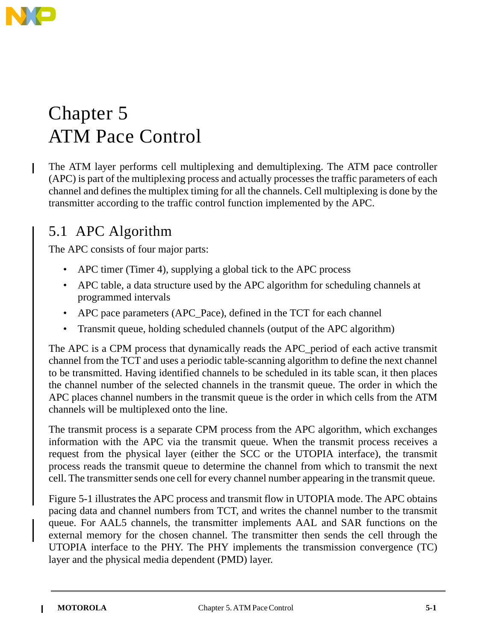

# Chapter 5 ATM Pace Control

The ATM layer performs cell multiplexing and demultiplexing. The ATM pace controller (APC) is part of the multiplexing process and actually processes the traffic parameters of each channel and defines the multiplex timing for all the channels. Cell multiplexing is done by the transmitter according to the traffic control function implemented by the APC.

# 5.1 APC Algorithm

The APC consists of four major parts:

- APC timer (Timer 4), supplying a global tick to the APC process
- APC table, a data structure used by the APC algorithm for scheduling channels at programmed intervals
- APC pace parameters (APC\_Pace), defined in the TCT for each channel
- Transmit queue, holding scheduled channels (output of the APC algorithm)

The APC is a CPM process that dynamically reads the APC\_period of each active transmit channel from the TCT and uses a periodic table-scanning algorithm to define the next channel to be transmitted. Having identified channels to be scheduled in its table scan, it then places the channel number of the selected channels in the transmit queue. The order in which the APC places channel numbers in the transmit queue is the order in which cells from the ATM channels will be multiplexed onto the line.

The transmit process is a separate CPM process from the APC algorithm, which exchanges information with the APC via the transmit queue. When the transmit process receives a request from the physical layer (either the SCC or the UTOPIA interface), the transmit process reads the transmit queue to determine the channel from which to transmit the next cell. The transmitter sends one cell for every channel number appearing in the transmit queue.

Figure 5-1 illustrates the APC process and transmit flow in UTOPIA mode. The APC obtains pacing data and channel numbers from TCT, and writes the channel number to the transmit queue. For AAL5 channels, the transmitter implements AAL and SAR functions on the external memory for the chosen channel. The transmitter then sends the cell through the UTOPIA interface to the PHY. The PHY implements the transmission convergence (TC) layer and the physical media dependent (PMD) layer.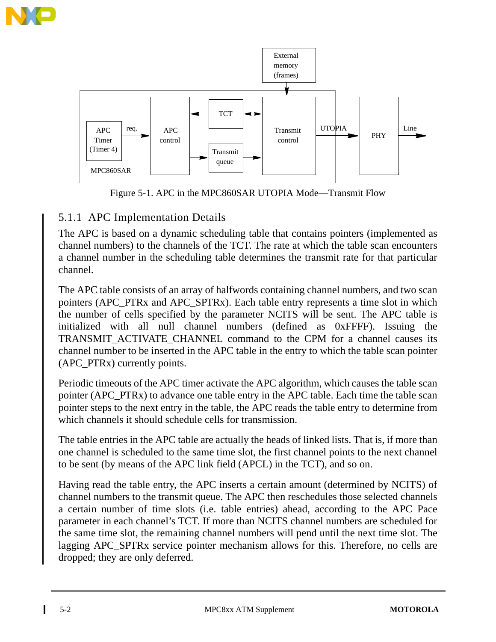



Figure 5-1. APC in the MPC860SAR UTOPIA Mode—Transmit Flow

## 5.1.1 APC Implementation Details

The APC is based on a dynamic scheduling table that contains pointers (implemented as channel numbers) to the channels of the TCT. The rate at which the table scan encounters a channel number in the scheduling table determines the transmit rate for that particular channel.

The APC table consists of an array of halfwords containing channel numbers, and two scan pointers (APC\_PTRx and APC\_SPTRx). Each table entry represents a time slot in which the number of cells specified by the parameter NCITS will be sent. The APC table is initialized with all null channel numbers (defined as 0xFFFF). Issuing the TRANSMIT\_ACTIVATE\_CHANNEL command to the CPM for a channel causes its channel number to be inserted in the APC table in the entry to which the table scan pointer (APC\_PTRx) currently points.

Periodic timeouts of the APC timer activate the APC algorithm, which causes the table scan pointer (APC\_PTRx) to advance one table entry in the APC table. Each time the table scan pointer steps to the next entry in the table, the APC reads the table entry to determine from which channels it should schedule cells for transmission.

The table entries in the APC table are actually the heads of linked lists. That is, if more than one channel is scheduled to the same time slot, the first channel points to the next channel to be sent (by means of the APC link field (APCL) in the TCT), and so on.

Having read the table entry, the APC inserts a certain amount (determined by NCITS) of channel numbers to the transmit queue. The APC then reschedules those selected channels a certain number of time slots (i.e. table entries) ahead, according to the APC Pace parameter in each channel's TCT. If more than NCITS channel numbers are scheduled for the same time slot, the remaining channel numbers will pend until the next time slot. The lagging APC SPTR<sub>x</sub> service pointer mechanism allows for this. Therefore, no cells are dropped; they are only deferred.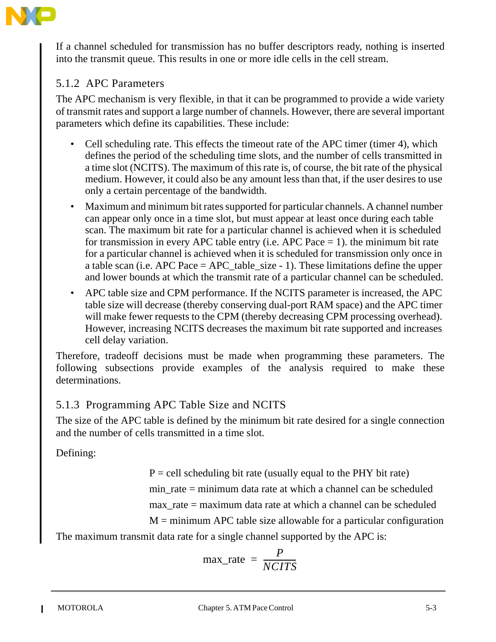

If a channel scheduled for transmission has no buffer descriptors ready, nothing is inserted into the transmit queue. This results in one or more idle cells in the cell stream.

# 5.1.2 APC Parameters

The APC mechanism is very flexible, in that it can be programmed to provide a wide variety of transmit rates and support a large number of channels. However, there are several important parameters which define its capabilities. These include:

- Cell scheduling rate. This effects the timeout rate of the APC timer (timer 4), which defines the period of the scheduling time slots, and the number of cells transmitted in a time slot (NCITS). The maximum of this rate is, of course, the bit rate of the physical medium. However, it could also be any amount less than that, if the user desires to use only a certain percentage of the bandwidth.
- Maximum and minimum bit rates supported for particular channels. A channel number can appear only once in a time slot, but must appear at least once during each table scan. The maximum bit rate for a particular channel is achieved when it is scheduled for transmission in every APC table entry (i.e. APC Pace  $= 1$ ). the minimum bit rate for a particular channel is achieved when it is scheduled for transmission only once in a table scan (i.e. APC Pace  $=$  APC\_table\_size - 1). These limitations define the upper and lower bounds at which the transmit rate of a particular channel can be scheduled.
- APC table size and CPM performance. If the NCITS parameter is increased, the APC table size will decrease (thereby conserving dual-port RAM space) and the APC timer will make fewer requests to the CPM (thereby decreasing CPM processing overhead). However, increasing NCITS decreases the maximum bit rate supported and increases cell delay variation.

Therefore, tradeoff decisions must be made when programming these parameters. The following subsections provide examples of the analysis required to make these determinations.

## 5.1.3 Programming APC Table Size and NCITS

The size of the APC table is defined by the minimum bit rate desired for a single connection and the number of cells transmitted in a time slot.

Defining:

 $P =$  cell scheduling bit rate (usually equal to the PHY bit rate)

min  $rate = minimum data rate at which a channel can be scheduled$ 

max  $rate = maximum data rate at which a channel can be scheduled$ 

 $M =$  minimum APC table size allowable for a particular configuration The maximum transmit data rate for a single channel supported by the APC is:

$$
max\_rate = \frac{P}{NCITS}
$$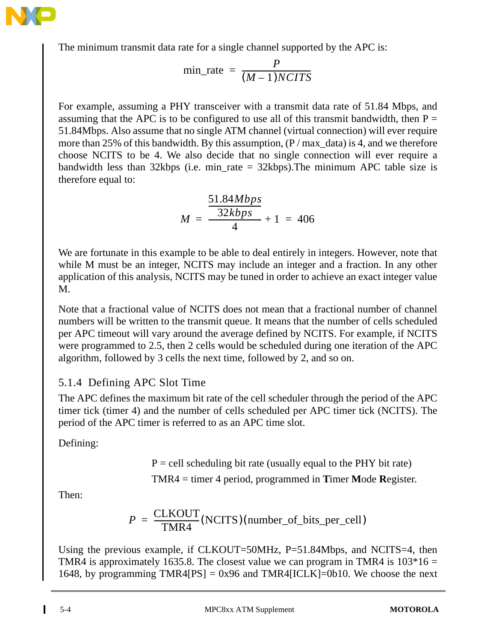

The minimum transmit data rate for a single channel supported by the APC is:

$$
min\_rate = \frac{P}{(M-1)NCITS}
$$

For example, assuming a PHY transceiver with a transmit data rate of 51.84 Mbps, and assuming that the APC is to be configured to use all of this transmit bandwidth, then  $P =$ 51.84Mbps. Also assume that no single ATM channel (virtual connection) will ever require more than 25% of this bandwidth. By this assumption,  $(P / max \text{ data})$  is 4, and we therefore choose NCITS to be 4. We also decide that no single connection will ever require a bandwidth less than 32kbps (i.e. min\_rate =  $32kbps$ ). The minimum APC table size is therefore equal to:

$$
M = \frac{\frac{51.84Mbps}{32kbps}}{4} + 1 = 406
$$

We are fortunate in this example to be able to deal entirely in integers. However, note that while M must be an integer, NCITS may include an integer and a fraction. In any other application of this analysis, NCITS may be tuned in order to achieve an exact integer value M.

Note that a fractional value of NCITS does not mean that a fractional number of channel numbers will be written to the transmit queue. It means that the number of cells scheduled per APC timeout will vary around the average defined by NCITS. For example, if NCITS were programmed to 2.5, then 2 cells would be scheduled during one iteration of the APC algorithm, followed by 3 cells the next time, followed by 2, and so on.

## 5.1.4 Defining APC Slot Time

The APC defines the maximum bit rate of the cell scheduler through the period of the APC timer tick (timer 4) and the number of cells scheduled per APC timer tick (NCITS). The period of the APC timer is referred to as an APC time slot.

Defining:

 $P =$  cell scheduling bit rate (usually equal to the PHY bit rate)

TMR4 = timer 4 period, programmed in **T**imer **M**ode **R**egister.

Then:

$$
P = \frac{CLKOUT}{TMR4} (NCITS)(number_of_bits_per-cell)
$$

Using the previous example, if CLKOUT=50MHz, P=51.84Mbps, and NCITS=4, then TMR4 is approximately 1635.8. The closest value we can program in TMR4 is  $103*16 =$ 1648, by programming TMR4[PS] =  $0x96$  and TMR4[ICLK]=0b10. We choose the next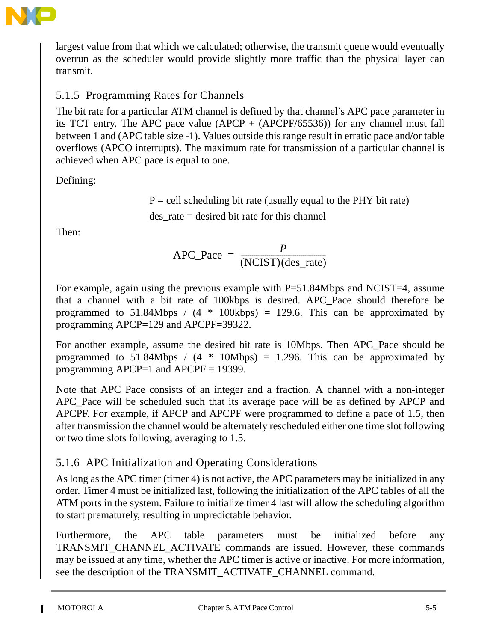

largest value from that which we calculated; otherwise, the transmit queue would eventually overrun as the scheduler would provide slightly more traffic than the physical layer can transmit.

# 5.1.5 Programming Rates for Channels

The bit rate for a particular ATM channel is defined by that channel's APC pace parameter in its TCT entry. The APC pace value (APCP + (APCPF/65536)) for any channel must fall between 1 and (APC table size -1). Values outside this range result in erratic pace and/or table overflows (APCO interrupts). The maximum rate for transmission of a particular channel is achieved when APC pace is equal to one.

Defining:

 $P =$  cell scheduling bit rate (usually equal to the PHY bit rate) des\_rate = desired bit rate for this channel

Then:

$$
APC\_Pace = \frac{P}{(NCIST)(des\_rate)}
$$

For example, again using the previous example with P=51.84Mbps and NCIST=4, assume that a channel with a bit rate of 100kbps is desired. APC\_Pace should therefore be programmed to 51.84Mbps /  $(4 * 100kbps) = 129.6$ . This can be approximated by programming APCP=129 and APCPF=39322.

For another example, assume the desired bit rate is 10Mbps. Then APC\_Pace should be programmed to 51.84Mbps /  $(4 * 10Mbps) = 1.296$ . This can be approximated by programming APCP=1 and APCPF = 19399.

Note that APC Pace consists of an integer and a fraction. A channel with a non-integer APC Pace will be scheduled such that its average pace will be as defined by APCP and APCPF. For example, if APCP and APCPF were programmed to define a pace of 1.5, then after transmission the channel would be alternately rescheduled either one time slot following or two time slots following, averaging to 1.5.

## 5.1.6 APC Initialization and Operating Considerations

As long as the APC timer (timer 4) is not active, the APC parameters may be initialized in any order. Timer 4 must be initialized last, following the initialization of the APC tables of all the ATM ports in the system. Failure to initialize timer 4 last will allow the scheduling algorithm to start prematurely, resulting in unpredictable behavior.

Furthermore, the APC table parameters must be initialized before any TRANSMIT\_CHANNEL\_ACTIVATE commands are issued. However, these commands may be issued at any time, whether the APC timer is active or inactive. For more information, see the description of the TRANSMIT\_ACTIVATE\_CHANNEL command.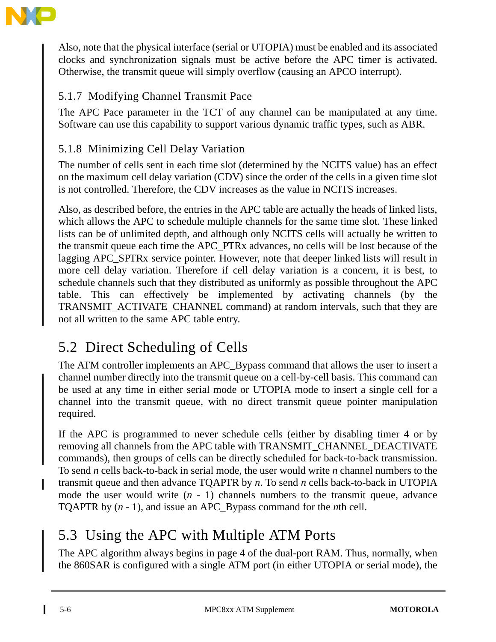

Also, note that the physical interface (serial or UTOPIA) must be enabled and its associated clocks and synchronization signals must be active before the APC timer is activated. Otherwise, the transmit queue will simply overflow (causing an APCO interrupt).

# 5.1.7 Modifying Channel Transmit Pace

The APC Pace parameter in the TCT of any channel can be manipulated at any time. Software can use this capability to support various dynamic traffic types, such as ABR.

# 5.1.8 Minimizing Cell Delay Variation

The number of cells sent in each time slot (determined by the NCITS value) has an effect on the maximum cell delay variation (CDV) since the order of the cells in a given time slot is not controlled. Therefore, the CDV increases as the value in NCITS increases.

Also, as described before, the entries in the APC table are actually the heads of linked lists, which allows the APC to schedule multiple channels for the same time slot. These linked lists can be of unlimited depth, and although only NCITS cells will actually be written to the transmit queue each time the APC\_PTRx advances, no cells will be lost because of the lagging APC SPTRx service pointer. However, note that deeper linked lists will result in more cell delay variation. Therefore if cell delay variation is a concern, it is best, to schedule channels such that they distributed as uniformly as possible throughout the APC table. This can effectively be implemented by activating channels (by the TRANSMIT\_ACTIVATE\_CHANNEL command) at random intervals, such that they are not all written to the same APC table entry.

# 5.2 Direct Scheduling of Cells

The ATM controller implements an APC\_Bypass command that allows the user to insert a channel number directly into the transmit queue on a cell-by-cell basis. This command can be used at any time in either serial mode or UTOPIA mode to insert a single cell for a channel into the transmit queue, with no direct transmit queue pointer manipulation required.

If the APC is programmed to never schedule cells (either by disabling timer 4 or by removing all channels from the APC table with TRANSMIT\_CHANNEL\_DEACTIVATE commands), then groups of cells can be directly scheduled for back-to-back transmission. To send *n* cells back-to-back in serial mode, the user would write *n* channel numbers to the transmit queue and then advance TQAPTR by *n*. To send *n* cells back-to-back in UTOPIA mode the user would write (*n* - 1) channels numbers to the transmit queue, advance TQAPTR by (*n* - 1), and issue an APC\_Bypass command for the *n*th cell.

# 5.3 Using the APC with Multiple ATM Ports

The APC algorithm always begins in page 4 of the dual-port RAM. Thus, normally, when the 860SAR is configured with a single ATM port (in either UTOPIA or serial mode), the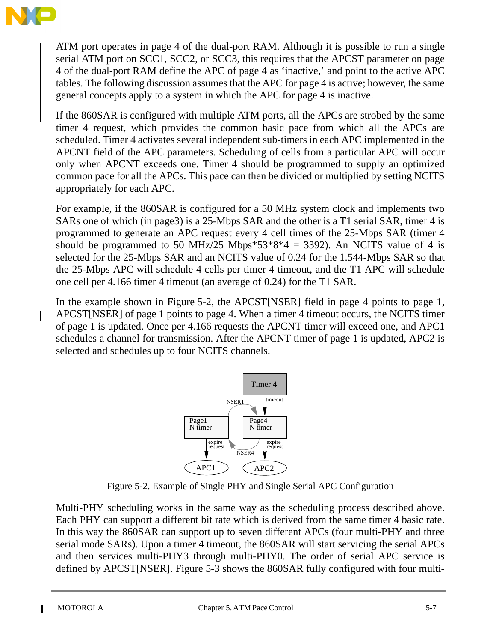

ATM port operates in page 4 of the dual-port RAM. Although it is possible to run a single serial ATM port on SCC1, SCC2, or SCC3, this requires that the APCST parameter on page 4 of the dual-port RAM define the APC of page 4 as 'inactive,' and point to the active APC tables. The following discussion assumes that the APC for page 4 is active; however, the same general concepts apply to a system in which the APC for page 4 is inactive.

If the 860SAR is configured with multiple ATM ports, all the APCs are strobed by the same timer 4 request, which provides the common basic pace from which all the APCs are scheduled. Timer 4 activates several independent sub-timers in each APC implemented in the APCNT field of the APC parameters. Scheduling of cells from a particular APC will occur only when APCNT exceeds one. Timer 4 should be programmed to supply an optimized common pace for all the APCs. This pace can then be divided or multiplied by setting NCITS appropriately for each APC.

For example, if the 860SAR is configured for a 50 MHz system clock and implements two SARs one of which (in page3) is a 25-Mbps SAR and the other is a T1 serial SAR, timer 4 is programmed to generate an APC request every 4 cell times of the 25-Mbps SAR (timer 4 should be programmed to 50 MHz/25 Mbps\*53\*8\*4 = 3392). An NCITS value of 4 is selected for the 25-Mbps SAR and an NCITS value of 0.24 for the 1.544-Mbps SAR so that the 25-Mbps APC will schedule 4 cells per timer 4 timeout, and the T1 APC will schedule one cell per 4.166 timer 4 timeout (an average of 0.24) for the T1 SAR.

In the example shown in Figure 5-2, the APCST[NSER] field in page 4 points to page 1, APCST[NSER] of page 1 points to page 4. When a timer 4 timeout occurs, the NCITS timer of page 1 is updated. Once per 4.166 requests the APCNT timer will exceed one, and APC1 schedules a channel for transmission. After the APCNT timer of page 1 is updated, APC2 is selected and schedules up to four NCITS channels.



Figure 5-2. Example of Single PHY and Single Serial APC Configuration

Multi-PHY scheduling works in the same way as the scheduling process described above. Each PHY can support a different bit rate which is derived from the same timer 4 basic rate. In this way the 860SAR can support up to seven different APCs (four multi-PHY and three serial mode SARs). Upon a timer 4 timeout, the 860SAR will start servicing the serial APCs and then services multi-PHY3 through multi-PHY0. The order of serial APC service is defined by APCST[NSER]. Figure 5-3 shows the 860SAR fully configured with four multi-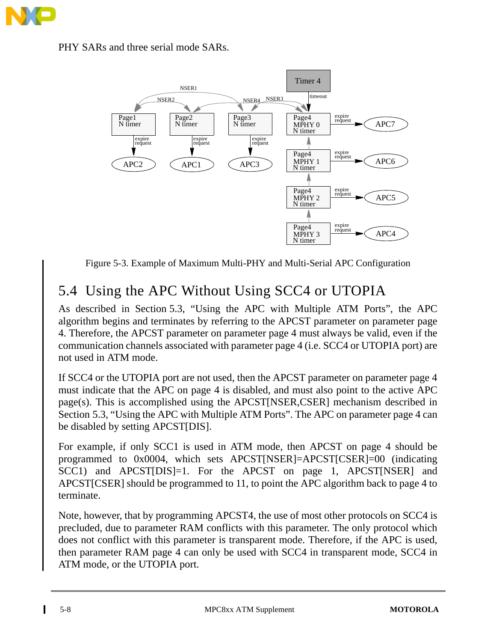

PHY SARs and three serial mode SARs.



Figure 5-3. Example of Maximum Multi-PHY and Multi-Serial APC Configuration

# 5.4 Using the APC Without Using SCC4 or UTOPIA

As described in Section 5.3, "Using the APC with Multiple ATM Ports", the APC algorithm begins and terminates by referring to the APCST parameter on parameter page 4. Therefore, the APCST parameter on parameter page 4 must always be valid, even if the communication channels associated with parameter page 4 (i.e. SCC4 or UTOPIA port) are not used in ATM mode.

If SCC4 or the UTOPIA port are not used, then the APCST parameter on parameter page 4 must indicate that the APC on page 4 is disabled, and must also point to the active APC page(s). This is accomplished using the APCST[NSER,CSER] mechanism described in Section 5.3, "Using the APC with Multiple ATM Ports". The APC on parameter page 4 can be disabled by setting APCST[DIS].

For example, if only SCC1 is used in ATM mode, then APCST on page 4 should be programmed to 0x0004, which sets APCST[NSER]=APCST[CSER]=00 (indicating SCC1) and APCST[DIS]=1. For the APCST on page 1, APCST[NSER] and APCST[CSER] should be programmed to 11, to point the APC algorithm back to page 4 to terminate.

Note, however, that by programming APCST4, the use of most other protocols on SCC4 is precluded, due to parameter RAM conflicts with this parameter. The only protocol which does not conflict with this parameter is transparent mode. Therefore, if the APC is used, then parameter RAM page 4 can only be used with SCC4 in transparent mode, SCC4 in ATM mode, or the UTOPIA port.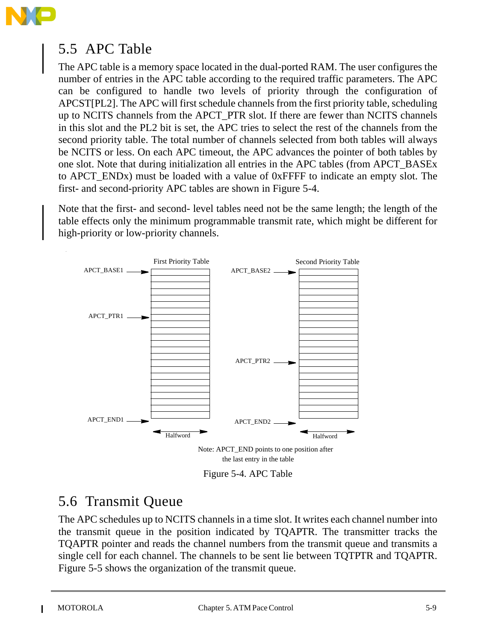

# 5.5 APC Table

The APC table is a memory space located in the dual-ported RAM. The user configures the number of entries in the APC table according to the required traffic parameters. The APC can be configured to handle two levels of priority through the configuration of APCST[PL2]. The APC will first schedule channels from the first priority table, scheduling up to NCITS channels from the APCT\_PTR slot. If there are fewer than NCITS channels in this slot and the PL2 bit is set, the APC tries to select the rest of the channels from the second priority table. The total number of channels selected from both tables will always be NCITS or less. On each APC timeout, the APC advances the pointer of both tables by one slot. Note that during initialization all entries in the APC tables (from APCT\_BASEx to APCT\_ENDx) must be loaded with a value of 0xFFFF to indicate an empty slot. The first- and second-priority APC tables are shown in Figure 5-4.

Note that the first- and second- level tables need not be the same length; the length of the table effects only the minimum programmable transmit rate, which might be different for high-priority or low-priority channels.



the last entry in the table

Figure 5-4. APC Table

# 5.6 Transmit Queue

The APC schedules up to NCITS channels in a time slot. It writes each channel number into the transmit queue in the position indicated by TQAPTR. The transmitter tracks the TQAPTR pointer and reads the channel numbers from the transmit queue and transmits a single cell for each channel. The channels to be sent lie between TQTPTR and TQAPTR. Figure 5-5 shows the organization of the transmit queue.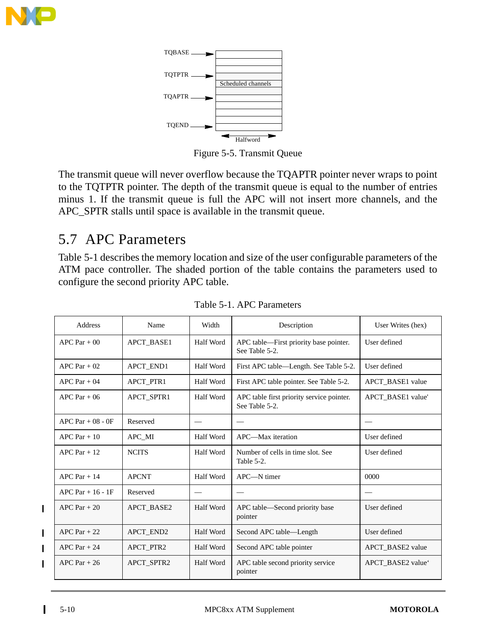



Figure 5-5. Transmit Queue

The transmit queue will never overflow because the TQAPTR pointer never wraps to point to the TQTPTR pointer. The depth of the transmit queue is equal to the number of entries minus 1. If the transmit queue is full the APC will not insert more channels, and the APC\_SPTR stalls until space is available in the transmit queue.

# 5.7 APC Parameters

Table 5-1 describes the memory location and size of the user configurable parameters of the ATM pace controller. The shaded portion of the table contains the parameters used to configure the second priority APC table.

| Address                  | Name                      | Width                                                       | Description                                              | User Writes (hex)                         |  |  |
|--------------------------|---------------------------|-------------------------------------------------------------|----------------------------------------------------------|-------------------------------------------|--|--|
| $APC$ Par + 00           | APCT_BASE1                | Half Word                                                   | APC table—First priority base pointer.<br>See Table 5-2. | User defined                              |  |  |
| APC Par $+02$            | APCT_END1                 | Half Word                                                   | First APC table—Length. See Table 5-2.                   | User defined                              |  |  |
| $APC$ Par + 04           | APCT_PTR1                 | <b>Half Word</b>                                            | First APC table pointer. See Table 5-2.                  | APCT_BASE1 value                          |  |  |
| $APC$ Par + 06           | APCT_SPTR1                | APC table first priority service pointer.<br>See Table 5-2. | APCT BASE1 value'                                        |                                           |  |  |
| $APC$ Par + 08 - 0F      | Reserved                  |                                                             |                                                          |                                           |  |  |
| $APC$ Par + 10<br>APC_MI |                           | Half Word                                                   | APC—Max iteration                                        | User defined                              |  |  |
| $APC$ Par + 12           | <b>NCITS</b><br>Half Word |                                                             | Number of cells in time slot. See<br>Table 5-2.          | User defined                              |  |  |
| $APC$ Par + 14           | <b>APCNT</b>              | Half Word                                                   | $APC$ — $N$ timer                                        | 0000                                      |  |  |
| APC Par $+16 - 1F$       | Reserved                  | $\qquad \qquad$                                             |                                                          | $\qquad \qquad \overline{\qquad \qquad }$ |  |  |
| $APC$ Par + 20           | <b>APCT BASE2</b>         | Half Word                                                   | APC table-Second priority base<br>pointer                | User defined                              |  |  |
| $APC$ Par + 22           | APCT_END2                 | Half Word                                                   | Second APC table-Length                                  | User defined                              |  |  |
| $APC$ Par + 24           | APCT_PTR2                 | Half Word                                                   | Second APC table pointer                                 | APCT_BASE2 value                          |  |  |
| $APC$ Par + 26           | <b>APCT SPTR2</b>         | Half Word                                                   | APC table second priority service<br>pointer             | APCT BASE2 value                          |  |  |

Table 5-1. APC Parameters

 $\mathbf I$ 

 $\blacksquare$ 

Π  $\blacksquare$  $\blacksquare$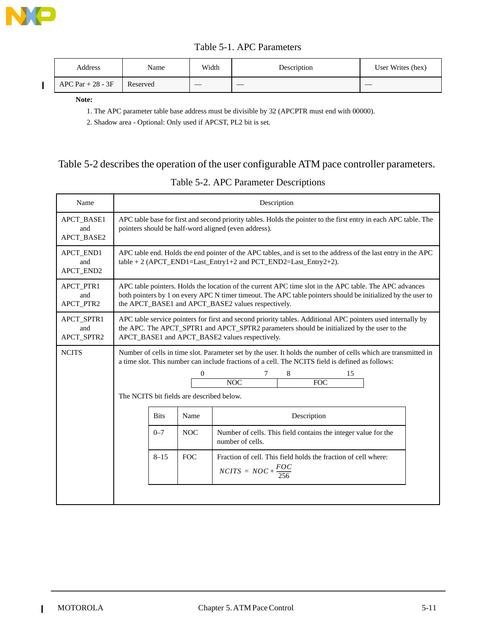

 $\blacksquare$ 

|  | Table 5-1. APC Parameters |
|--|---------------------------|
|--|---------------------------|

| Address            | Name     | Width | Description | User Writes (hex) |
|--------------------|----------|-------|-------------|-------------------|
| APC Par $+28 - 3F$ | Reserved |       | __          |                   |

**Note:**

1. The APC parameter table base address must be divisible by 32 (APCPTR must end with 00000).

2. Shadow area - Optional: Only used if APCST, PL2 bit is set.

#### Table 5-2 describes the operation of the user configurable ATM pace controller parameters.

#### Table 5-2. APC Parameter Descriptions

| Name                                                                                                                                                                                                                                                                                                                 | Description                                                                                                                                                                                                                                                                  |          |                                                                                    |                                                                                                   |  |  |  |
|----------------------------------------------------------------------------------------------------------------------------------------------------------------------------------------------------------------------------------------------------------------------------------------------------------------------|------------------------------------------------------------------------------------------------------------------------------------------------------------------------------------------------------------------------------------------------------------------------------|----------|------------------------------------------------------------------------------------|---------------------------------------------------------------------------------------------------|--|--|--|
| <b>APCT BASE1</b><br>and<br><b>APCT BASE2</b>                                                                                                                                                                                                                                                                        | APC table base for first and second priority tables. Holds the pointer to the first entry in each APC table. The<br>pointers should be half-word aligned (even address).                                                                                                     |          |                                                                                    |                                                                                                   |  |  |  |
| APCT_END1<br>and<br><b>APCT END2</b>                                                                                                                                                                                                                                                                                 | APC table end. Holds the end pointer of the APC tables, and is set to the address of the last entry in the APC<br>$table + 2 (APCT_END1 = Last_Entry1 + 2 and PCT_END2 = Last_Entry2 + 2).$                                                                                  |          |                                                                                    |                                                                                                   |  |  |  |
| APCT_PTR1<br>and<br>APCT_PTR2                                                                                                                                                                                                                                                                                        | APC table pointers. Holds the location of the current APC time slot in the APC table. The APC advances<br>both pointers by 1 on every APC N timer timeout. The APC table pointers should be initialized by the user to<br>the APCT_BASE1 and APCT_BASE2 values respectively. |          |                                                                                    |                                                                                                   |  |  |  |
| APCT_SPTR1<br>and<br>APCT_SPTR2                                                                                                                                                                                                                                                                                      | APC table service pointers for first and second priority tables. Additional APC pointers used internally by<br>the APC. The APCT_SPTR1 and APCT_SPTR2 parameters should be initialized by the user to the<br>APCT_BASE1 and APCT_BASE2 values respectively.                  |          |                                                                                    |                                                                                                   |  |  |  |
| <b>NCITS</b><br>Number of cells in time slot. Parameter set by the user. It holds the number of cells which are transmitted in<br>a time slot. This number can include fractions of a cell. The NCITS field is defined as follows:<br>8<br>0<br>15<br>NOC<br><b>FOC</b><br>The NCITS bit fields are described below. |                                                                                                                                                                                                                                                                              |          |                                                                                    |                                                                                                   |  |  |  |
| Name<br><b>Bits</b>                                                                                                                                                                                                                                                                                                  |                                                                                                                                                                                                                                                                              |          | Description                                                                        |                                                                                                   |  |  |  |
| $0 - 7$<br><b>NOC</b>                                                                                                                                                                                                                                                                                                |                                                                                                                                                                                                                                                                              |          | Number of cells. This field contains the integer value for the<br>number of cells. |                                                                                                   |  |  |  |
|                                                                                                                                                                                                                                                                                                                      |                                                                                                                                                                                                                                                                              | $8 - 15$ | <b>FOC</b>                                                                         | Fraction of cell. This field holds the fraction of cell where:<br>$NCITS = NOC + \frac{FOC}{256}$ |  |  |  |
|                                                                                                                                                                                                                                                                                                                      |                                                                                                                                                                                                                                                                              |          |                                                                                    |                                                                                                   |  |  |  |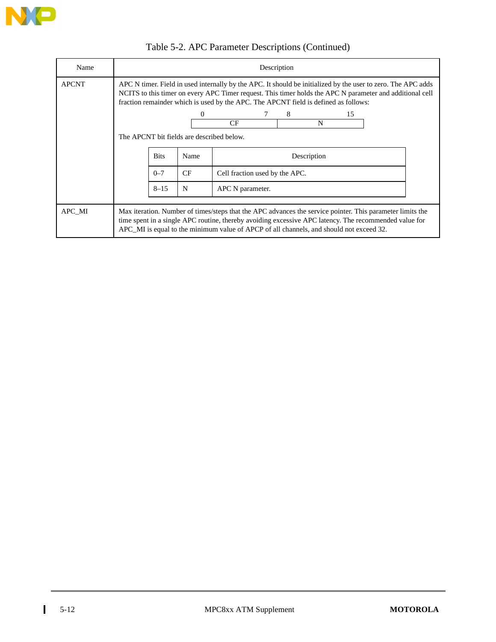

| Name           | Description                                                                                                                                                                                                                                                                                                     |             |           |                                |   |    |  |  |  |
|----------------|-----------------------------------------------------------------------------------------------------------------------------------------------------------------------------------------------------------------------------------------------------------------------------------------------------------------|-------------|-----------|--------------------------------|---|----|--|--|--|
| <b>APCNT</b>   | APC N timer. Field in used internally by the APC. It should be initialized by the user to zero. The APC adds<br>NCITS to this timer on every APC Timer request. This timer holds the APC N parameter and additional cell<br>fraction remainder which is used by the APC. The APCNT field is defined as follows: |             |           |                                |   |    |  |  |  |
|                |                                                                                                                                                                                                                                                                                                                 |             |           |                                | 8 | 15 |  |  |  |
| <b>CF</b><br>N |                                                                                                                                                                                                                                                                                                                 |             |           |                                |   |    |  |  |  |
|                | The APCNT bit fields are described below.                                                                                                                                                                                                                                                                       |             |           |                                |   |    |  |  |  |
|                |                                                                                                                                                                                                                                                                                                                 | <b>Bits</b> | Name      |                                |   |    |  |  |  |
|                |                                                                                                                                                                                                                                                                                                                 | $0 - 7$     | <b>CF</b> | Cell fraction used by the APC. |   |    |  |  |  |
|                | $8 - 15$<br>N<br>APC N parameter.                                                                                                                                                                                                                                                                               |             |           |                                |   |    |  |  |  |
|                |                                                                                                                                                                                                                                                                                                                 |             |           |                                |   |    |  |  |  |
| APC MI         | Max iteration. Number of times/steps that the APC advances the service pointer. This parameter limits the<br>time spent in a single APC routine, thereby avoiding excessive APC latency. The recommended value for<br>APC_MI is equal to the minimum value of APCP of all channels, and should not exceed 32.   |             |           |                                |   |    |  |  |  |

# Table 5-2. APC Parameter Descriptions (Continued)

 $\overline{1}$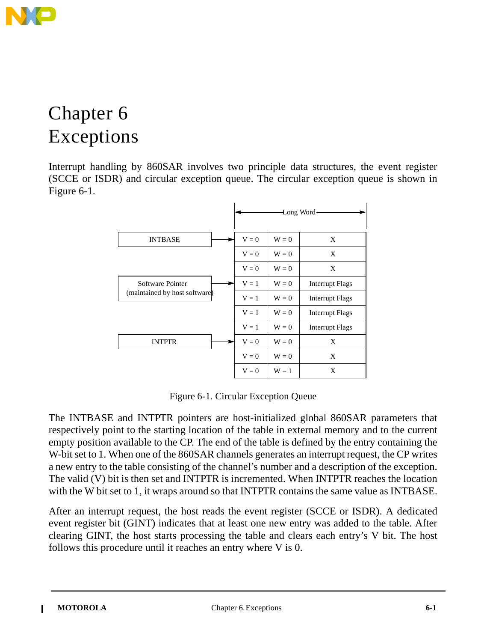

# Chapter 6 Exceptions

Interrupt handling by 860SAR involves two principle data structures, the event register (SCCE or ISDR) and circular exception queue. The circular exception queue is shown in Figure 6-1.



Figure 6-1. Circular Exception Queue

The INTBASE and INTPTR pointers are host-initialized global 860SAR parameters that respectively point to the starting location of the table in external memory and to the current empty position available to the CP. The end of the table is defined by the entry containing the W-bit set to 1. When one of the 860SAR channels generates an interrupt request, the CP writes a new entry to the table consisting of the channel's number and a description of the exception. The valid (V) bit is then set and INTPTR is incremented. When INTPTR reaches the location with the W bit set to 1, it wraps around so that INTPTR contains the same value as INTBASE.

After an interrupt request, the host reads the event register (SCCE or ISDR). A dedicated event register bit (GINT) indicates that at least one new entry was added to the table. After clearing GINT, the host starts processing the table and clears each entry's V bit. The host follows this procedure until it reaches an entry where V is 0.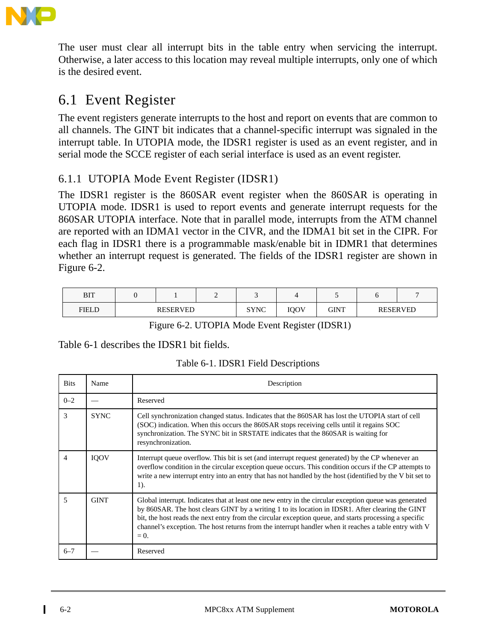

The user must clear all interrupt bits in the table entry when servicing the interrupt. Otherwise, a later access to this location may reveal multiple interrupts, only one of which is the desired event.

# 6.1 Event Register

The event registers generate interrupts to the host and report on events that are common to all channels. The GINT bit indicates that a channel-specific interrupt was signaled in the interrupt table. In UTOPIA mode, the IDSR1 register is used as an event register, and in serial mode the SCCE register of each serial interface is used as an event register.

### 6.1.1 UTOPIA Mode Event Register (IDSR1)

The IDSR1 register is the 860SAR event register when the 860SAR is operating in UTOPIA mode. IDSR1 is used to report events and generate interrupt requests for the 860SAR UTOPIA interface. Note that in parallel mode, interrupts from the ATM channel are reported with an IDMA1 vector in the CIVR, and the IDMA1 bit set in the CIPR. For each flag in IDSR1 there is a programmable mask/enable bit in IDMR1 that determines whether an interrupt request is generated. The fields of the IDSR1 register are shown in Figure 6-2.

| DIT<br>DI I |                 | <u>ے</u> |             |             |             |                 |  |
|-------------|-----------------|----------|-------------|-------------|-------------|-----------------|--|
| FIELD       | <b>RESERVED</b> |          | <b>SYNC</b> | <b>IOOV</b> | <b>GINT</b> | <b>RESERVED</b> |  |

Figure 6-2. UTOPIA Mode Event Register (IDSR1)

Table 6-1 describes the IDSR1 bit fields.

|  |  |  | Table 6-1. IDSR1 Field Descriptions |
|--|--|--|-------------------------------------|
|--|--|--|-------------------------------------|

| <b>Bits</b>    | Name        | Description                                                                                                                                                                                                                                                                                                                                                                                                                            |
|----------------|-------------|----------------------------------------------------------------------------------------------------------------------------------------------------------------------------------------------------------------------------------------------------------------------------------------------------------------------------------------------------------------------------------------------------------------------------------------|
| $0 - 2$        |             | Reserved                                                                                                                                                                                                                                                                                                                                                                                                                               |
| 3              | <b>SYNC</b> | Cell synchronization changed status. Indicates that the 860SAR has lost the UTOPIA start of cell<br>(SOC) indication. When this occurs the 860SAR stops receiving cells until it regains SOC<br>synchronization. The SYNC bit in SRSTATE indicates that the 860SAR is waiting for<br>resynchronization.                                                                                                                                |
| $\overline{4}$ | <b>IOOV</b> | Interrupt queue overflow. This bit is set (and interrupt request generated) by the CP whenever an<br>overflow condition in the circular exception queue occurs. This condition occurs if the CP attempts to<br>write a new interrupt entry into an entry that has not handled by the host (identified by the V bit set to<br>1).                                                                                                       |
| $\sim$         | <b>GINT</b> | Global interrupt. Indicates that at least one new entry in the circular exception queue was generated<br>by 860SAR. The host clears GINT by a writing 1 to its location in IDSR1. After clearing the GINT<br>bit, the host reads the next entry from the circular exception queue, and starts processing a specific<br>channel's exception. The host returns from the interrupt handler when it reaches a table entry with V<br>$= 0.$ |
| $6 - 7$        |             | Reserved                                                                                                                                                                                                                                                                                                                                                                                                                               |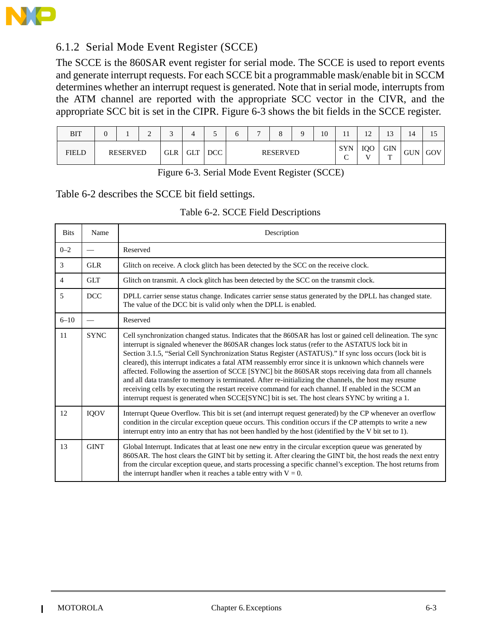

### 6.1.2 Serial Mode Event Register (SCCE)

The SCCE is the 860SAR event register for serial mode. The SCCE is used to report events and generate interrupt requests. For each SCCE bit a programmable mask/enable bit in SCCM determines whether an interrupt request is generated. Note that in serial mode, interrupts from the ATM channel are reported with the appropriate SCC vector in the CIVR, and the appropriate SCC bit is set in the CIPR. Figure 6-3 shows the bit fields in the SCCE register.

| BIT          | υ |                 | ∼ | $\sim$     | 4   | ◡          | ∽ |                 |  |  | 10 | . .                                      | $\sim$<br>$\overline{1}$ | 1 <sub>2</sub><br>ιJ | 14         | IJ  |
|--------------|---|-----------------|---|------------|-----|------------|---|-----------------|--|--|----|------------------------------------------|--------------------------|----------------------|------------|-----|
| <b>FIELD</b> |   | <b>RESERVED</b> |   | <b>GLR</b> | GLT | <b>DCC</b> |   | <b>RESERVED</b> |  |  |    | <b>SYN</b><br>$\tilde{\phantom{a}}$<br>◡ | IQO<br><b>TT</b>         | <b>GIN</b><br>m      | <b>GUN</b> | GOV |

Figure 6-3. Serial Mode Event Register (SCCE)

#### Table 6-2 describes the SCCE bit field settings.

#### Table 6-2. SCCE Field Descriptions

| <b>Bits</b>    | Name        | Description                                                                                                                                                                                                                                                                                                                                                                                                                                                                                                                                                                                                                                                                                                                                                                                                                                                           |
|----------------|-------------|-----------------------------------------------------------------------------------------------------------------------------------------------------------------------------------------------------------------------------------------------------------------------------------------------------------------------------------------------------------------------------------------------------------------------------------------------------------------------------------------------------------------------------------------------------------------------------------------------------------------------------------------------------------------------------------------------------------------------------------------------------------------------------------------------------------------------------------------------------------------------|
| $0 - 2$        |             | Reserved                                                                                                                                                                                                                                                                                                                                                                                                                                                                                                                                                                                                                                                                                                                                                                                                                                                              |
| 3              | GLR         | Glitch on receive. A clock glitch has been detected by the SCC on the receive clock.                                                                                                                                                                                                                                                                                                                                                                                                                                                                                                                                                                                                                                                                                                                                                                                  |
| $\overline{4}$ | <b>GLT</b>  | Glitch on transmit. A clock glitch has been detected by the SCC on the transmit clock.                                                                                                                                                                                                                                                                                                                                                                                                                                                                                                                                                                                                                                                                                                                                                                                |
| 5              | DCC         | DPLL carrier sense status change. Indicates carrier sense status generated by the DPLL has changed state.<br>The value of the DCC bit is valid only when the DPLL is enabled.                                                                                                                                                                                                                                                                                                                                                                                                                                                                                                                                                                                                                                                                                         |
| $6 - 10$       |             | Reserved                                                                                                                                                                                                                                                                                                                                                                                                                                                                                                                                                                                                                                                                                                                                                                                                                                                              |
| 11             | <b>SYNC</b> | Cell synchronization changed status. Indicates that the 860SAR has lost or gained cell delineation. The sync<br>interrupt is signaled whenever the 860SAR changes lock status (refer to the ASTATUS lock bit in<br>Section 3.1.5, "Serial Cell Synchronization Status Register (ASTATUS)." If sync loss occurs (lock bit is<br>cleared), this interrupt indicates a fatal ATM reassembly error since it is unknown which channels were<br>affected. Following the assertion of SCCE [SYNC] bit the 860SAR stops receiving data from all channels<br>and all data transfer to memory is terminated. After re-initializing the channels, the host may resume<br>receiving cells by executing the restart receive command for each channel. If enabled in the SCCM an<br>interrupt request is generated when SCCE[SYNC] bit is set. The host clears SYNC by writing a 1. |
| 12             | IQOV        | Interrupt Queue Overflow. This bit is set (and interrupt request generated) by the CP whenever an overflow<br>condition in the circular exception queue occurs. This condition occurs if the CP attempts to write a new<br>interrupt entry into an entry that has not been handled by the host (identified by the V bit set to 1).                                                                                                                                                                                                                                                                                                                                                                                                                                                                                                                                    |
| 13             | <b>GINT</b> | Global Interrupt. Indicates that at least one new entry in the circular exception queue was generated by<br>860SAR. The host clears the GINT bit by setting it. After clearing the GINT bit, the host reads the next entry<br>from the circular exception queue, and starts processing a specific channel's exception. The host returns from<br>the interrupt handler when it reaches a table entry with $V = 0$ .                                                                                                                                                                                                                                                                                                                                                                                                                                                    |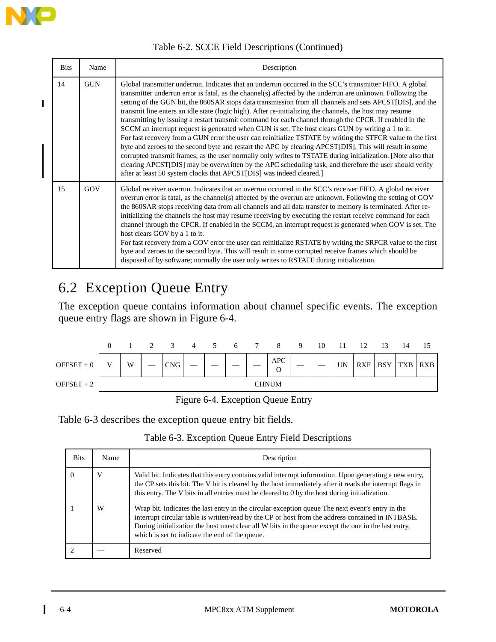

 $\blacksquare$ 

#### Table 6-2. SCCE Field Descriptions (Continued)

| <b>Bits</b> | Name       | Description                                                                                                                                                                                                                                                                                                                                                                                                                                                                                                                                                                                                                                                                                                                                                                                                                                                                                                                                                                                                                                                                                                                                                                                  |
|-------------|------------|----------------------------------------------------------------------------------------------------------------------------------------------------------------------------------------------------------------------------------------------------------------------------------------------------------------------------------------------------------------------------------------------------------------------------------------------------------------------------------------------------------------------------------------------------------------------------------------------------------------------------------------------------------------------------------------------------------------------------------------------------------------------------------------------------------------------------------------------------------------------------------------------------------------------------------------------------------------------------------------------------------------------------------------------------------------------------------------------------------------------------------------------------------------------------------------------|
| 14          | <b>GUN</b> | Global transmitter underrun. Indicates that an underrun occurred in the SCC's transmitter FIFO. A global<br>transmitter underrun error is fatal, as the channel(s) affected by the underrun are unknown. Following the<br>setting of the GUN bit, the 860SAR stops data transmission from all channels and sets APCST[DIS], and the<br>transmit line enters an idle state (logic high). After re-initializing the channels, the host may resume<br>transmitting by issuing a restart transmit command for each channel through the CPCR. If enabled in the<br>SCCM an interrupt request is generated when GUN is set. The host clears GUN by writing a 1 to it.<br>For fast recovery from a GUN error the user can reinitialize TSTATE by writing the STFCR value to the first<br>byte and zeroes to the second byte and restart the APC by clearing APCST[DIS]. This will result in some<br>corrupted transmit frames, as the user normally only writes to TSTATE during initialization. [Note also that<br>clearing APCST[DIS] may be overwritten by the APC scheduling task, and therefore the user should verify<br>after at least 50 system clocks that APCST[DIS] was indeed cleared.] |
| 15          | GOV        | Global receiver overrun. Indicates that an overrun occurred in the SCC's receiver FIFO. A global receiver<br>overrun error is fatal, as the channel(s) affected by the overrun are unknown. Following the setting of GOV<br>the 860SAR stops receiving data from all channels and all data transfer to memory is terminated. After re-<br>initializing the channels the host may resume receiving by executing the restart receive command for each<br>channel through the CPCR. If enabled in the SCCM, an interrupt request is generated when GOV is set. The<br>host clears GOV by a 1 to it.<br>For fast recovery from a GOV error the user can reinitialize RSTATE by writing the SRFCR value to the first<br>byte and zeroes to the second byte. This will result in some corrupted receive frames which should be<br>disposed of by software; normally the user only writes to RSTATE during initialization.                                                                                                                                                                                                                                                                          |

# 6.2 Exception Queue Entry

The exception queue contains information about channel specific events. The exception queue entry flags are shown in Figure 6-4.



Figure 6-4. Exception Queue Entry

Table 6-3 describes the exception queue entry bit fields.

#### Table 6-3. Exception Queue Entry Field Descriptions

| <b>Bits</b> | Name | Description                                                                                                                                                                                                                                                                                                                                                    |
|-------------|------|----------------------------------------------------------------------------------------------------------------------------------------------------------------------------------------------------------------------------------------------------------------------------------------------------------------------------------------------------------------|
|             |      | Valid bit. Indicates that this entry contains valid interrupt information. Upon generating a new entry,<br>the CP sets this bit. The V bit is cleared by the host immediately after it reads the interrupt flags in<br>this entry. The V bits in all entries must be cleared to 0 by the host during initialization.                                           |
|             | W    | Wrap bit. Indicates the last entry in the circular exception queue The next event's entry in the<br>interrupt circular table is written/read by the CP or host from the address contained in INTBASE.<br>During initialization the host must clear all W bits in the queue except the one in the last entry,<br>which is set to indicate the end of the queue. |
|             |      | Reserved                                                                                                                                                                                                                                                                                                                                                       |

 $\mathbf I$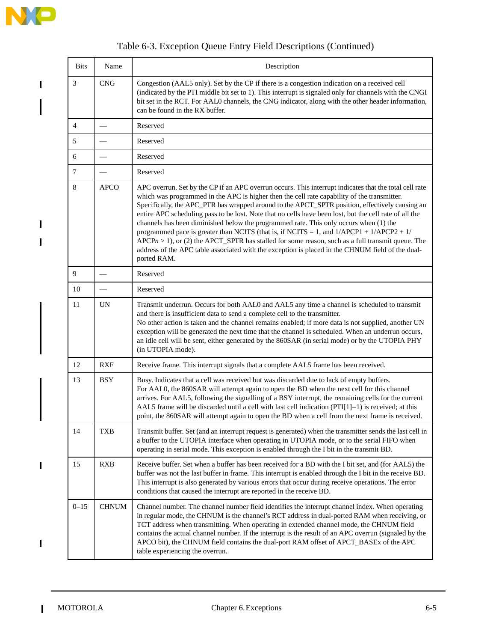$\begin{array}{c} \rule{0pt}{2.5ex} \rule{0pt}{2.5ex} \rule{0pt}{2.5ex} \rule{0pt}{2.5ex} \rule{0pt}{2.5ex} \rule{0pt}{2.5ex} \rule{0pt}{2.5ex} \rule{0pt}{2.5ex} \rule{0pt}{2.5ex} \rule{0pt}{2.5ex} \rule{0pt}{2.5ex} \rule{0pt}{2.5ex} \rule{0pt}{2.5ex} \rule{0pt}{2.5ex} \rule{0pt}{2.5ex} \rule{0pt}{2.5ex} \rule{0pt}{2.5ex} \rule{0pt}{2.5ex} \rule{0pt}{2.5ex} \rule{0$ 

 $\blacksquare$ 

 $\mathbf{I}$ 

 $\blacksquare$ 

 $\begin{array}{c} \rule{0pt}{2.5ex} \rule{0pt}{2.5ex} \rule{0pt}{2.5ex} \rule{0pt}{2.5ex} \rule{0pt}{2.5ex} \rule{0pt}{2.5ex} \rule{0pt}{2.5ex} \rule{0pt}{2.5ex} \rule{0pt}{2.5ex} \rule{0pt}{2.5ex} \rule{0pt}{2.5ex} \rule{0pt}{2.5ex} \rule{0pt}{2.5ex} \rule{0pt}{2.5ex} \rule{0pt}{2.5ex} \rule{0pt}{2.5ex} \rule{0pt}{2.5ex} \rule{0pt}{2.5ex} \rule{0pt}{2.5ex} \rule{0$ 

 $\mathbf{I}$ 

| <b>Bits</b> | Name                            | Description                                                                                                                                                                                                                                                                                                                                                                                                                                                                                                                                                                                                                                                                                                                                                                                                                       |
|-------------|---------------------------------|-----------------------------------------------------------------------------------------------------------------------------------------------------------------------------------------------------------------------------------------------------------------------------------------------------------------------------------------------------------------------------------------------------------------------------------------------------------------------------------------------------------------------------------------------------------------------------------------------------------------------------------------------------------------------------------------------------------------------------------------------------------------------------------------------------------------------------------|
| 3           | <b>CNG</b>                      | Congestion (AAL5 only). Set by the CP if there is a congestion indication on a received cell<br>(indicated by the PTI middle bit set to 1). This interrupt is signaled only for channels with the CNGI<br>bit set in the RCT. For AALO channels, the CNG indicator, along with the other header information,<br>can be found in the RX buffer.                                                                                                                                                                                                                                                                                                                                                                                                                                                                                    |
| 4           | $\overbrace{\qquad \qquad }^{}$ | Reserved                                                                                                                                                                                                                                                                                                                                                                                                                                                                                                                                                                                                                                                                                                                                                                                                                          |
| 5           |                                 | Reserved                                                                                                                                                                                                                                                                                                                                                                                                                                                                                                                                                                                                                                                                                                                                                                                                                          |
| 6           |                                 | Reserved                                                                                                                                                                                                                                                                                                                                                                                                                                                                                                                                                                                                                                                                                                                                                                                                                          |
| $\tau$      |                                 | Reserved                                                                                                                                                                                                                                                                                                                                                                                                                                                                                                                                                                                                                                                                                                                                                                                                                          |
| 8           | <b>APCO</b>                     | APC overrun. Set by the CP if an APC overrun occurs. This interrupt indicates that the total cell rate<br>which was programmed in the APC is higher then the cell rate capability of the transmitter.<br>Specifically, the APC_PTR has wrapped around to the APCT_SPTR position, effectively causing an<br>entire APC scheduling pass to be lost. Note that no cells have been lost, but the cell rate of all the<br>channels has been diminished below the programmed rate. This only occurs when (1) the<br>programmed pace is greater than NCITS (that is, if NCITS = 1, and $1/APCP1 + 1/APCP2 + 1/$<br>$APCPn > 1$ , or (2) the APCT_SPTR has stalled for some reason, such as a full transmit queue. The<br>address of the APC table associated with the exception is placed in the CHNUM field of the dual-<br>ported RAM. |
| 9           |                                 | Reserved                                                                                                                                                                                                                                                                                                                                                                                                                                                                                                                                                                                                                                                                                                                                                                                                                          |
| 10          |                                 | Reserved                                                                                                                                                                                                                                                                                                                                                                                                                                                                                                                                                                                                                                                                                                                                                                                                                          |
| 11          | <b>UN</b>                       | Transmit underrun. Occurs for both AAL0 and AAL5 any time a channel is scheduled to transmit<br>and there is insufficient data to send a complete cell to the transmitter.<br>No other action is taken and the channel remains enabled; if more data is not supplied, another UN<br>exception will be generated the next time that the channel is scheduled. When an underrun occurs,<br>an idle cell will be sent, either generated by the 860SAR (in serial mode) or by the UTOPIA PHY<br>(in UTOPIA mode).                                                                                                                                                                                                                                                                                                                     |
| 12          | <b>RXF</b>                      | Receive frame. This interrupt signals that a complete AAL5 frame has been received.                                                                                                                                                                                                                                                                                                                                                                                                                                                                                                                                                                                                                                                                                                                                               |
| 13          | <b>BSY</b>                      | Busy. Indicates that a cell was received but was discarded due to lack of empty buffers.<br>For AALO, the 860SAR will attempt again to open the BD when the next cell for this channel<br>arrives. For AAL5, following the signalling of a BSY interrupt, the remaining cells for the current<br>AAL5 frame will be discarded until a cell with last cell indication (PTI[1]=1) is received; at this<br>point, the 860SAR will attempt again to open the BD when a cell from the next frame is received.                                                                                                                                                                                                                                                                                                                          |
| 14          | <b>TXB</b>                      | Transmit buffer. Set (and an interrupt request is generated) when the transmitter sends the last cell in<br>a buffer to the UTOPIA interface when operating in UTOPIA mode, or to the serial FIFO when<br>operating in serial mode. This exception is enabled through the I bit in the transmit BD.                                                                                                                                                                                                                                                                                                                                                                                                                                                                                                                               |
| 15          | <b>RXB</b>                      | Receive buffer. Set when a buffer has been received for a BD with the I bit set, and (for AAL5) the<br>buffer was not the last buffer in frame. This interrupt is enabled through the I bit in the receive BD.<br>This interrupt is also generated by various errors that occur during receive operations. The error<br>conditions that caused the interrupt are reported in the receive BD.                                                                                                                                                                                                                                                                                                                                                                                                                                      |
| $0 - 15$    | <b>CHNUM</b>                    | Channel number. The channel number field identifies the interrupt channel index. When operating<br>in regular mode, the CHNUM is the channel's RCT address in dual-ported RAM when receiving, or<br>TCT address when transmitting. When operating in extended channel mode, the CHNUM field<br>contains the actual channel number. If the interrupt is the result of an APC overrun (signaled by the<br>APCO bit), the CHNUM field contains the dual-port RAM offset of APCT_BASEx of the APC<br>table experiencing the overrun.                                                                                                                                                                                                                                                                                                  |

### Table 6-3. Exception Queue Entry Field Descriptions (Continued)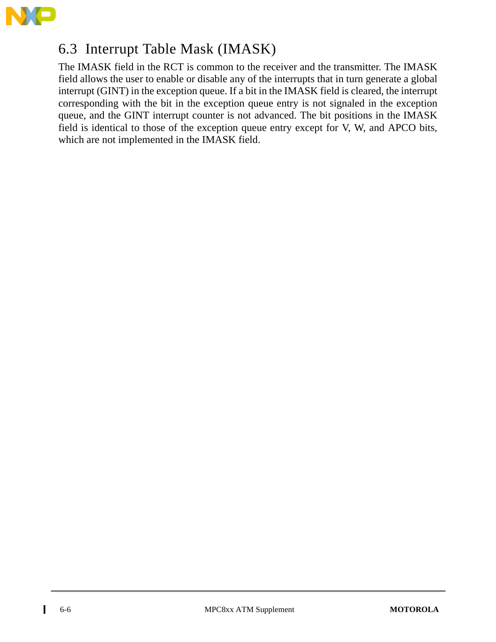

# 6.3 Interrupt Table Mask (IMASK)

The IMASK field in the RCT is common to the receiver and the transmitter. The IMASK field allows the user to enable or disable any of the interrupts that in turn generate a global interrupt (GINT) in the exception queue. If a bit in the IMASK field is cleared, the interrupt corresponding with the bit in the exception queue entry is not signaled in the exception queue, and the GINT interrupt counter is not advanced. The bit positions in the IMASK field is identical to those of the exception queue entry except for V, W, and APCO bits, which are not implemented in the IMASK field.

 $\mathbf I$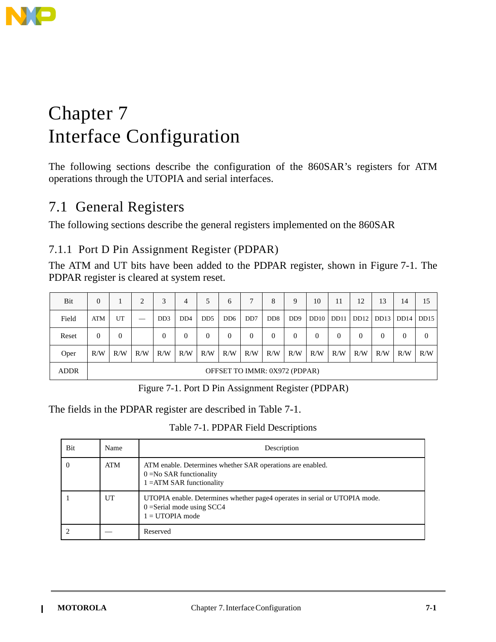

# Chapter 7 Interface Configuration

The following sections describe the configuration of the 860SAR's registers for ATM operations through the UTOPIA and serial interfaces.

# 7.1 General Registers

The following sections describe the general registers implemented on the 860SAR

#### 7.1.1 Port D Pin Assignment Register (PDPAR)

The ATM and UT bits have been added to the PDPAR register, shown in Figure 7-1. The PDPAR register is cleared at system reset.

| Bit         | 0                             |     | 2                                                                                                                                                                                                                                                                                                                                                                                                                                                                          | 3                           | 4                           | 5              | 6                           |                | 8                           | 9                           | 10       | 11       | 12   | 13       | 14       | 15       |
|-------------|-------------------------------|-----|----------------------------------------------------------------------------------------------------------------------------------------------------------------------------------------------------------------------------------------------------------------------------------------------------------------------------------------------------------------------------------------------------------------------------------------------------------------------------|-----------------------------|-----------------------------|----------------|-----------------------------|----------------|-----------------------------|-----------------------------|----------|----------|------|----------|----------|----------|
| Field       | ATM                           | UT  | $\frac{1}{2} \left( \frac{1}{2} \right) \left( \frac{1}{2} \right) \left( \frac{1}{2} \right) \left( \frac{1}{2} \right) \left( \frac{1}{2} \right) \left( \frac{1}{2} \right) \left( \frac{1}{2} \right) \left( \frac{1}{2} \right) \left( \frac{1}{2} \right) \left( \frac{1}{2} \right) \left( \frac{1}{2} \right) \left( \frac{1}{2} \right) \left( \frac{1}{2} \right) \left( \frac{1}{2} \right) \left( \frac{1}{2} \right) \left( \frac{1}{2} \right) \left( \frac$ | D <sub>D</sub> <sub>3</sub> | D <sub>D</sub> <sub>4</sub> | D <sub>D</sub> | D <sub>D</sub> <sub>6</sub> | D <sub>D</sub> | D <sub>D</sub> <sub>8</sub> | D <sub>D</sub> <sup>9</sup> | DD10     | DD11     | DD12 | DD13     | DD14     | DD15     |
| Reset       | $\Omega$                      | 0   |                                                                                                                                                                                                                                                                                                                                                                                                                                                                            | 0                           | 0                           | $\mathbf{0}$   | $\overline{0}$              | 0              | 0                           | $\Omega$                    | $\Omega$ | $\Omega$ | 0    | $\Omega$ | $\theta$ | $\theta$ |
| Oper        | R/W                           | R/W | R/W                                                                                                                                                                                                                                                                                                                                                                                                                                                                        | R/W                         | R/W                         | R/W            | R/W                         | R/W            | R/W                         | R/W                         | R/W      | R/W      | R/W  | R/W      | R/W      | R/W      |
| <b>ADDR</b> | OFFSET TO IMMR: 0X972 (PDPAR) |     |                                                                                                                                                                                                                                                                                                                                                                                                                                                                            |                             |                             |                |                             |                |                             |                             |          |          |      |          |          |          |

Figure 7-1. Port D Pin Assignment Register (PDPAR)

The fields in the PDPAR register are described in Table 7-1.

Table 7-1. PDPAR Field Descriptions

| <b>Bit</b> | Name | Description                                                                                                                     |
|------------|------|---------------------------------------------------------------------------------------------------------------------------------|
| $\Omega$   | ATM  | ATM enable. Determines whether SAR operations are enabled.<br>$0 = No$ SAR functionality<br>$1 = ATM SAR$ functionality         |
|            | UT   | UTOPIA enable. Determines whether page4 operates in serial or UTOPIA mode.<br>$0 =$ Serial mode using SCC4<br>$1 = UTOPIA$ mode |
|            |      | Reserved                                                                                                                        |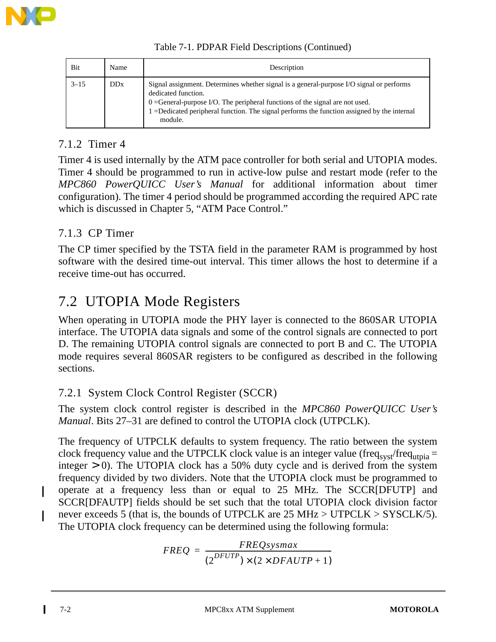

| Bit      | Name       | Description                                                                                                     |
|----------|------------|-----------------------------------------------------------------------------------------------------------------|
| $3 - 15$ | <b>DDx</b> | Signal assignment. Determines whether signal is a general-purpose I/O signal or performs<br>dedicated function. |

0 =General-purpose I/O. The peripheral functions of the signal are not used.

1 =Dedicated peripheral function. The signal performs the function assigned by the internal

Table 7-1. PDPAR Field Descriptions (Continued)

### 7.1.2 Timer 4

Timer 4 is used internally by the ATM pace controller for both serial and UTOPIA modes. Timer 4 should be programmed to run in active-low pulse and restart mode (refer to the *MPC860 PowerQUICC User's Manual* for additional information about timer configuration). The timer 4 period should be programmed according the required APC rate which is discussed in Chapter 5, "ATM Pace Control."

### 7.1.3 CP Timer

The CP timer specified by the TSTA field in the parameter RAM is programmed by host software with the desired time-out interval. This timer allows the host to determine if a receive time-out has occurred.

# 7.2 UTOPIA Mode Registers

module.

When operating in UTOPIA mode the PHY layer is connected to the 860SAR UTOPIA interface. The UTOPIA data signals and some of the control signals are connected to port D. The remaining UTOPIA control signals are connected to port B and C. The UTOPIA mode requires several 860SAR registers to be configured as described in the following sections.

### 7.2.1 System Clock Control Register (SCCR)

The system clock control register is described in the *MPC860 PowerQUICC User's Manual*. Bits 27–31 are defined to control the UTOPIA clock (UTPCLK).

The frequency of UTPCLK defaults to system frequency. The ratio between the system clock frequency value and the UTPCLK clock value is an integer value (freq<sub>syst</sub>/freq<sub>utpia</sub> = integer  $> 0$ ). The UTOPIA clock has a 50% duty cycle and is derived from the system frequency divided by two dividers. Note that the UTOPIA clock must be programmed to operate at a frequency less than or equal to 25 MHz. The SCCR[DFUTP] and SCCR[DFAUTP] fields should be set such that the total UTOPIA clock division factor never exceeds 5 (that is, the bounds of UTPCLK are 25 MHz > UTPCLK > SYSCLK/5). The UTOPIA clock frequency can be determined using the following formula:

$$
FREQ = \frac{FREQsysmax}{(2^{DFUTP}) \times (2 \times DFAUTP + 1)}
$$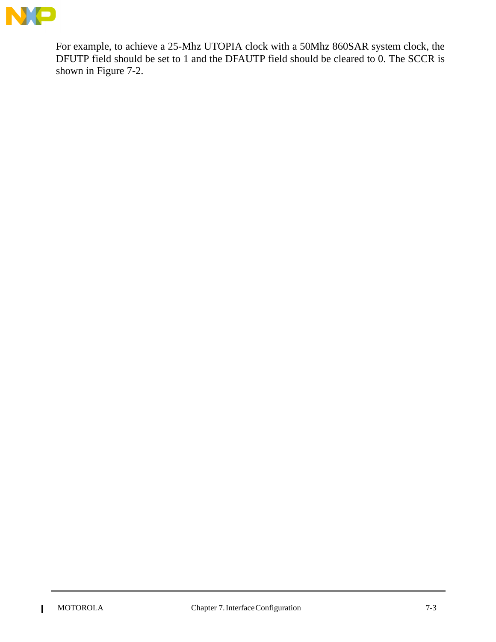

For example, to achieve a 25-Mhz UTOPIA clock with a 50Mhz 860SAR system clock, the DFUTP field should be set to 1 and the DFAUTP field should be cleared to 0. The SCCR is shown in Figure 7-2.

 $\mathbf{I}$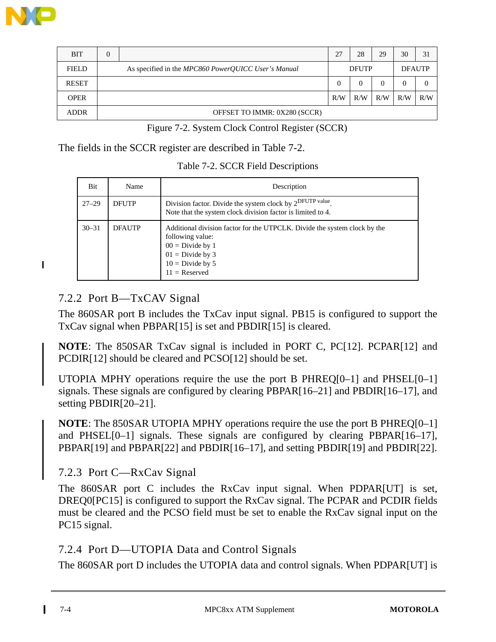

 $\blacksquare$ 

| <b>BIT</b>   | $\theta$ |                                                     | 27  | 28           | 29  | 30  | 31            |
|--------------|----------|-----------------------------------------------------|-----|--------------|-----|-----|---------------|
| <b>FIELD</b> |          | As specified in the MPC860 PowerQUICC User's Manual |     | <b>DFUTP</b> |     |     | <b>DFAUTP</b> |
| <b>RESET</b> |          |                                                     |     |              |     |     |               |
| <b>OPER</b>  |          |                                                     | R/W | R/W          | R/W | R/W | R/W           |
| <b>ADDR</b>  |          | OFFSET TO IMMR: 0X280 (SCCR)                        |     |              |     |     |               |

| Figure 7-2. System Clock Control Register (SCCR) |  |  |  |
|--------------------------------------------------|--|--|--|
|                                                  |  |  |  |

The fields in the SCCR register are described in Table 7-2.

| Bit       | Name          | Description                                                                                                                                                                        |
|-----------|---------------|------------------------------------------------------------------------------------------------------------------------------------------------------------------------------------|
| $27 - 29$ | <b>DFUTP</b>  | Division factor. Divide the system clock by 2 <sup>DFUTP value</sup> .<br>Note that the system clock division factor is limited to 4.                                              |
| $30 - 31$ | <b>DFAUTP</b> | Additional division factor for the UTPCLK. Divide the system clock by the<br>following value:<br>$00 = Divide by 1$<br>$01 = Divide by 3$<br>$10 = Divide by 5$<br>$11 =$ Reserved |

#### 7.2.2 Port B—TxCAV Signal

The 860SAR port B includes the TxCav input signal. PB15 is configured to support the TxCav signal when PBPAR[15] is set and PBDIR[15] is cleared.

**NOTE**: The 850SAR TxCav signal is included in PORT C, PC[12]. PCPAR[12] and PCDIR[12] should be cleared and PCSO[12] should be set.

UTOPIA MPHY operations require the use the port B PHREQ[0–1] and PHSEL[0–1] signals. These signals are configured by clearing PBPAR[16–21] and PBDIR[16–17], and setting PBDIR[20–21].

**NOTE**: The 850SAR UTOPIA MPHY operations require the use the port B PHREQ[0–1] and PHSEL[0–1] signals. These signals are configured by clearing PBPAR[16–17], PBPAR[19] and PBPAR[22] and PBDIR[16–17], and setting PBDIR[19] and PBDIR[22].

#### 7.2.3 Port C—RxCav Signal

The 860SAR port C includes the RxCav input signal. When PDPAR[UT] is set, DREQ0[PC15] is configured to support the RxCav signal. The PCPAR and PCDIR fields must be cleared and the PCSO field must be set to enable the RxCav signal input on the PC15 signal.

#### 7.2.4 Port D—UTOPIA Data and Control Signals

The 860SAR port D includes the UTOPIA data and control signals. When PDPAR[UT] is

Ш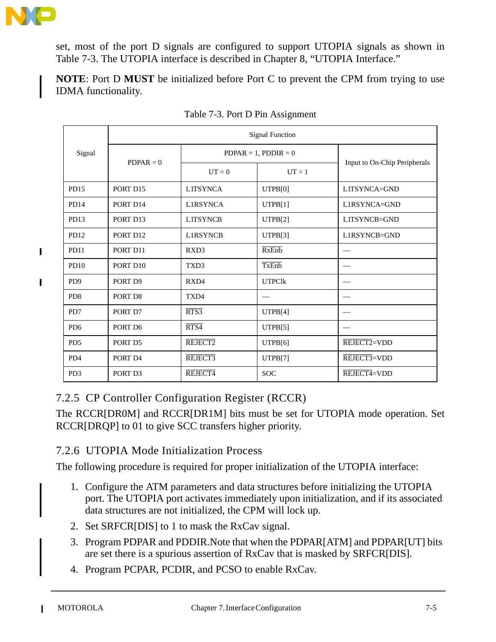

П

set, most of the port D signals are configured to support UTOPIA signals as shown in Table 7-3. The UTOPIA interface is described in Chapter 8, "UTOPIA Interface."

**NOTE**: Port D **MUST** be initialized before Port C to prevent the CPM from trying to use IDMA functionality.

|                             | <b>Signal Function</b> |                           |               |                                 |  |  |  |  |  |
|-----------------------------|------------------------|---------------------------|---------------|---------------------------------|--|--|--|--|--|
| Signal                      | $PDPAR = 0$            | $PDPAR = 1$ , $PDDIR = 0$ |               |                                 |  |  |  |  |  |
|                             |                        | $UT = 0$                  | $UT = 1$      | Input to On-Chip Peripherals    |  |  |  |  |  |
| PD15                        | PORT D15               | <b>LITSYNCA</b>           | UTPB[0]       | LITSYNCA=GND                    |  |  |  |  |  |
| PD <sub>14</sub>            | PORT D14               | <b>L1RSYNCA</b>           | UTPB[1]       | L1RSYNCA=GND                    |  |  |  |  |  |
| PD13                        | PORT D13               | <b>LITSYNCB</b>           | UTPB[2]       | LITSYNCB=GND                    |  |  |  |  |  |
| PD12                        | PORT D12               | <b>L1RSYNCB</b>           | UTPB[3]       | L1RSYNCB=GND                    |  |  |  |  |  |
| <b>PD11</b>                 | PORT D11               | RXD3                      | <b>RxEnb</b>  | $\hspace{0.1mm}-\hspace{0.1mm}$ |  |  |  |  |  |
| PD10                        | PORT D10               | TXD3                      | TxEnb         |                                 |  |  |  |  |  |
| P <sub>D</sub> <sub>9</sub> | PORT D9                | RXD4                      | <b>UTPClk</b> |                                 |  |  |  |  |  |
| P <sub>D</sub> 8            | PORT D8                | TXD4                      |               |                                 |  |  |  |  |  |
| PD7                         | PORT D7                | RTS3                      | UTPB[4]       |                                 |  |  |  |  |  |
| P <sub>D</sub> 6            | PORT D6                | RTS4                      | UTPB[5]       |                                 |  |  |  |  |  |
| P <sub>D5</sub>             | PORT D5                | REJECT2                   | UTPB[6]       | REJECT2=VDD                     |  |  |  |  |  |
| PD <sub>4</sub>             | PORT D4                | REJECT3                   | UTPB[7]       | $REIECT3=VDD$                   |  |  |  |  |  |
| P <sub>D</sub> 3            | PORT D3                | REJECT4                   | <b>SOC</b>    | REJECT4=VDD                     |  |  |  |  |  |

### 7.2.5 CP Controller Configuration Register (RCCR)

The RCCR[DR0M] and RCCR[DR1M] bits must be set for UTOPIA mode operation. Set RCCR[DRQP] to 01 to give SCC transfers higher priority.

#### 7.2.6 UTOPIA Mode Initialization Process

The following procedure is required for proper initialization of the UTOPIA interface:

- 1. Configure the ATM parameters and data structures before initializing the UTOPIA port. The UTOPIA port activates immediately upon initialization, and if its associated data structures are not initialized, the CPM will lock up.
- 2. Set SRFCR[DIS] to 1 to mask the RxCav signal.
- 3. Program PDPAR and PDDIR.Note that when the PDPAR[ATM] and PDPAR[UT] bits are set there is a spurious assertion of RxCav that is masked by SRFCR[DIS].
- 4. Program PCPAR, PCDIR, and PCSO to enable RxCav.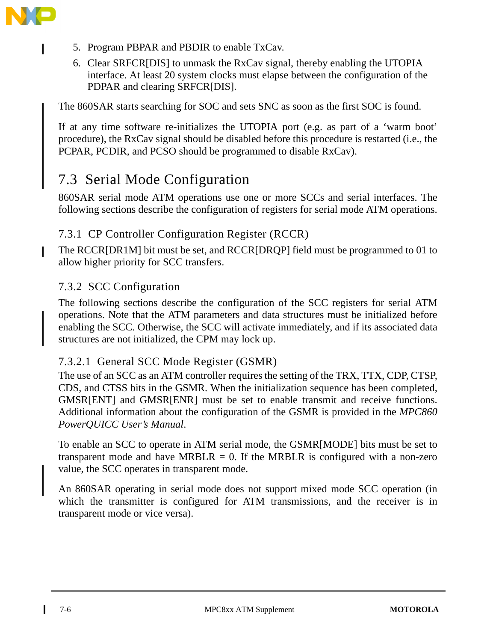

I

- 5. Program PBPAR and PBDIR to enable TxCav.
- 6. Clear SRFCR[DIS] to unmask the RxCav signal, thereby enabling the UTOPIA interface. At least 20 system clocks must elapse between the configuration of the PDPAR and clearing SRFCR[DIS].

The 860SAR starts searching for SOC and sets SNC as soon as the first SOC is found.

If at any time software re-initializes the UTOPIA port (e.g. as part of a 'warm boot' procedure), the RxCav signal should be disabled before this procedure is restarted (i.e., the PCPAR, PCDIR, and PCSO should be programmed to disable RxCav).

# 7.3 Serial Mode Configuration

860SAR serial mode ATM operations use one or more SCCs and serial interfaces. The following sections describe the configuration of registers for serial mode ATM operations.

#### 7.3.1 CP Controller Configuration Register (RCCR)

The RCCR[DR1M] bit must be set, and RCCR[DRQP] field must be programmed to 01 to allow higher priority for SCC transfers.

#### 7.3.2 SCC Configuration

The following sections describe the configuration of the SCC registers for serial ATM operations. Note that the ATM parameters and data structures must be initialized before enabling the SCC. Otherwise, the SCC will activate immediately, and if its associated data structures are not initialized, the CPM may lock up.

#### 7.3.2.1 General SCC Mode Register (GSMR)

The use of an SCC as an ATM controller requires the setting of the TRX, TTX, CDP, CTSP, CDS, and CTSS bits in the GSMR. When the initialization sequence has been completed, GMSR[ENT] and GMSR[ENR] must be set to enable transmit and receive functions. Additional information about the configuration of the GSMR is provided in the *MPC860 PowerQUICC User's Manual*.

To enable an SCC to operate in ATM serial mode, the GSMR[MODE] bits must be set to transparent mode and have MRBLR =  $0$ . If the MRBLR is configured with a non-zero value, the SCC operates in transparent mode.

An 860SAR operating in serial mode does not support mixed mode SCC operation (in which the transmitter is configured for ATM transmissions, and the receiver is in transparent mode or vice versa).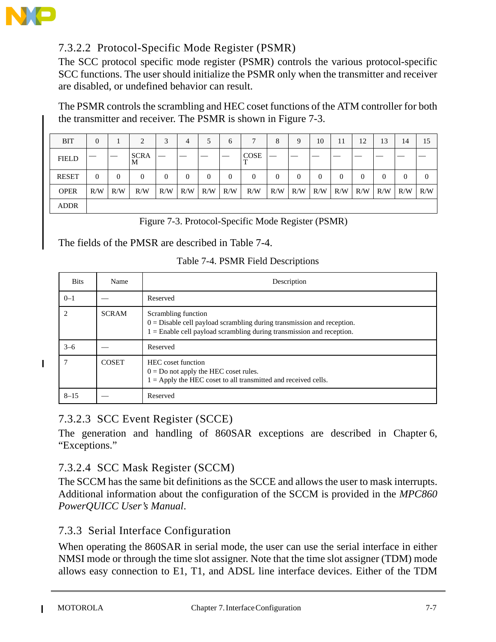

 $\blacksquare$ 

### 7.3.2.2 Protocol-Specific Mode Register (PSMR)

The SCC protocol specific mode register (PSMR) controls the various protocol-specific SCC functions. The user should initialize the PSMR only when the transmitter and receiver are disabled, or undefined behavior can result.

The PSMR controls the scrambling and HEC coset functions of the ATM controller for both the transmitter and receiver. The PSMR is shown in Figure 7-3.

| <b>BIT</b>   | 0        |                | 2                | 3   | $\overline{4}$ |          | 6        |             | 8   | 9              | 10           | 11  | 12             | 13       | 14             | 15       |
|--------------|----------|----------------|------------------|-----|----------------|----------|----------|-------------|-----|----------------|--------------|-----|----------------|----------|----------------|----------|
| <b>FIELD</b> |          |                | <b>SCRA</b><br>M |     |                |          |          | <b>COSE</b> |     |                |              |     |                |          |                |          |
| <b>RESET</b> | $\Omega$ | $\overline{0}$ | $\boldsymbol{0}$ | 0   | $\theta$       | $\theta$ | $\Omega$ | 0           | 0   | $\overline{0}$ | $\mathbf{0}$ | 0   | $\overline{0}$ | $\theta$ | $\overline{0}$ | $\theta$ |
| <b>OPER</b>  | R/W      | R/W            | R/W              | R/W | R/W            | R/W      | R/W      | R/W         | R/W | R/W            | R/W          | R/W | R/W            | R/W      | R/W            | R/W      |
| <b>ADDR</b>  |          |                |                  |     |                |          |          |             |     |                |              |     |                |          |                |          |

Figure 7-3. Protocol-Specific Mode Register (PSMR)

The fields of the PMSR are described in Table 7-4.

| Table 7-4. PSMR Field Descriptions |  |  |  |  |  |
|------------------------------------|--|--|--|--|--|
|------------------------------------|--|--|--|--|--|

| <b>Bits</b> | Name         | Description                                                                                                                                                                |
|-------------|--------------|----------------------------------------------------------------------------------------------------------------------------------------------------------------------------|
| $0 - 1$     |              | Reserved                                                                                                                                                                   |
|             | <b>SCRAM</b> | Scrambling function<br>$0 =$ Disable cell payload scrambling during transmission and reception.<br>$1 =$ Enable cell payload scrambling during transmission and reception. |
| $3 - 6$     |              | Reserved                                                                                                                                                                   |
|             | <b>COSET</b> | HEC coset function<br>$0 = Do$ not apply the HEC coset rules.<br>$1 =$ Apply the HEC coset to all transmitted and received cells.                                          |
| $8 - 15$    |              | Reserved                                                                                                                                                                   |

7.3.2.3 SCC Event Register (SCCE)

The generation and handling of 860SAR exceptions are described in Chapter 6, "Exceptions."

#### 7.3.2.4 SCC Mask Register (SCCM)

The SCCM has the same bit definitions as the SCCE and allows the user to mask interrupts. Additional information about the configuration of the SCCM is provided in the *MPC860 PowerQUICC User's Manual*.

#### 7.3.3 Serial Interface Configuration

When operating the 860SAR in serial mode, the user can use the serial interface in either NMSI mode or through the time slot assigner. Note that the time slot assigner (TDM) mode allows easy connection to E1, T1, and ADSL line interface devices. Either of the TDM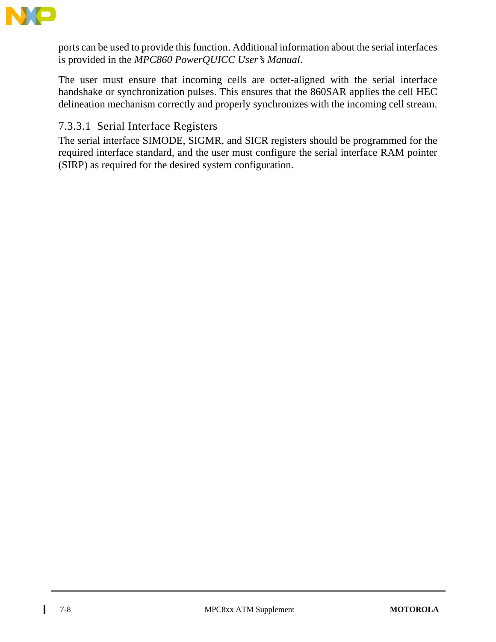

ports can be used to provide this function. Additional information about the serial interfaces is provided in the *MPC860 PowerQUICC User's Manual*.

The user must ensure that incoming cells are octet-aligned with the serial interface handshake or synchronization pulses. This ensures that the 860SAR applies the cell HEC delineation mechanism correctly and properly synchronizes with the incoming cell stream.

#### 7.3.3.1 Serial Interface Registers

The serial interface SIMODE, SIGMR, and SICR registers should be programmed for the required interface standard, and the user must configure the serial interface RAM pointer (SIRP) as required for the desired system configuration.

I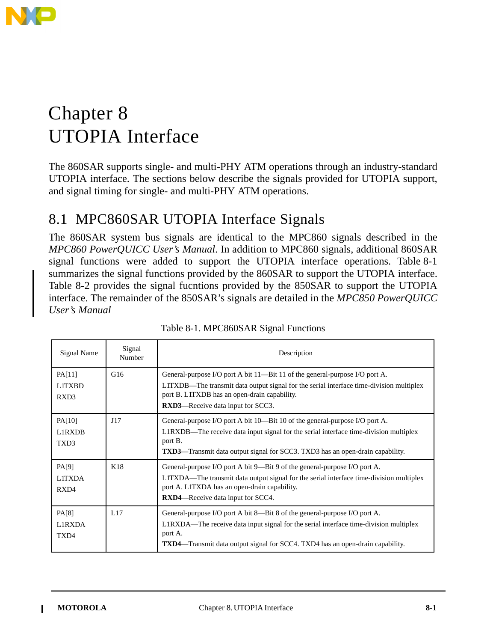

# Chapter 8 UTOPIA Interface

80 The 860SAR supports single- and multi-PHY ATM operations through an industry-standard UTOPIA interface. The sections below describe the signals provided for UTOPIA support, and signal timing for single- and multi-PHY ATM operations.

# 8.1 MPC860SAR UTOPIA Interface Signals

The 860SAR system bus signals are identical to the MPC860 signals described in the *MPC860 PowerQUICC User's Manual*. In addition to MPC860 signals, additional 860SAR signal functions were added to support the UTOPIA interface operations. Table 8-1 summarizes the signal functions provided by the 860SAR to support the UTOPIA interface. Table 8-2 provides the signal fucntions provided by the 850SAR to support the UTOPIA interface. The remainder of the 850SAR's signals are detailed in the *MPC850 PowerQUICC User's Manual*

| Signal Name                     | Signal<br>Number | Description                                                                                                                                                                                                                                                             |
|---------------------------------|------------------|-------------------------------------------------------------------------------------------------------------------------------------------------------------------------------------------------------------------------------------------------------------------------|
| PA[11]<br><b>LITXBD</b><br>RXD3 | G16              | General-purpose I/O port A bit 11—Bit 11 of the general-purpose I/O port A.<br>LITXDB-The transmit data output signal for the serial interface time-division multiplex<br>port B. LITXDB has an open-drain capability.<br><b>RXD3</b> —Receive data input for SCC3.     |
| PA[10]<br>L1RXDB<br>TXD3        | J17              | General-purpose I/O port A bit 10—Bit 10 of the general-purpose I/O port A.<br>L1RXDB-The receive data input signal for the serial interface time-division multiplex<br>port B.<br><b>TXD3—Transmit data output signal for SCC3. TXD3 has an open-drain capability.</b> |
| PA[9]<br><b>LITXDA</b><br>RXD4  | K18              | General-purpose I/O port A bit 9—Bit 9 of the general-purpose I/O port A.<br>LITXDA—The transmit data output signal for the serial interface time-division multiplex<br>port A. LITXDA has an open-drain capability.<br><b>RXD4</b> —Receive data input for SCC4.       |
| PA[8]<br>L1RXDA<br>TXD4         | L17              | General-purpose I/O port A bit 8—Bit 8 of the general-purpose I/O port A.<br>L1RXDA—The receive data input signal for the serial interface time-division multiplex<br>port A.<br><b>TXD4—Transmit data output signal for SCC4. TXD4 has an open-drain capability.</b>   |

Table 8-1. MPC860SAR Signal Functions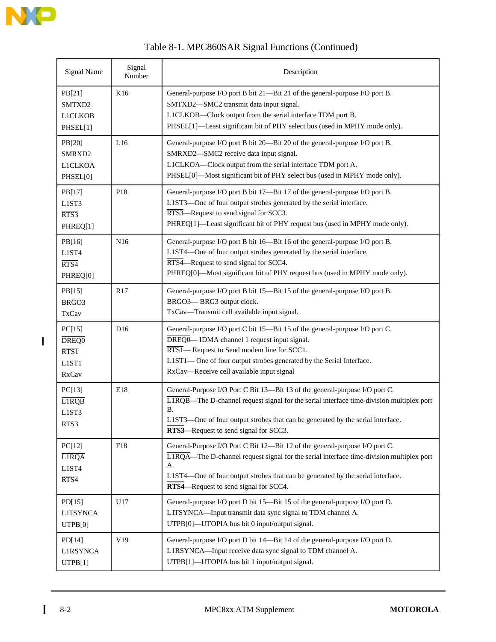

| Table 8-1. MPC860SAR Signal Functions (Continued) |  |
|---------------------------------------------------|--|
|---------------------------------------------------|--|

| <b>Signal Name</b>                               | Signal<br>Number | Description                                                                                                                                                                                                                                                                                               |
|--------------------------------------------------|------------------|-----------------------------------------------------------------------------------------------------------------------------------------------------------------------------------------------------------------------------------------------------------------------------------------------------------|
| PB[21]<br>SMTXD2<br><b>L1CLKOB</b><br>PHSEL[1]   | K16              | General-purpose I/O port B bit 21-Bit 21 of the general-purpose I/O port B.<br>SMTXD2-SMC2 transmit data input signal.<br>L1CLKOB-Clock output from the serial interface TDM port B.<br>PHSEL[1]-Least significant bit of PHY select bus (used in MPHY mode only).                                        |
| PB[20]<br>SMRXD2<br><b>L1CLKOA</b><br>PHSEL[0]   | L16              | General-purpose I/O port B bit 20—Bit 20 of the general-purpose I/O port B.<br>SMRXD2-SMC2 receive data input signal.<br>L1CLKOA-Clock output from the serial interface TDM port A.<br>PHSEL[0]-Most significant bit of PHY select bus (used in MPHY mode only).                                          |
| PB[17]<br>L1ST3<br>RTS3<br>PHREQ[1]              | P18              | General-purpose I/O port B bit 17-Bit 17 of the general-purpose I/O port B.<br>L1ST3-One of four output strobes generated by the serial interface.<br>RTS3-Request to send signal for SCC3.<br>PHREQ[1]-Least significant bit of PHY request bus (used in MPHY mode only).                                |
| PB[16]<br>L1ST4<br>RTS4<br>PHREQ[0]              | N <sub>16</sub>  | General-purpose I/O port B bit 16-Bit 16 of the general-purpose I/O port B.<br>L1ST4-One of four output strobes generated by the serial interface.<br>RTS4—Request to send signal for SCC4.<br>PHREQ[0]-Most significant bit of PHY request bus (used in MPHY mode only).                                 |
| PB[15]<br>BRGO3<br><b>TxCav</b>                  | R17              | General-purpose I/O port B bit 15-Bit 15 of the general-purpose I/O port B.<br>BRGO3-BRG3 output clock.<br>TxCav-Transmit cell available input signal.                                                                                                                                                    |
| PC[15]<br>DREQ0<br>RTS1<br>L1ST1<br><b>RxCav</b> | D <sub>16</sub>  | General-purpose I/O port C bit 15-Bit 15 of the general-purpose I/O port C.<br>DREQO-IDMA channel 1 request input signal.<br>RTS1-Request to Send modem line for SCC1.<br>L1ST1-One of four output strobes generated by the Serial Interface.<br>RxCav-Receive cell available input signal                |
| PC[13]<br><b>LIRQB</b><br>L1ST3<br>RTS3          | E18              | General-Purpose I/O Port C Bit 13-Bit 13 of the general-purpose I/O port C.<br>L1RQB—The D-channel request signal for the serial interface time-division multiplex port<br>В.<br>L1ST3-One of four output strobes that can be generated by the serial interface.<br>RTS3—Request to send signal for SCC3. |
| PC[12]<br><b>LIRQA</b><br>L1ST4<br>RTS4          | F18              | General-Purpose I/O Port C Bit 12-Bit 12 of the general-purpose I/O port C.<br>LIRQA—The D-channel request signal for the serial interface time-division multiplex port<br>А.<br>L1ST4—One of four output strobes that can be generated by the serial interface.<br>RTS4—Request to send signal for SCC4. |
| PD[15]<br><b>LITSYNCA</b><br>UTPB[0]             | U17              | General-purpose I/O port D bit 15-Bit 15 of the general-purpose I/O port D.<br>LITSYNCA-Input transmit data sync signal to TDM channel A.<br>UTPB[0]-UTOPIA bus bit 0 input/output signal.                                                                                                                |
| PD[14]<br>L1RSYNCA<br>UTPB[1]                    | V19              | General-purpose I/O port D bit 14-Bit 14 of the general-purpose I/O port D.<br>L1RSYNCA-Input receive data sync signal to TDM channel A.<br>UTPB[1]-UTOPIA bus bit 1 input/output signal.                                                                                                                 |

 $\begin{array}{c} \rule{0pt}{2.5ex} \rule{0pt}{2.5ex} \rule{0pt}{2.5ex} \rule{0pt}{2.5ex} \rule{0pt}{2.5ex} \rule{0pt}{2.5ex} \rule{0pt}{2.5ex} \rule{0pt}{2.5ex} \rule{0pt}{2.5ex} \rule{0pt}{2.5ex} \rule{0pt}{2.5ex} \rule{0pt}{2.5ex} \rule{0pt}{2.5ex} \rule{0pt}{2.5ex} \rule{0pt}{2.5ex} \rule{0pt}{2.5ex} \rule{0pt}{2.5ex} \rule{0pt}{2.5ex} \rule{0pt}{2.5ex} \rule{0$ 

 $\mathbf{I}$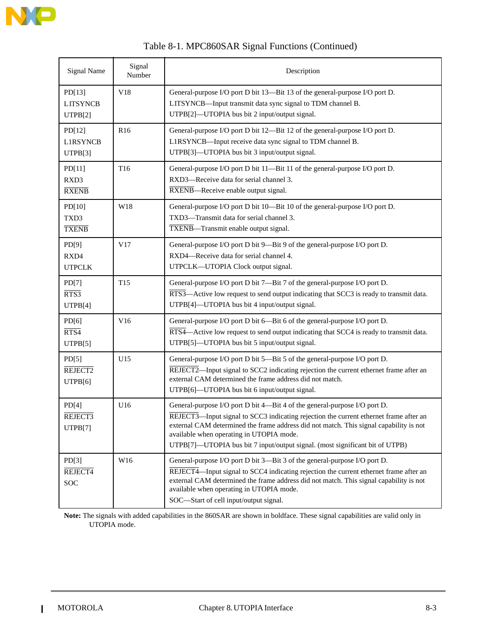

| Table 8-1. MPC860SAR Signal Functions (Continued) |  |
|---------------------------------------------------|--|
|---------------------------------------------------|--|

| <b>Signal Name</b>                   | Signal<br>Number | Description                                                                                                                                                                                                                                                                                                                                                                              |
|--------------------------------------|------------------|------------------------------------------------------------------------------------------------------------------------------------------------------------------------------------------------------------------------------------------------------------------------------------------------------------------------------------------------------------------------------------------|
| PD[13]<br><b>LITSYNCB</b><br>UTPB[2] | V18              | General-purpose I/O port D bit 13-Bit 13 of the general-purpose I/O port D.<br>LITSYNCB-Input transmit data sync signal to TDM channel B.<br>UTPB[2]-UTOPIA bus bit 2 input/output signal.                                                                                                                                                                                               |
| PD[12]<br><b>L1RSYNCB</b><br>UTPB[3] | R <sub>16</sub>  | General-purpose I/O port D bit 12-Bit 12 of the general-purpose I/O port D.<br>L1RSYNCB—Input receive data sync signal to TDM channel B.<br>UTPB[3]-UTOPIA bus bit 3 input/output signal.                                                                                                                                                                                                |
| PD[11]<br>RXD3<br><b>RXENB</b>       | T16              | General-purpose I/O port D bit 11-Bit 11 of the general-purpose I/O port D.<br>RXD3-Receive data for serial channel 3.<br>RXENB-Receive enable output signal.                                                                                                                                                                                                                            |
| PD[10]<br>TXD3<br><b>TXENB</b>       | W18              | General-purpose I/O port D bit 10-Bit 10 of the general-purpose I/O port D.<br>TXD3-Transmit data for serial channel 3.<br>TXENB-Transmit enable output signal.                                                                                                                                                                                                                          |
| PD[9]<br>RXD4<br><b>UTPCLK</b>       | V17              | General-purpose I/O port D bit 9-Bit 9 of the general-purpose I/O port D.<br>RXD4-Receive data for serial channel 4.<br>UTPCLK-UTOPIA Clock output signal.                                                                                                                                                                                                                               |
| PD[7]<br>RTS3<br>UTPB[4]             | T <sub>15</sub>  | General-purpose I/O port D bit 7-Bit 7 of the general-purpose I/O port D.<br>RTS3—Active low request to send output indicating that SCC3 is ready to transmit data.<br>UTPB[4]-UTOPIA bus bit 4 input/output signal.                                                                                                                                                                     |
| PD[6]<br>RTS4<br>UTPB[5]             | V16              | General-purpose I/O port D bit 6-Bit 6 of the general-purpose I/O port D.<br>RTS4—Active low request to send output indicating that SCC4 is ready to transmit data.<br>UTPB[5]-UTOPIA bus bit 5 input/output signal.                                                                                                                                                                     |
| PD[5]<br>REJECT2<br>UTPB[6]          | U15              | General-purpose I/O port D bit 5-Bit 5 of the general-purpose I/O port D.<br>REJECT2-Input signal to SCC2 indicating rejection the current ethernet frame after an<br>external CAM determined the frame address did not match.<br>UTPB[6]-UTOPIA bus bit 6 input/output signal.                                                                                                          |
| PD[4]<br>REJECT3<br>UTPB[7]          | U16              | General-purpose I/O port D bit 4-Bit 4 of the general-purpose I/O port D.<br>REJECT3-Input signal to SCC3 indicating rejection the current ethernet frame after an<br>external CAM determined the frame address did not match. This signal capability is not<br>available when operating in UTOPIA mode.<br>UTPB[7]-UTOPIA bus bit 7 input/output signal. (most significant bit of UTPB) |
| PD[3]<br>REJECT4<br>SOC              | W16              | General-purpose I/O port D bit 3-Bit 3 of the general-purpose I/O port D.<br>REJECT4-Input signal to SCC4 indicating rejection the current ethernet frame after an<br>external CAM determined the frame address did not match. This signal capability is not<br>available when operating in UTOPIA mode.<br>SOC-Start of cell input/output signal.                                       |

**Note:** The signals with added capabilities in the 860SAR are shown in boldface. These signal capabilities are valid only in UTOPIA mode.

 $\blacksquare$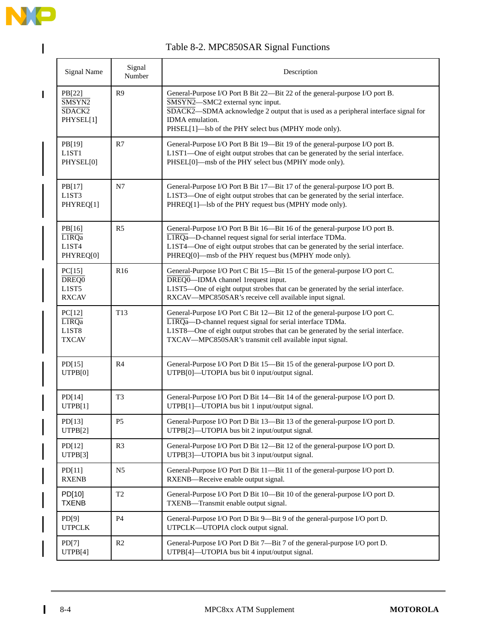

 $\mathbf{I}$ 

 $\begin{array}{c} \hline \end{array}$ 

### Table 8-2. MPC850SAR Signal Functions

| <b>Signal Name</b>                                   | Signal<br>Number | Description                                                                                                                                                                                                                                                                             |
|------------------------------------------------------|------------------|-----------------------------------------------------------------------------------------------------------------------------------------------------------------------------------------------------------------------------------------------------------------------------------------|
| PB[22]<br>SMSYN2<br>SDACK <sub>2</sub><br>PHYSEL[1]  | R <sub>9</sub>   | General-Purpose I/O Port B Bit 22-Bit 22 of the general-purpose I/O port B.<br>SMSYN2-SMC2 external sync input.<br>SDACK2-SDMA acknowledge 2 output that is used as a peripheral interface signal for<br><b>IDMA</b> emulation.<br>PHSEL[1]—lsb of the PHY select bus (MPHY mode only). |
| PB[19]<br>L1ST1<br>PHYSEL[0]                         | R7               | General-Purpose I/O Port B Bit 19—Bit 19 of the general-purpose I/O port B.<br>L1ST1-One of eight output strobes that can be generated by the serial interface.<br>PHSEL[0]—msb of the PHY select bus (MPHY mode only).                                                                 |
| PB[17]<br>L1ST3<br>PHYREQ[1]                         | N7               | General-Purpose I/O Port B Bit 17-Bit 17 of the general-purpose I/O port B.<br>L1ST3-One of eight output strobes that can be generated by the serial interface.<br>PHREQ[1]—lsb of the PHY request bus (MPHY mode only).                                                                |
| PB[16]<br>LIRQa<br>L1ST4<br>PHYREQ[0]                | R <sub>5</sub>   | General-Purpose I/O Port B Bit 16-Bit 16 of the general-purpose I/O port B.<br>L1RQa-D-channel request signal for serial interface TDMa.<br>L1ST4-One of eight output strobes that can be generated by the serial interface.<br>PHREQ[0]—msb of the PHY request bus (MPHY mode only).   |
| PC[15]<br>DREQ <sub>0</sub><br>L1ST5<br><b>RXCAV</b> | R <sub>16</sub>  | General-Purpose I/O Port C Bit 15-Bit 15 of the general-purpose I/O port C.<br>DREQ0—IDMA channel 1 request input.<br>L1ST5—One of eight output strobes that can be generated by the serial interface.<br>RXCAV-MPC850SAR's receive cell available input signal.                        |
| PC[12]<br>L1RQa<br>L1ST8<br><b>TXCAV</b>             | T <sub>13</sub>  | General-Purpose I/O Port C Bit 12-Bit 12 of the general-purpose I/O port C.<br>L1RQa-D-channel request signal for serial interface TDMa.<br>L1ST8-One of eight output strobes that can be generated by the serial interface.<br>TXCAV-MPC850SAR's transmit cell available input signal. |
| PD[15]<br>UTPB[0]                                    | R <sub>4</sub>   | General-Purpose I/O Port D Bit 15-Bit 15 of the general-purpose I/O port D.<br>UTPB[0]-UTOPIA bus bit 0 input/output signal.                                                                                                                                                            |
| PD[14]<br>UTPB[1]                                    | T <sub>3</sub>   | General-Purpose I/O Port D Bit 14-Bit 14 of the general-purpose I/O port D.<br>UTPB[1]-UTOPIA bus bit 1 input/output signal.                                                                                                                                                            |
| PD[13]<br>UTPB[2]                                    | P <sub>5</sub>   | General-Purpose I/O Port D Bit 13—Bit 13 of the general-purpose I/O port D.<br>UTPB[2]—UTOPIA bus bit 2 input/output signal.                                                                                                                                                            |
| PD[12]<br>UTPB[3]                                    | R <sub>3</sub>   | General-Purpose I/O Port D Bit 12-Bit 12 of the general-purpose I/O port D.<br>UTPB[3]—UTOPIA bus bit 3 input/output signal.                                                                                                                                                            |
| PD[11]<br><b>RXENB</b>                               | N <sub>5</sub>   | General-Purpose I/O Port D Bit 11-Bit 11 of the general-purpose I/O port D.<br>RXENB-Receive enable output signal.                                                                                                                                                                      |
| PD[10]<br><b>TXENB</b>                               | T <sub>2</sub>   | General-Purpose I/O Port D Bit 10-Bit 10 of the general-purpose I/O port D.<br>TXENB-Transmit enable output signal.                                                                                                                                                                     |
| PD[9]<br><b>UTPCLK</b>                               | P4               | General-Purpose I/O Port D Bit 9—Bit 9 of the general-purpose I/O port D.<br>UTPCLK-UTOPIA clock output signal.                                                                                                                                                                         |
| PD[7]<br>UTPB[4]                                     | R <sub>2</sub>   | General-Purpose I/O Port D Bit 7-Bit 7 of the general-purpose I/O port D.<br>UTPB[4]-UTOPIA bus bit 4 input/output signal.                                                                                                                                                              |

 $\mathbf{I}$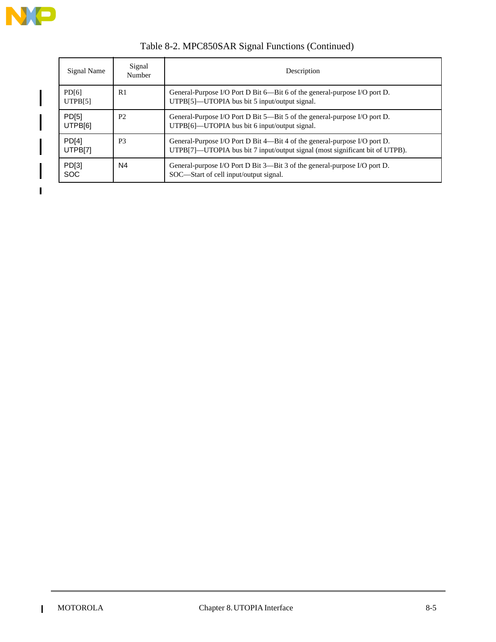

 $\blacksquare$ 

| Signal Name                  | Signal<br>Number | Description                                                                                                                                               |  |
|------------------------------|------------------|-----------------------------------------------------------------------------------------------------------------------------------------------------------|--|
| PD[6]<br>UTPB[5]             | R1               | General-Purpose I/O Port D Bit 6—Bit 6 of the general-purpose I/O port D.<br>UTPB[5]—UTOPIA bus bit 5 input/output signal.                                |  |
| PD <sub>[5]</sub><br>UTPB[6] | P <sub>2</sub>   | General-Purpose I/O Port D Bit 5—Bit 5 of the general-purpose I/O port D.<br>UTPB[6]—UTOPIA bus bit 6 input/output signal.                                |  |
| PD[4]<br>UTPB[7]             | P <sub>3</sub>   | General-Purpose I/O Port D Bit 4—Bit 4 of the general-purpose I/O port D.<br>UTPB[7]—UTOPIA bus bit 7 input/output signal (most significant bit of UTPB). |  |
| PD[3]<br><b>SOC</b>          | N4               | General-purpose I/O Port D Bit 3—Bit 3 of the general-purpose I/O port D.<br>SOC—Start of cell input/output signal.                                       |  |

### Table 8-2. MPC850SAR Signal Functions (Continued)

 $\mathbf I$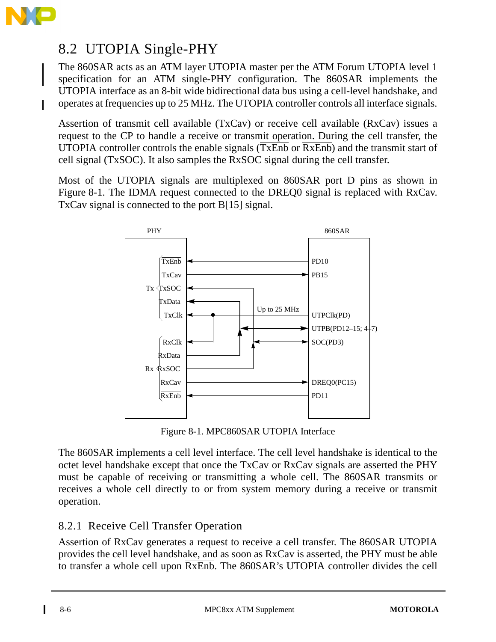

# 8.2 UTOPIA Single-PHY

The 860SAR acts as an ATM layer UTOPIA master per the ATM Forum UTOPIA level 1 specification for an ATM single-PHY configuration. The 860SAR implements the UTOPIA interface as an 8-bit wide bidirectional data bus using a cell-level handshake, and operates at frequencies up to 25 MHz. The UTOPIA controller controls all interface signals.

Assertion of transmit cell available (TxCav) or receive cell available (RxCav) issues a request to the CP to handle a receive or transmit operation. During the cell transfer, the UTOPIA controller controls the enable signals  $(TxEnb)$  or  $\overline{RxEnb}$  and the transmit start of cell signal (TxSOC). It also samples the RxSOC signal during the cell transfer.

Most of the UTOPIA signals are multiplexed on 860SAR port D pins as shown in Figure 8-1. The IDMA request connected to the DREQ0 signal is replaced with RxCav. TxCav signal is connected to the port B[15] signal.



Figure 8-1. MPC860SAR UTOPIA Interface

The 860SAR implements a cell level interface. The cell level handshake is identical to the octet level handshake except that once the TxCav or RxCav signals are asserted the PHY must be capable of receiving or transmitting a whole cell. The 860SAR transmits or receives a whole cell directly to or from system memory during a receive or transmit operation.

### 8.2.1 Receive Cell Transfer Operation

Assertion of RxCav generates a request to receive a cell transfer. The 860SAR UTOPIA provides the cell level handshake, and as soon as RxCav is asserted, the PHY must be able to transfer a whole cell upon RxEnb. The 860SAR's UTOPIA controller divides the cell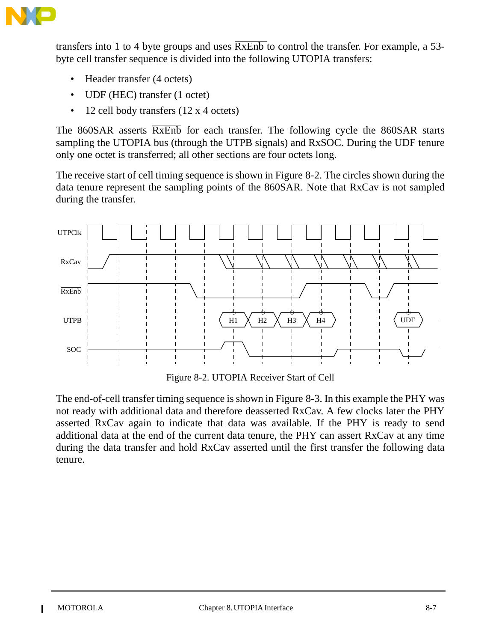

transfers into 1 to 4 byte groups and uses  $\overline{RxEnb}$  to control the transfer. For example, a 53byte cell transfer sequence is divided into the following UTOPIA transfers:

- Header transfer (4 octets)
- UDF (HEC) transfer (1 octet)
- 12 cell body transfers (12 x 4 octets)

The 860SAR asserts  $\overline{RxEnb}$  for each transfer. The following cycle the 860SAR starts sampling the UTOPIA bus (through the UTPB signals) and RxSOC. During the UDF tenure only one octet is transferred; all other sections are four octets long.

The receive start of cell timing sequence is shown in Figure 8-2. The circles shown during the data tenure represent the sampling points of the 860SAR. Note that RxCav is not sampled during the transfer.



Figure 8-2. UTOPIA Receiver Start of Cell

The end-of-cell transfer timing sequence is shown in Figure 8-3. In this example the PHY was not ready with additional data and therefore deasserted RxCav. A few clocks later the PHY asserted RxCav again to indicate that data was available. If the PHY is ready to send additional data at the end of the current data tenure, the PHY can assert RxCav at any time during the data transfer and hold RxCav asserted until the first transfer the following data tenure.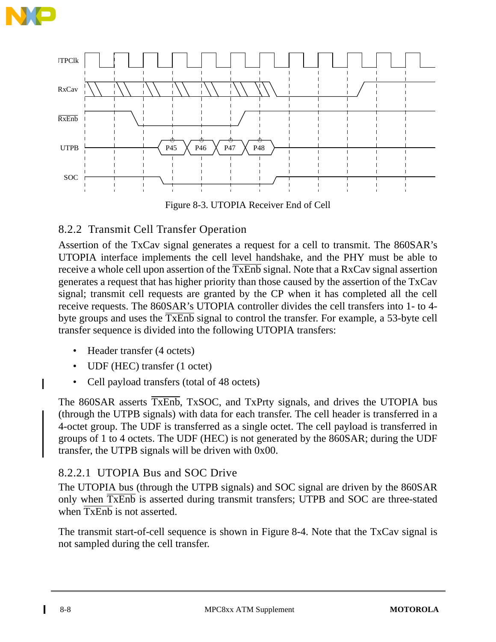



Figure 8-3. UTOPIA Receiver End of Cell

### 8.2.2 Transmit Cell Transfer Operation

Assertion of the TxCav signal generates a request for a cell to transmit. The 860SAR's UTOPIA interface implements the cell level handshake, and the PHY must be able to receive a whole cell upon assertion of the TxEnb signal. Note that a RxCav signal assertion generates a request that has higher priority than those caused by the assertion of the TxCav signal; transmit cell requests are granted by the CP when it has completed all the cell receive requests. The 860SAR's UTOPIA controller divides the cell transfers into 1- to 4 byte groups and uses the TxEnb signal to control the transfer. For example, a 53-byte cell transfer sequence is divided into the following UTOPIA transfers:

- Header transfer (4 octets)
- UDF (HEC) transfer (1 octet)
- Cell payload transfers (total of 48 octets)

The 860SAR asserts TxEnb, TxSOC, and TxPrty signals, and drives the UTOPIA bus (through the UTPB signals) with data for each transfer. The cell header is transferred in a 4-octet group. The UDF is transferred as a single octet. The cell payload is transferred in groups of 1 to 4 octets. The UDF (HEC) is not generated by the 860SAR; during the UDF transfer, the UTPB signals will be driven with 0x00.

#### 8.2.2.1 UTOPIA Bus and SOC Drive

The UTOPIA bus (through the UTPB signals) and SOC signal are driven by the 860SAR only when TxEnb is asserted during transmit transfers; UTPB and SOC are three-stated when  $\overline{\text{TxEmb}}$  is not asserted.

The transmit start-of-cell sequence is shown in Figure 8-4. Note that the TxCav signal is not sampled during the cell transfer.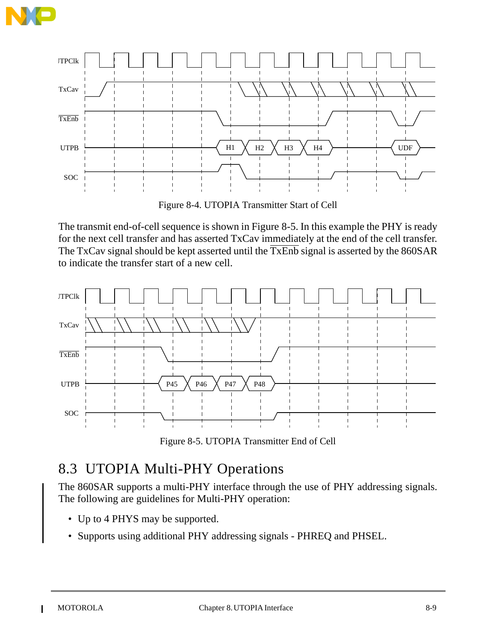



Figure 8-4. UTOPIA Transmitter Start of Cell

The transmit end-of-cell sequence is shown in Figure 8-5. In this example the PHY is ready for the next cell transfer and has asserted TxCav immediately at the end of the cell transfer. The TxCav signal should be kept asserted until the  $\overline{\text{TxEnb}}$  signal is asserted by the 860SAR to indicate the transfer start of a new cell.



Figure 8-5. UTOPIA Transmitter End of Cell

# 8.3 UTOPIA Multi-PHY Operations

The 860SAR supports a multi-PHY interface through the use of PHY addressing signals. The following are guidelines for Multi-PHY operation:

- Up to 4 PHYS may be supported.
- Supports using additional PHY addressing signals PHREQ and PHSEL.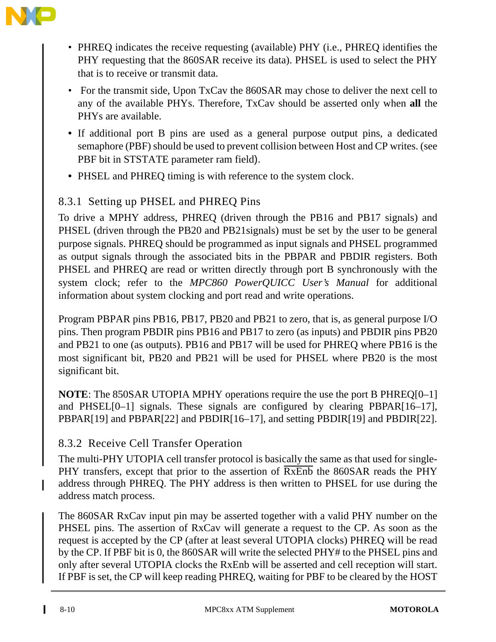

- PHREQ indicates the receive requesting (available) PHY (i.e., PHREQ identifies the PHY requesting that the 860SAR receive its data). PHSEL is used to select the PHY that is to receive or transmit data.
- For the transmit side, Upon TxCav the 860SAR may chose to deliver the next cell to any of the available PHYs. Therefore, TxCav should be asserted only when **all** the PHYs are available.
- If additional port B pins are used as a general purpose output pins, a dedicated semaphore (PBF) should be used to prevent collision between Host and CP writes. (see PBF bit in STSTATE parameter ram field).
- PHSEL and PHREQ timing is with reference to the system clock.

### 8.3.1 Setting up PHSEL and PHREQ Pins

To drive a MPHY address, PHREQ (driven through the PB16 and PB17 signals) and PHSEL (driven through the PB20 and PB21signals) must be set by the user to be general purpose signals. PHREQ should be programmed as input signals and PHSEL programmed as output signals through the associated bits in the PBPAR and PBDIR registers. Both PHSEL and PHREQ are read or written directly through port B synchronously with the system clock; refer to the *MPC860 PowerQUICC User's Manual* for additional information about system clocking and port read and write operations.

Program PBPAR pins PB16, PB17, PB20 and PB21 to zero, that is, as general purpose I/O pins. Then program PBDIR pins PB16 and PB17 to zero (as inputs) and PBDIR pins PB20 and PB21 to one (as outputs). PB16 and PB17 will be used for PHREQ where PB16 is the most significant bit, PB20 and PB21 will be used for PHSEL where PB20 is the most significant bit.

**NOTE**: The 850SAR UTOPIA MPHY operations require the use the port B PHREQ[0–1] and PHSEL[0–1] signals. These signals are configured by clearing PBPAR[16–17], PBPAR[19] and PBPAR[22] and PBDIR[16–17], and setting PBDIR[19] and PBDIR[22].

### 8.3.2 Receive Cell Transfer Operation

The multi-PHY UTOPIA cell transfer protocol is basically the same as that used for single-PHY transfers, except that prior to the assertion of RxEnb the 860SAR reads the PHY address through PHREQ. The PHY address is then written to PHSEL for use during the address match process.

The 860SAR RxCav input pin may be asserted together with a valid PHY number on the PHSEL pins. The assertion of RxCav will generate a request to the CP. As soon as the request is accepted by the CP (after at least several UTOPIA clocks) PHREQ will be read by the CP. If PBF bit is 0, the 860SAR will write the selected PHY# to the PHSEL pins and only after several UTOPIA clocks the RxEnb will be asserted and cell reception will start. If PBF is set, the CP will keep reading PHREQ, waiting for PBF to be cleared by the HOST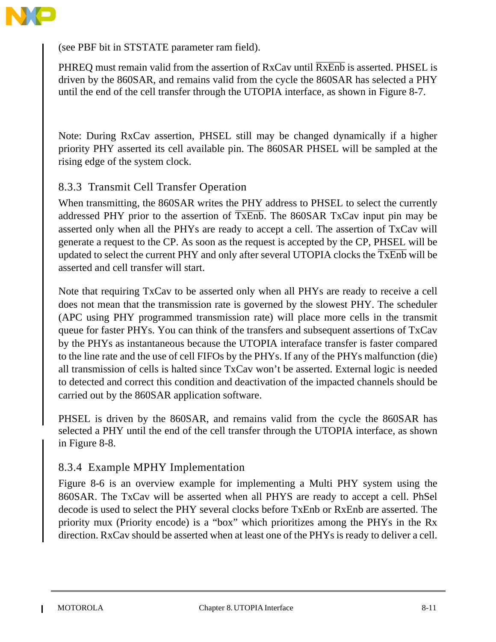

(see PBF bit in STSTATE parameter ram field).

PHREQ must remain valid from the assertion of  $RxCav$  until  $\overline{RxEnb}$  is asserted. PHSEL is driven by the 860SAR, and remains valid from the cycle the 860SAR has selected a PHY until the end of the cell transfer through the UTOPIA interface, as shown in Figure 8-7.

Note: During RxCav assertion, PHSEL still may be changed dynamically if a higher priority PHY asserted its cell available pin. The 860SAR PHSEL will be sampled at the rising edge of the system clock.

#### 8.3.3 Transmit Cell Transfer Operation

When transmitting, the 860SAR writes the PHY address to PHSEL to select the currently addressed PHY prior to the assertion of TxEnb. The 860SAR TxCav input pin may be asserted only when all the PHYs are ready to accept a cell. The assertion of TxCav will generate a request to the CP. As soon as the request is accepted by the CP, PHSEL will be updated to select the current PHY and only after several UTOPIA clocks the TxEnb will be asserted and cell transfer will start.

Note that requiring TxCav to be asserted only when all PHYs are ready to receive a cell does not mean that the transmission rate is governed by the slowest PHY. The scheduler (APC using PHY programmed transmission rate) will place more cells in the transmit queue for faster PHYs. You can think of the transfers and subsequent assertions of TxCav by the PHYs as instantaneous because the UTOPIA interaface transfer is faster compared to the line rate and the use of cell FIFOs by the PHYs. If any of the PHYs malfunction (die) all transmission of cells is halted since TxCav won't be asserted. External logic is needed to detected and correct this condition and deactivation of the impacted channels should be carried out by the 860SAR application software.

PHSEL is driven by the 860SAR, and remains valid from the cycle the 860SAR has selected a PHY until the end of the cell transfer through the UTOPIA interface, as shown in Figure 8-8.

#### 8.3.4 Example MPHY Implementation

Figure 8-6 is an overview example for implementing a Multi PHY system using the 860SAR. The TxCav will be asserted when all PHYS are ready to accept a cell. PhSel decode is used to select the PHY several clocks before TxEnb or RxEnb are asserted. The priority mux (Priority encode) is a "box" which prioritizes among the PHYs in the Rx direction. RxCav should be asserted when at least one of the PHYs is ready to deliver a cell.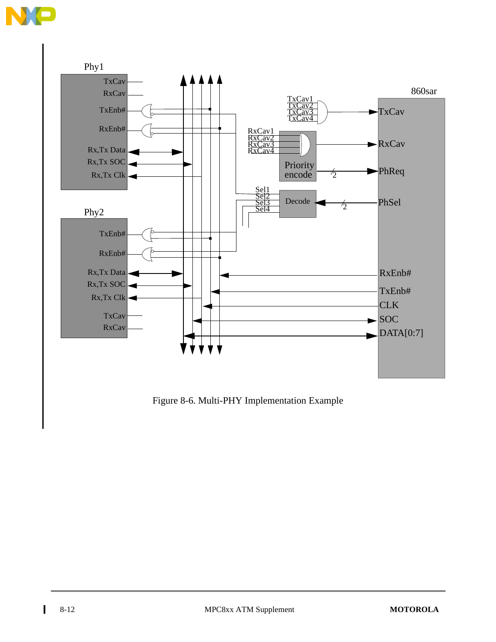



Figure 8-6. Multi-PHY Implementation Example

 $\blacksquare$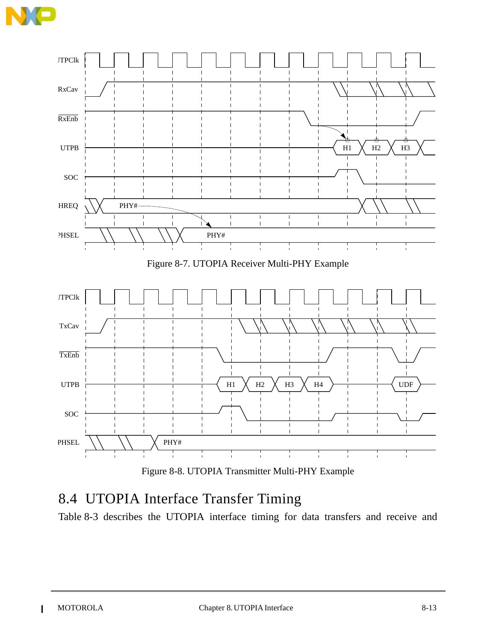



Figure 8-8. UTOPIA Transmitter Multi-PHY Example

# 8.4 UTOPIA Interface Transfer Timing

Table 8-3 describes the UTOPIA interface timing for data transfers and receive and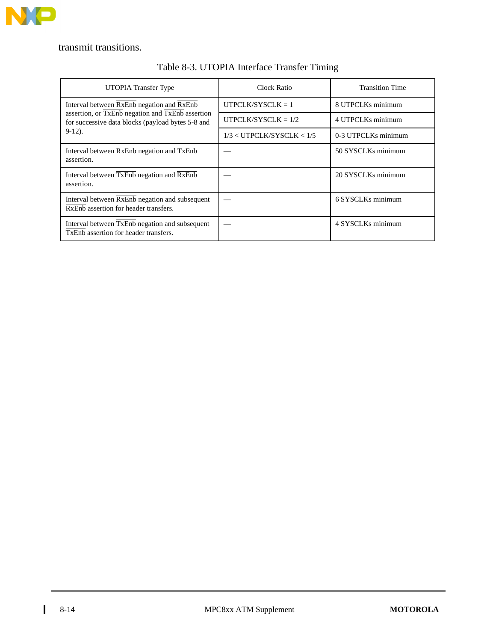

transmit transitions.

| UTOPIA Transfer Type                                                                                  | Clock Ratio                   | <b>Transition Time</b> |
|-------------------------------------------------------------------------------------------------------|-------------------------------|------------------------|
| Interval between RxEnb negation and RxEnb                                                             | $UTPCLK/SYSCLK = 1$           | 8 UTPCLKs minimum      |
| assertion, or TxEnb negation and TxEnb assertion<br>for successive data blocks (payload bytes 5-8 and | UTPCLK/SYSCLK = $1/2$         | 4 UTPCLKs minimum      |
| $9-12$ ).                                                                                             | $1/3 <$ UTPCLK/SYSCLK $< 1/5$ | 0-3 UTPCLKs minimum    |
| Interval between $\overline{RxEmb}$ negation and $\overline{TxEmb}$<br>assertion.                     |                               | 50 SYSCLKs minimum     |
| Interval between TxEnb negation and RxEnb<br>assertion.                                               |                               | 20 SYSCLKs minimum     |
| Interval between $\overline{RxEnb}$ negation and subsequent<br>RxEnb assertion for header transfers.  |                               | 6 SYSCLKs minimum      |
| Interval between TxEnb negation and subsequent<br>TxEnb assertion for header transfers.               |                               | 4 SYSCLKs minimum      |

#### Table 8-3. UTOPIA Interface Transfer Timing

 $\blacksquare$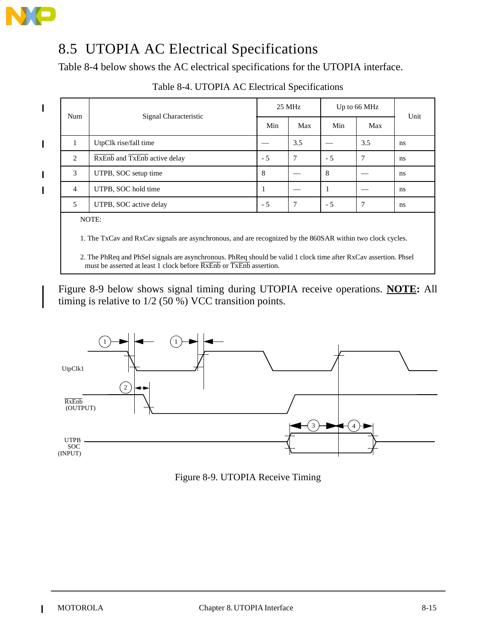

 $\blacksquare$ 

 $\blacksquare$ 

# 8.5 UTOPIA AC Electrical Specifications

Table 8-4 below shows the AC electrical specifications for the UTOPIA interface.

|                |                              | $25 \text{ MHz}$ |     | Up to 66 MHz |               |      |
|----------------|------------------------------|------------------|-----|--------------|---------------|------|
| Num            | Signal Characteristic        | Min              | Max | Min          | Max           | Unit |
| $\mathbf{1}$   | UtpClk rise/fall time        |                  | 3.5 |              | 3.5           | ns   |
| 2              | RxEnb and TxEnb active delay | $-5$             | 7   | $-5$         | $\mathcal{I}$ | ns   |
| 3              | UTPB, SOC setup time         | 8                |     | 8            |               | ns   |
| $\overline{4}$ | UTPB, SOC hold time          | п                |     |              |               | ns   |
| 5              | UTPB, SOC active delay       | $-5$             | 7   | $-5$         | $\mathbf{7}$  | ns   |

#### Table 8-4. UTOPIA AC Electrical Specifications

1. The TxCav and RxCav signals are asynchronous, and are recognized by the 860SAR within two clock cycles.

2. The PhReq and PhSel signals are asynchronous. PhReq should be valid 1 clock time after RxCav assertion. Phsel must be asserted at least 1 clock before  $\overline{RxEmb}$  or  $\overline{TxEmb}$  assertion.

Figure 8-9 below shows signal timing during UTOPIA receive operations. **NOTE:** All timing is relative to 1/2 (50 %) VCC transition points.



Figure 8-9. UTOPIA Receive Timing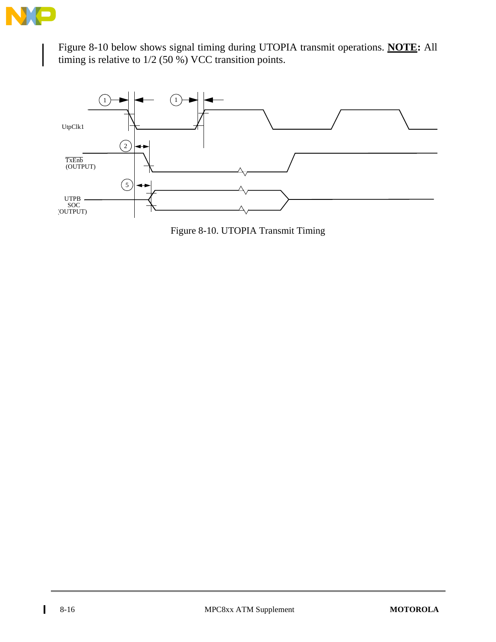

Figure 8-10 below shows signal timing during UTOPIA transmit operations. **NOTE:** All timing is relative to 1/2 (50 %) VCC transition points.



Figure 8-10. UTOPIA Transmit Timing

 $\blacksquare$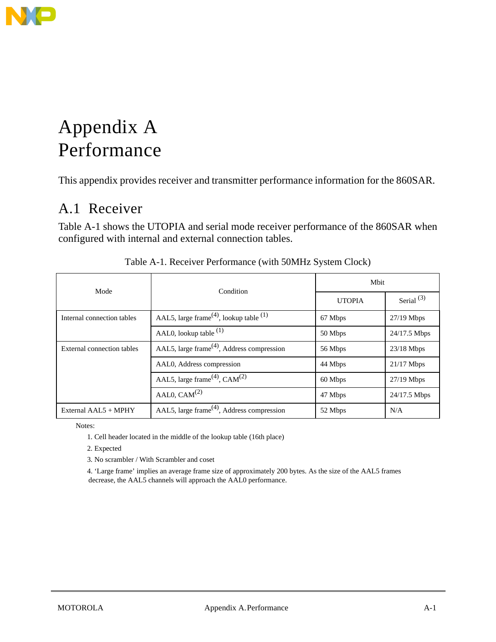

# Appendix A Performance

This appendix provides receiver and transmitter performance information for the 860SAR.

## A.1 Receiver

Table A-1 shows the UTOPIA and serial mode receiver performance of the 860SAR when configured with internal and external connection tables.

| Mode                       | Condition                                                      | Mbit          |              |  |
|----------------------------|----------------------------------------------------------------|---------------|--------------|--|
|                            |                                                                | <b>UTOPIA</b> | Serial $(3)$ |  |
| Internal connection tables | AAL5, large frame <sup>(4)</sup> , lookup table <sup>(1)</sup> | 67 Mbps       | $27/19$ Mbps |  |
|                            | AAL0, lookup table $(1)$                                       | 50 Mbps       | 24/17.5 Mbps |  |
| External connection tables | AAL5, large frame <sup>(4)</sup> , Address compression         | 56 Mbps       | $23/18$ Mbps |  |
|                            | AALO, Address compression                                      | 44 Mbps       | $21/17$ Mbps |  |
|                            | AAL5, large frame <sup>(4)</sup> , CAM <sup>(2)</sup>          | 60 Mbps       | $27/19$ Mbps |  |
|                            | AAL0, $CAM(2)$                                                 | 47 Mbps       | 24/17.5 Mbps |  |
| External AAL5 + MPHY       | AAL5, large frame <sup>(4)</sup> , Address compression         | 52 Mbps       | N/A          |  |

| Table A-1. Receiver Performance (with 50MHz System Clock) |  |  |
|-----------------------------------------------------------|--|--|
|-----------------------------------------------------------|--|--|

Notes:

1. Cell header located in the middle of the lookup table (16th place)

2. Expected

3. No scrambler / With Scrambler and coset

4. 'Large frame' implies an average frame size of approximately 200 bytes. As the size of the AAL5 frames decrease, the AAL5 channels will approach the AAL0 performance.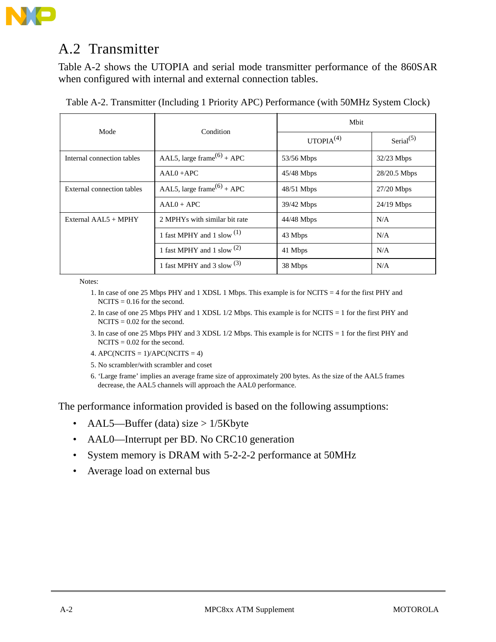

## A.2 Transmitter

Table A-2 shows the UTOPIA and serial mode transmitter performance of the 860SAR when configured with internal and external connection tables.

| Table A-2. Transmitter (Including 1 Priority APC) Performance (with 50MHz System Clock) |  |  |
|-----------------------------------------------------------------------------------------|--|--|
|                                                                                         |  |  |

| Mode                       | Condition                              | <b>M</b> bit          |              |  |
|----------------------------|----------------------------------------|-----------------------|--------------|--|
|                            |                                        | UTOPIA <sup>(4)</sup> | Serial $(5)$ |  |
| Internal connection tables | AAL5, large frame <sup>(6)</sup> + APC | 53/56 Mbps            | $32/23$ Mbps |  |
|                            | $AAL0 + APC$                           | $45/48$ Mbps          | 28/20.5 Mbps |  |
| External connection tables | AAL5, large frame <sup>(6)</sup> + APC | $48/51$ Mbps          | $27/20$ Mbps |  |
|                            | $AAL0 + APC$                           | 39/42 Mbps            | $24/19$ Mbps |  |
| External $AAL5 + MPHY$     | 2 MPHYs with similar bit rate          | $44/48$ Mbps          | N/A          |  |
|                            | 1 fast MPHY and 1 slow $^{(1)}$        | 43 Mbps               | N/A          |  |
|                            | 1 fast MPHY and 1 slow $^{(2)}$        | 41 Mbps               | N/A          |  |
|                            | 1 fast MPHY and 3 slow $^{(3)}$        | 38 Mbps               | N/A          |  |

Notes:

- 1. In case of one 25 Mbps PHY and 1 XDSL 1 Mbps. This example is for NCITS = 4 for the first PHY and  $NCITS = 0.16$  for the second.
- 2. In case of one 25 Mbps PHY and 1 XDSL 1/2 Mbps. This example is for NCITS = 1 for the first PHY and  $NCITS = 0.02$  for the second.
- 3. In case of one 25 Mbps PHY and 3 XDSL 1/2 Mbps. This example is for NCITS = 1 for the first PHY and  $NCITS = 0.02$  for the second.
- 4. APC(NCITS =  $1$ )/APC(NCITS = 4)
- 5. No scrambler/with scrambler and coset
- 6. 'Large frame' implies an average frame size of approximately 200 bytes. As the size of the AAL5 frames decrease, the AAL5 channels will approach the AAL0 performance.

The performance information provided is based on the following assumptions:

- AAL5—Buffer (data) size  $> 1/5$ Kbyte
- AAL0—Interrupt per BD. No CRC10 generation
- System memory is DRAM with 5-2-2-2 performance at 50MHz
- Average load on external bus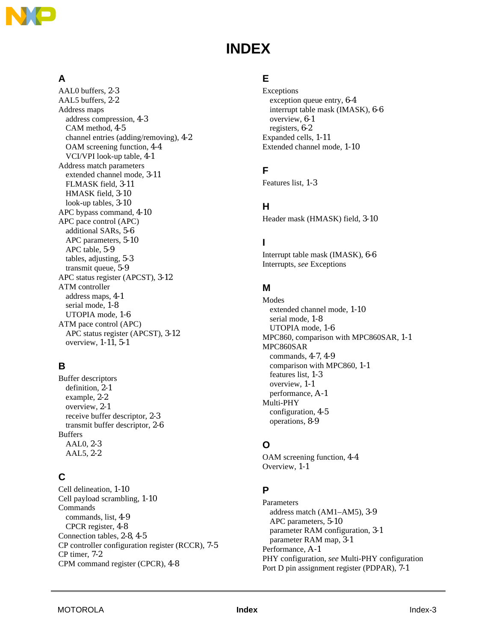

# **INDEX**

### **A**

AAL0 buffers, 2-3 AAL5 buffers, 2-2 Address maps address compression, 4-3 CAM method, 4-5 channel entries (adding/removing), 4-2 OAM screening function, 4-4 VCI/VPI look-up table, 4-1 Address match parameters extended channel mode, 3-11 FLMASK field, 3-11 HMASK field, 3-10 look-up tables, 3-10 APC bypass command, 4-10 APC pace control (APC) additional SARs, 5-6 APC parameters, 5-10 APC table, 5-9 tables, adjusting, 5-3 transmit queue, 5-9 APC status register (APCST), 3-12 ATM controller address maps, 4-1 serial mode, 1-8 UTOPIA mode, 1-6 ATM pace control (APC) APC status register (APCST), 3-12 overview, 1-11, 5-1

#### **B**

Buffer descriptors definition, 2-1 example, 2-2 overview, 2-1 receive buffer descriptor, 2-3 transmit buffer descriptor, 2-6 Buffers AAL0, 2-3 AAL5, 2-2

#### **C**

Cell delineation, 1-10 Cell payload scrambling, 1-10 Commands commands, list, 4-9 CPCR register, 4-8 Connection tables, 2-8, 4-5 CP controller configuration register (RCCR), 7-5 CP timer, 7-2 CPM command register (CPCR), 4-8

#### **E**

Exceptions exception queue entry, 6-4 interrupt table mask (IMASK), 6-6 overview, 6-1 registers, 6-2 Expanded cells, 1-11 Extended channel mode, 1-10

### **F**

Features list, 1-3

#### **H**

Header mask (HMASK) field, 3-10

#### **I**

Interrupt table mask (IMASK), 6-6 Interrupts, *see* Exceptions

#### **M**

Modes extended channel mode, 1-10 serial mode, 1-8 UTOPIA mode, 1-6 MPC860, comparison with MPC860SAR, 1-1 MPC860SAR commands, 4-7, 4-9 comparison with MPC860, 1-1 features list, 1-3 overview, 1-1 performance, A-1 Multi-PHY configuration, 4-5 operations, 8-9

#### **O**

OAM screening function, 4-4 Overview, 1-1

#### **P**

Parameters address match (AM1–AM5), 3-9 APC parameters, 5-10 parameter RAM configuration, 3-1 parameter RAM map, 3-1 Performance, A-1 PHY configuration, *see* Multi-PHY configuration Port D pin assignment register (PDPAR), 7-1